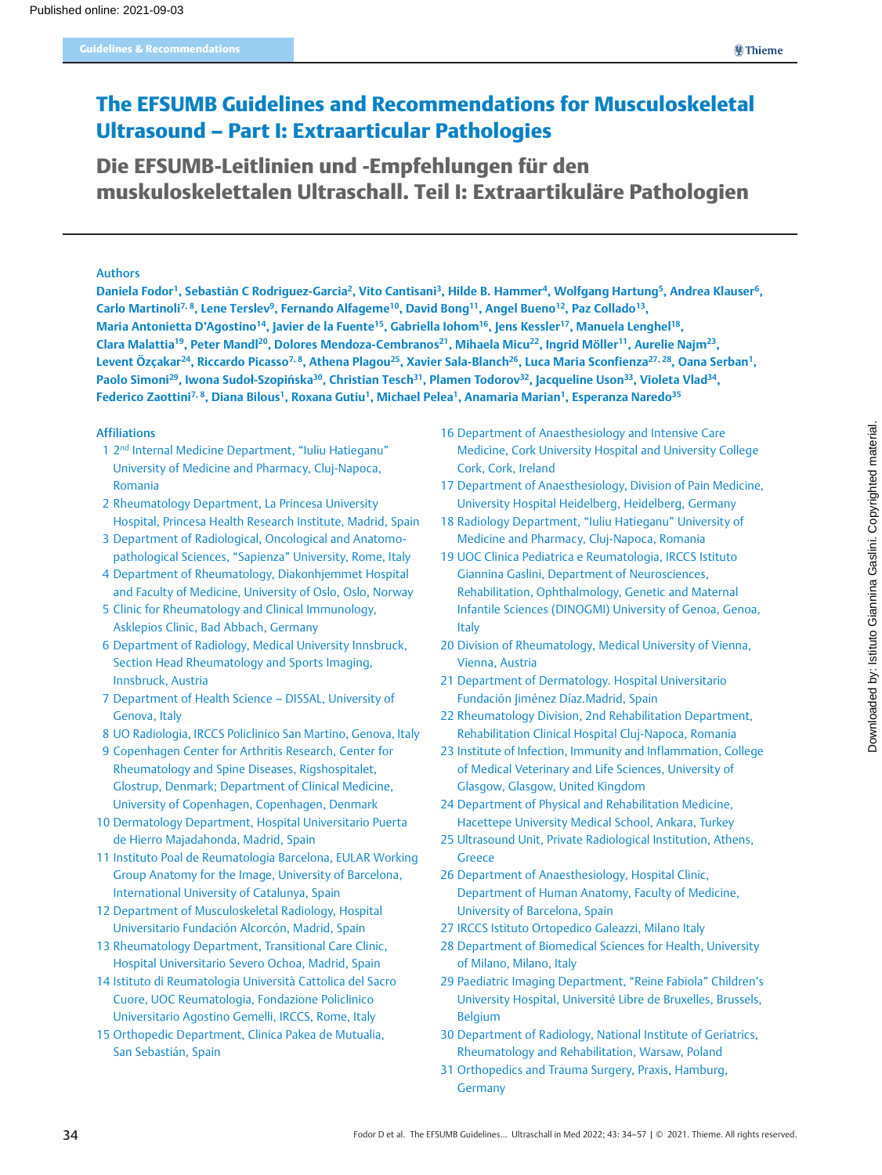# The EFSUMB Guidelines and Recommendations for Musculoskeletal Ultrasound – Part I: Extraarticular Pathologies

Die EFSUMB-Leitlinien und -Empfehlungen für den muskuloskelettalen Ultraschall. Teil I: Extraartikuläre Pathologien

# Authors

Daniela Fodor<sup>1</sup>, Sebastián C Rodriguez-Garcia<sup>2</sup>, Vito Cantisani<sup>3</sup>, Hilde B. Hammer<sup>4</sup>, Wolfgang Hartung<sup>5</sup>, Andrea Klauser<sup>6</sup>, Carlo Martinoli<sup>7, 8</sup>, Lene Terslev<sup>9</sup>, Fernando Alfageme<sup>10</sup>, David Bong<sup>11</sup>, Angel Bueno<sup>12</sup>, Paz Collado<sup>13</sup>, Maria Antonietta D'Agostino<sup>14</sup>, Javier de la Fuente<sup>15</sup>, Gabriella Iohom<sup>16</sup>, Jens Kessler<sup>17</sup>, Manuela Lenghel<sup>18</sup>, Clara Malattia<sup>19</sup>, Peter Mandl<sup>20</sup>, Dolores Mendoza-Cembranos<sup>21</sup>, Mihaela Micu<sup>22</sup>, Ingrid Möller<sup>11</sup>, Aurelie Najm<sup>23</sup>, Levent Özçakar<sup>24</sup>, Riccardo Picasso<sup>7, 8</sup>, Athena Plagou<sup>25</sup>, Xavier Sala-Blanch<sup>26</sup>, Luca Maria Sconfienza<sup>27, 28</sup>, Oana Serban<sup>1</sup>, Paolo Simoni<sup>29</sup>, Iwona Sudoł-Szopińska<sup>30</sup>, Christian Tesch<sup>31</sup>, Plamen Todorov<sup>32</sup>, Jacqueline Uson<sup>33</sup>, Violeta Vlad<sup>34</sup>, Federico Zaottini<sup>7, 8</sup>, Diana Bilous<sup>1</sup>, Roxana Gutiu<sup>1</sup>, Michael Pelea<sup>1</sup>, Anamaria Marian<sup>1</sup>, Esperanza Naredo<sup>35</sup>

# Affiliations

- 1 2nd Internal Medicine Department, "Iuliu Hatieganu" University of Medicine and Pharmacy, Cluj-Napoca, Romania
- 2 Rheumatology Department, La Princesa University Hospital, Princesa Health Research Institute, Madrid, Spain
- 3 Department of Radiological, Oncological and Anatomopathological Sciences, "Sapienza" University, Rome, Italy
- 4 Department of Rheumatology, Diakonhjemmet Hospital and Faculty of Medicine, University of Oslo, Oslo, Norway
- 5 Clinic for Rheumatology and Clinical Immunology, Asklepios Clinic, Bad Abbach, Germany
- 6 Department of Radiology, Medical University Innsbruck, Section Head Rheumatology and Sports Imaging, Innsbruck, Austria
- 7 Department of Health Science DISSAL, University of Genova, Italy
- 8 UO Radiologia, IRCCS Policlinico San Martino, Genova, Italy
- 9 Copenhagen Center for Arthritis Research, Center for Rheumatology and Spine Diseases, Rigshospitalet, Glostrup, Denmark; Department of Clinical Medicine, University of Copenhagen, Copenhagen, Denmark
- 10 Dermatology Department, Hospital Universitario Puerta de Hierro Majadahonda, Madrid, Spain
- 11 Instituto Poal de Reumatologia Barcelona, EULAR Working Group Anatomy for the Image, University of Barcelona, International University of Catalunya, Spain
- 12 Department of Musculoskeletal Radiology, Hospital Universitario Fundación Alcorcón, Madrid, Spain
- 13 Rheumatology Department, Transitional Care Clinic, Hospital Universitario Severo Ochoa, Madrid, Spain
- 14 Istituto di Reumatologia Università Cattolica del Sacro Cuore, UOC Reumatologia, Fondazione Policlinico Universitario Agostino Gemelli, IRCCS, Rome, Italy
- 15 Orthopedic Department, Clinica Pakea de Mutualia, San Sebastián, Spain
- 16 Department of Anaesthesiology and Intensive Care Medicine, Cork University Hospital and University College Cork, Cork, Ireland
- 17 Department of Anaesthesiology, Division of Pain Medicine, University Hospital Heidelberg, Heidelberg, Germany
- 18 Radiology Department, "Iuliu Hatieganu" University of Medicine and Pharmacy, Cluj-Napoca, Romania
- 19 UOC Clinica Pediatrica e Reumatologia, IRCCS Istituto Giannina Gaslini, Department of Neurosciences, Rehabilitation, Ophthalmology, Genetic and Maternal Infantile Sciences (DINOGMI) University of Genoa, Genoa, Italy
- 20 Division of Rheumatology, Medical University of Vienna, Vienna, Austria
- 21 Department of Dermatology. Hospital Universitario Fundación Jiménez Díaz.Madrid, Spain
- 22 Rheumatology Division, 2nd Rehabilitation Department, Rehabilitation Clinical Hospital Cluj-Napoca, Romania
- 23 Institute of Infection, Immunity and Inflammation, College of Medical Veterinary and Life Sciences, University of Glasgow, Glasgow, United Kingdom
- 24 Department of Physical and Rehabilitation Medicine, Hacettepe University Medical School, Ankara, Turkey
- 25 Ultrasound Unit, Private Radiological Institution, Athens, Greece
- 26 Department of Anaesthesiology, Hospital Clinic, Department of Human Anatomy, Faculty of Medicine, University of Barcelona, Spain
- 27 IRCCS Istituto Ortopedico Galeazzi, Milano Italy
- 28 Department of Biomedical Sciences for Health, University of Milano, Milano, Italy
- 29 Paediatric Imaging Department, "Reine Fabiola" Children's University Hospital, Université Libre de Bruxelles, Brussels, Belgium
- 30 Department of Radiology, National Institute of Geriatrics, Rheumatology and Rehabilitation, Warsaw, Poland
- 31 Orthopedics and Trauma Surgery, Praxis, Hamburg, Germany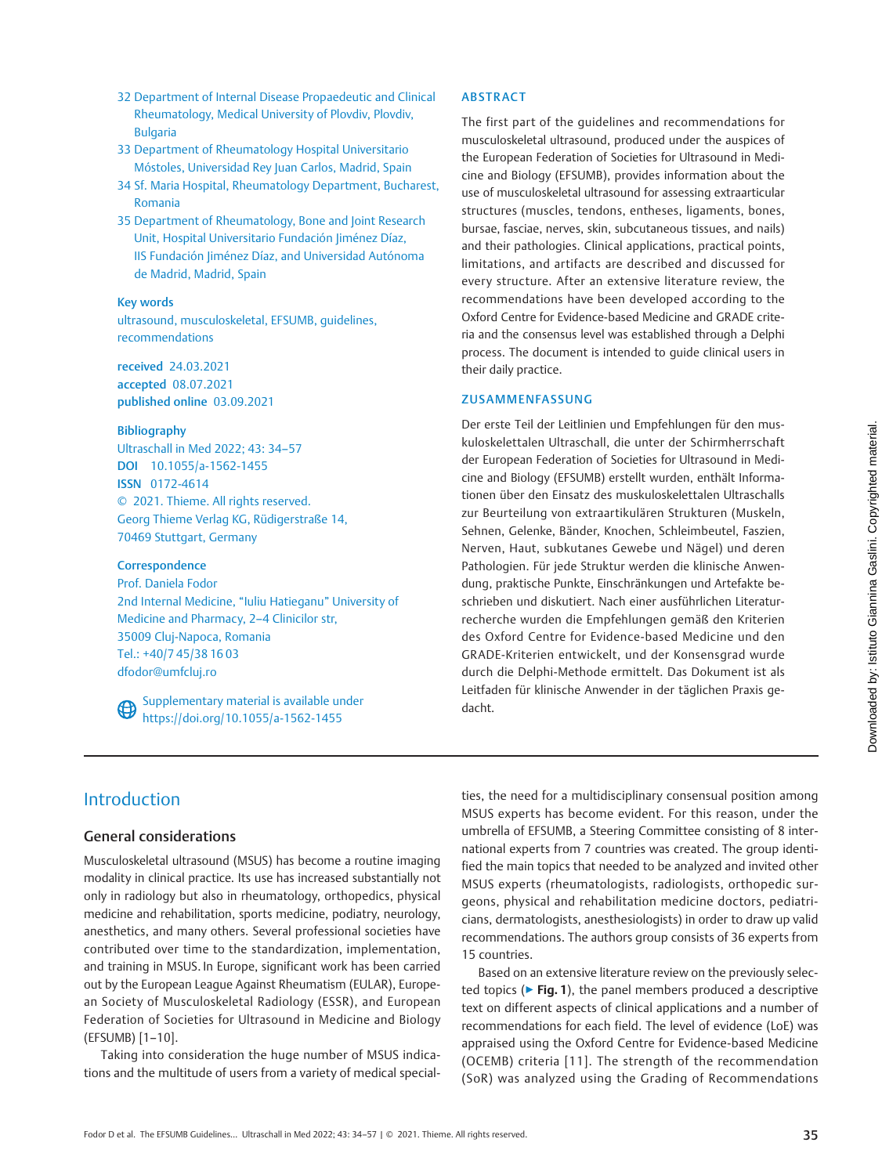- 32 Department of Internal Disease Propaedeutic and Clinical Rheumatology, Medical University of Plovdiv, Plovdiv, Bulgaria
- 33 Department of Rheumatology Hospital Universitario Móstoles, Universidad Rey Juan Carlos, Madrid, Spain
- 34 Sf. Maria Hospital, Rheumatology Department, Bucharest, Romania
- 35 Department of Rheumatology, Bone and Joint Research Unit, Hospital Universitario Fundación Jiménez Díaz, IIS Fundación Jiménez Díaz, and Universidad Autónoma de Madrid, Madrid, Spain

#### Key words

ultrasound, musculoskeletal, EFSUMB, guidelines, recommendations

received 24.03.2021 accepted 08.07.2021 published online 03.09.2021

### Bibliography

Ultraschall in Med 2022; 43: 34–57 DOI [10.1055/a-1562-1455](https://doi.org/10.1055/a-1562-1455) ISSN 0172-4614 © 2021. Thieme. All rights reserved. Georg Thieme Verlag KG, Rüdigerstraße 14, 70469 Stuttgart, Germany

# **Correspondence**

Prof. Daniela Fodor 2nd Internal Medicine, "Iuliu Hatieganu" University of Medicine and Pharmacy, 2–4 Clinicilor str, 35009 Cluj-Napoca, Romania Tel.: +40/7 45/38 16 03 dfodor@umfcluj.ro

Supplementary material is available under <https://doi.org/10.1055/a-1562-1455>

### ABSTRACT

The first part of the guidelines and recommendations for musculoskeletal ultrasound, produced under the auspices of the European Federation of Societies for Ultrasound in Medicine and Biology (EFSUMB), provides information about the use of musculoskeletal ultrasound for assessing extraarticular structures (muscles, tendons, entheses, ligaments, bones, bursae, fasciae, nerves, skin, subcutaneous tissues, and nails) and their pathologies. Clinical applications, practical points, limitations, and artifacts are described and discussed for every structure. After an extensive literature review, the recommendations have been developed according to the Oxford Centre for Evidence-based Medicine and GRADE criteria and the consensus level was established through a Delphi process. The document is intended to guide clinical users in their daily practice.

### ZUSAMMENFASSUNG

Der erste Teil der Leitlinien und Empfehlungen für den muskuloskelettalen Ultraschall, die unter der Schirmherrschaft der European Federation of Societies for Ultrasound in Medicine and Biology (EFSUMB) erstellt wurden, enthält Informationen über den Einsatz des muskuloskelettalen Ultraschalls zur Beurteilung von extraartikulären Strukturen (Muskeln, Sehnen, Gelenke, Bänder, Knochen, Schleimbeutel, Faszien, Nerven, Haut, subkutanes Gewebe und Nägel) und deren Pathologien. Für jede Struktur werden die klinische Anwendung, praktische Punkte, Einschränkungen und Artefakte beschrieben und diskutiert. Nach einer ausführlichen Literaturrecherche wurden die Empfehlungen gemäß den Kriterien des Oxford Centre for Evidence-based Medicine und den GRADE-Kriterien entwickelt, und der Konsensgrad wurde durch die Delphi-Methode ermittelt. Das Dokument ist als Leitfaden für klinische Anwender in der täglichen Praxis gedacht.

# Introduction

# General considerations

Musculoskeletal ultrasound (MSUS) has become a routine imaging modality in clinical practice. Its use has increased substantially not only in radiology but also in rheumatology, orthopedics, physical medicine and rehabilitation, sports medicine, podiatry, neurology, anesthetics, and many others. Several professional societies have contributed over time to the standardization, implementation, and training in MSUS. In Europe, significant work has been carried out by the European League Against Rheumatism (EULAR), European Society of Musculoskeletal Radiology (ESSR), and European Federation of Societies for Ultrasound in Medicine and Biology (EFSUMB) [1–10].

Taking into consideration the huge number of MSUS indications and the multitude of users from a variety of medical specialties, the need for a multidisciplinary consensual position among MSUS experts has become evident. For this reason, under the umbrella of EFSUMB, a Steering Committee consisting of 8 international experts from 7 countries was created. The group identified the main topics that needed to be analyzed and invited other MSUS experts (rheumatologists, radiologists, orthopedic surgeons, physical and rehabilitation medicine doctors, pediatricians, dermatologists, anesthesiologists) in order to draw up valid recommendations. The authors group consists of 36 experts from 15 countries.

Based on an extensive literature review on the previously selected topics ( $\triangleright$  Fig. 1), the panel members produced a descriptive text on different aspects of clinical applications and a number of recommendations for each field. The level of evidence (LoE) was appraised using the Oxford Centre for Evidence-based Medicine (OCEMB) criteria [11]. The strength of the recommendation (SoR) was analyzed using the Grading of Recommendations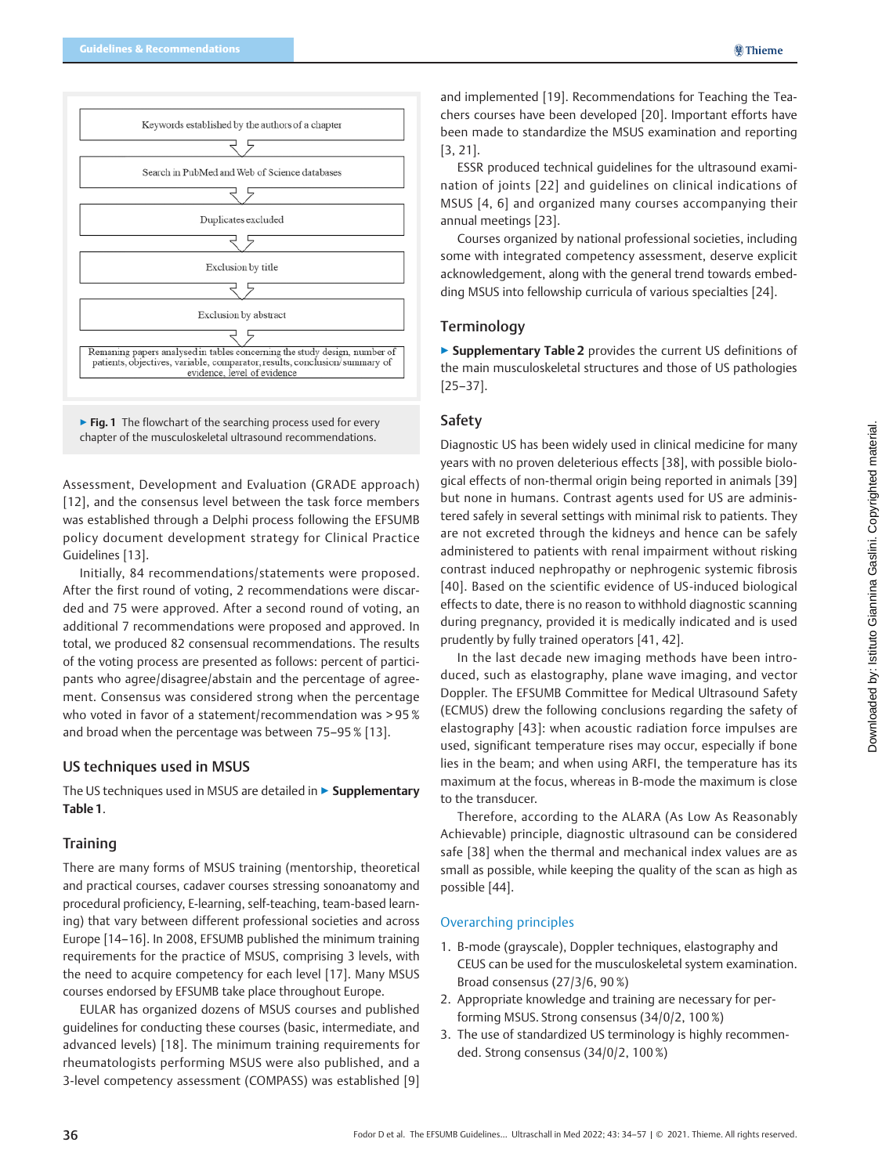

▶ Fig. 1 The flowchart of the searching process used for every chapter of the musculoskeletal ultrasound recommendations.

Assessment, Development and Evaluation (GRADE approach) [12], and the consensus level between the task force members was established through a Delphi process following the EFSUMB policy document development strategy for Clinical Practice Guidelines [13].

Initially, 84 recommendations/statements were proposed. After the first round of voting, 2 recommendations were discarded and 75 were approved. After a second round of voting, an additional 7 recommendations were proposed and approved. In total, we produced 82 consensual recommendations. The results of the voting process are presented as follows: percent of participants who agree/disagree/abstain and the percentage of agreement. Consensus was considered strong when the percentage who voted in favor of a statement/recommendation was > 95 % and broad when the percentage was between 75–95 % [13].

# US techniques used in MSUS

The US techniques used in MSUS are detailed in ▶ Supplementary Table 1.

# **Training**

There are many forms of MSUS training (mentorship, theoretical and practical courses, cadaver courses stressing sonoanatomy and procedural proficiency, E-learning, self-teaching, team-based learning) that vary between different professional societies and across Europe [14–16]. In 2008, EFSUMB published the minimum training requirements for the practice of MSUS, comprising 3 levels, with the need to acquire competency for each level [17]. Many MSUS courses endorsed by EFSUMB take place throughout Europe.

EULAR has organized dozens of MSUS courses and published guidelines for conducting these courses (basic, intermediate, and advanced levels) [18]. The minimum training requirements for rheumatologists performing MSUS were also published, and a 3-level competency assessment (COMPASS) was established [9]

Downloaded by: Istituto Giannina Gaslini. Copyrighted material.Downloaded by: Istituto Giannina Gaslini. Copyrighted material.

and implemented [19]. Recommendations for Teaching the Teachers courses have been developed [20]. Important efforts have been made to standardize the MSUS examination and reporting [3, 21].

ESSR produced technical guidelines for the ultrasound examination of joints [22] and guidelines on clinical indications of MSUS [4, 6] and organized many courses accompanying their annual meetings [23].

Courses organized by national professional societies, including some with integrated competency assessment, deserve explicit acknowledgement, along with the general trend towards embedding MSUS into fellowship curricula of various specialties [24].

# **Terminology**

▶ Supplementary Table 2 provides the current US definitions of the main musculoskeletal structures and those of US pathologies [25–37].

# Safety

Diagnostic US has been widely used in clinical medicine for many years with no proven deleterious effects [38], with possible biological effects of non-thermal origin being reported in animals [39] but none in humans. Contrast agents used for US are administered safely in several settings with minimal risk to patients. They are not excreted through the kidneys and hence can be safely administered to patients with renal impairment without risking contrast induced nephropathy or nephrogenic systemic fibrosis [40]. Based on the scientific evidence of US-induced biological effects to date, there is no reason to withhold diagnostic scanning during pregnancy, provided it is medically indicated and is used prudently by fully trained operators [41, 42].

In the last decade new imaging methods have been introduced, such as elastography, plane wave imaging, and vector Doppler. The EFSUMB Committee for Medical Ultrasound Safety (ECMUS) drew the following conclusions regarding the safety of elastography [43]: when acoustic radiation force impulses are used, significant temperature rises may occur, especially if bone lies in the beam; and when using ARFI, the temperature has its maximum at the focus, whereas in B-mode the maximum is close to the transducer.

Therefore, according to the ALARA (As Low As Reasonably Achievable) principle, diagnostic ultrasound can be considered safe [38] when the thermal and mechanical index values are as small as possible, while keeping the quality of the scan as high as possible [44].

### Overarching principles

- 1. B-mode (grayscale), Doppler techniques, elastography and CEUS can be used for the musculoskeletal system examination. Broad consensus (27/3/6, 90 %)
- 2. Appropriate knowledge and training are necessary for performing MSUS. Strong consensus (34/0/2, 100 %)
- 3. The use of standardized US terminology is highly recommended. Strong consensus (34/0/2, 100 %)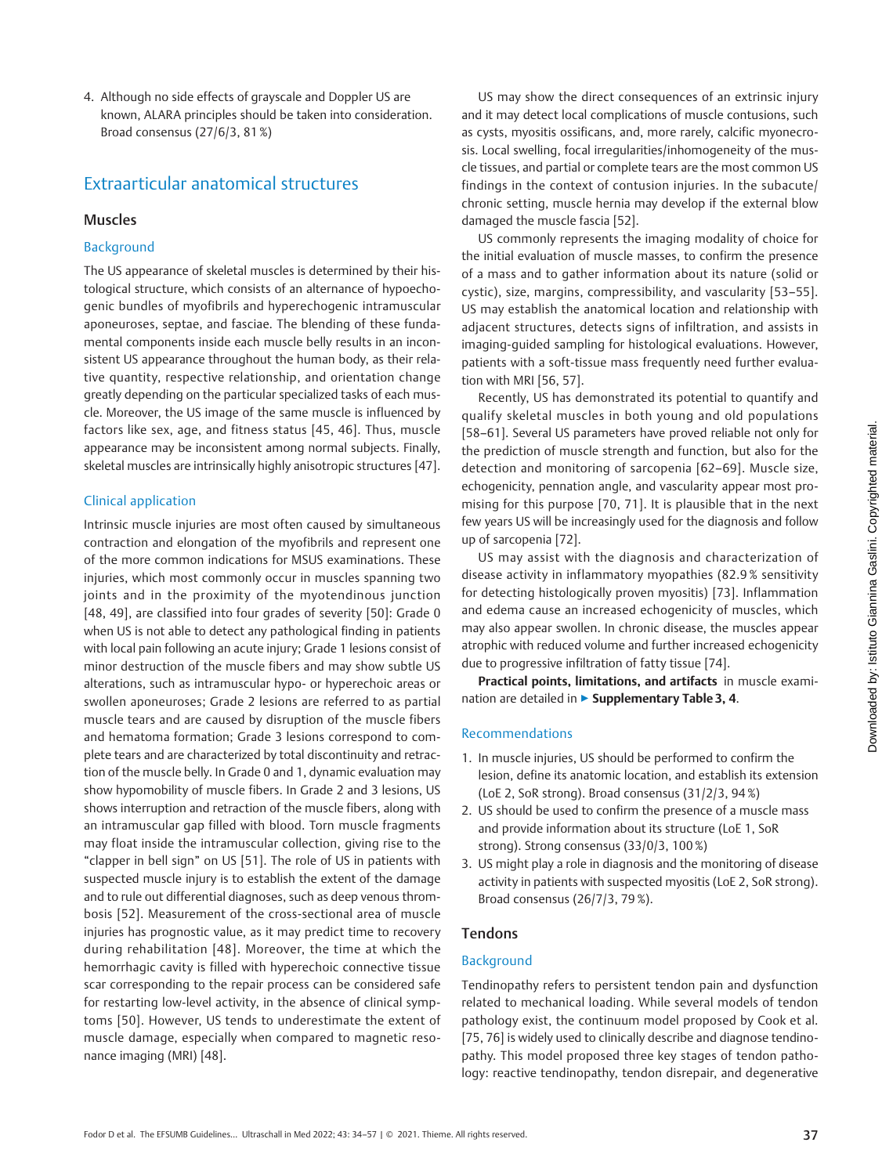4. Although no side effects of grayscale and Doppler US are known, ALARA principles should be taken into consideration. Broad consensus (27/6/3, 81 %)

# Extraarticular anatomical structures

# Muscles

# Background

The US appearance of skeletal muscles is determined by their histological structure, which consists of an alternance of hypoechogenic bundles of myofibrils and hyperechogenic intramuscular aponeuroses, septae, and fasciae. The blending of these fundamental components inside each muscle belly results in an inconsistent US appearance throughout the human body, as their relative quantity, respective relationship, and orientation change greatly depending on the particular specialized tasks of each muscle. Moreover, the US image of the same muscle is influenced by factors like sex, age, and fitness status [45, 46]. Thus, muscle appearance may be inconsistent among normal subjects. Finally, skeletal muscles are intrinsically highly anisotropic structures [47].

# Clinical application

Intrinsic muscle injuries are most often caused by simultaneous contraction and elongation of the myofibrils and represent one of the more common indications for MSUS examinations. These injuries, which most commonly occur in muscles spanning two joints and in the proximity of the myotendinous junction [48, 49], are classified into four grades of severity [50]: Grade 0 when US is not able to detect any pathological finding in patients with local pain following an acute injury; Grade 1 lesions consist of minor destruction of the muscle fibers and may show subtle US alterations, such as intramuscular hypo- or hyperechoic areas or swollen aponeuroses; Grade 2 lesions are referred to as partial muscle tears and are caused by disruption of the muscle fibers and hematoma formation; Grade 3 lesions correspond to complete tears and are characterized by total discontinuity and retraction of the muscle belly. In Grade 0 and 1, dynamic evaluation may show hypomobility of muscle fibers. In Grade 2 and 3 lesions, US shows interruption and retraction of the muscle fibers, along with an intramuscular gap filled with blood. Torn muscle fragments may float inside the intramuscular collection, giving rise to the "clapper in bell sign" on US [51]. The role of US in patients with suspected muscle injury is to establish the extent of the damage and to rule out differential diagnoses, such as deep venous thrombosis [52]. Measurement of the cross-sectional area of muscle injuries has prognostic value, as it may predict time to recovery during rehabilitation [48]. Moreover, the time at which the hemorrhagic cavity is filled with hyperechoic connective tissue scar corresponding to the repair process can be considered safe for restarting low-level activity, in the absence of clinical symptoms [50]. However, US tends to underestimate the extent of muscle damage, especially when compared to magnetic resonance imaging (MRI) [48].

US may show the direct consequences of an extrinsic injury and it may detect local complications of muscle contusions, such as cysts, myositis ossificans, and, more rarely, calcific myonecrosis. Local swelling, focal irregularities/inhomogeneity of the muscle tissues, and partial or complete tears are the most common US findings in the context of contusion injuries. In the subacute/ chronic setting, muscle hernia may develop if the external blow damaged the muscle fascia [52].

US commonly represents the imaging modality of choice for the initial evaluation of muscle masses, to confirm the presence of a mass and to gather information about its nature (solid or cystic), size, margins, compressibility, and vascularity [53–55]. US may establish the anatomical location and relationship with adjacent structures, detects signs of infiltration, and assists in imaging-guided sampling for histological evaluations. However, patients with a soft-tissue mass frequently need further evaluation with MRI [56, 57].

Recently, US has demonstrated its potential to quantify and qualify skeletal muscles in both young and old populations [58–61]. Several US parameters have proved reliable not only for the prediction of muscle strength and function, but also for the detection and monitoring of sarcopenia [62–69]. Muscle size, echogenicity, pennation angle, and vascularity appear most promising for this purpose [70, 71]. It is plausible that in the next few years US will be increasingly used for the diagnosis and follow up of sarcopenia [72].

US may assist with the diagnosis and characterization of disease activity in inflammatory myopathies (82.9 % sensitivity for detecting histologically proven myositis) [73]. Inflammation and edema cause an increased echogenicity of muscles, which may also appear swollen. In chronic disease, the muscles appear atrophic with reduced volume and further increased echogenicity due to progressive infiltration of fatty tissue [74].

Practical points, limitations, and artifacts in muscle examination are detailed in ▶ Supplementary Table 3, 4.

# Recommendations

- 1. In muscle injuries, US should be performed to confirm the lesion, define its anatomic location, and establish its extension (LoE 2, SoR strong). Broad consensus (31/2/3, 94 %)
- 2. US should be used to confirm the presence of a muscle mass and provide information about its structure (LoE 1, SoR strong). Strong consensus (33/0/3, 100 %)
- 3. US might play a role in diagnosis and the monitoring of disease activity in patients with suspected myositis (LoE 2, SoR strong). Broad consensus (26/7/3, 79 %).

# Tendons

# Background

Tendinopathy refers to persistent tendon pain and dysfunction related to mechanical loading. While several models of tendon pathology exist, the continuum model proposed by Cook et al. [75, 76] is widely used to clinically describe and diagnose tendinopathy. This model proposed three key stages of tendon pathology: reactive tendinopathy, tendon disrepair, and degenerative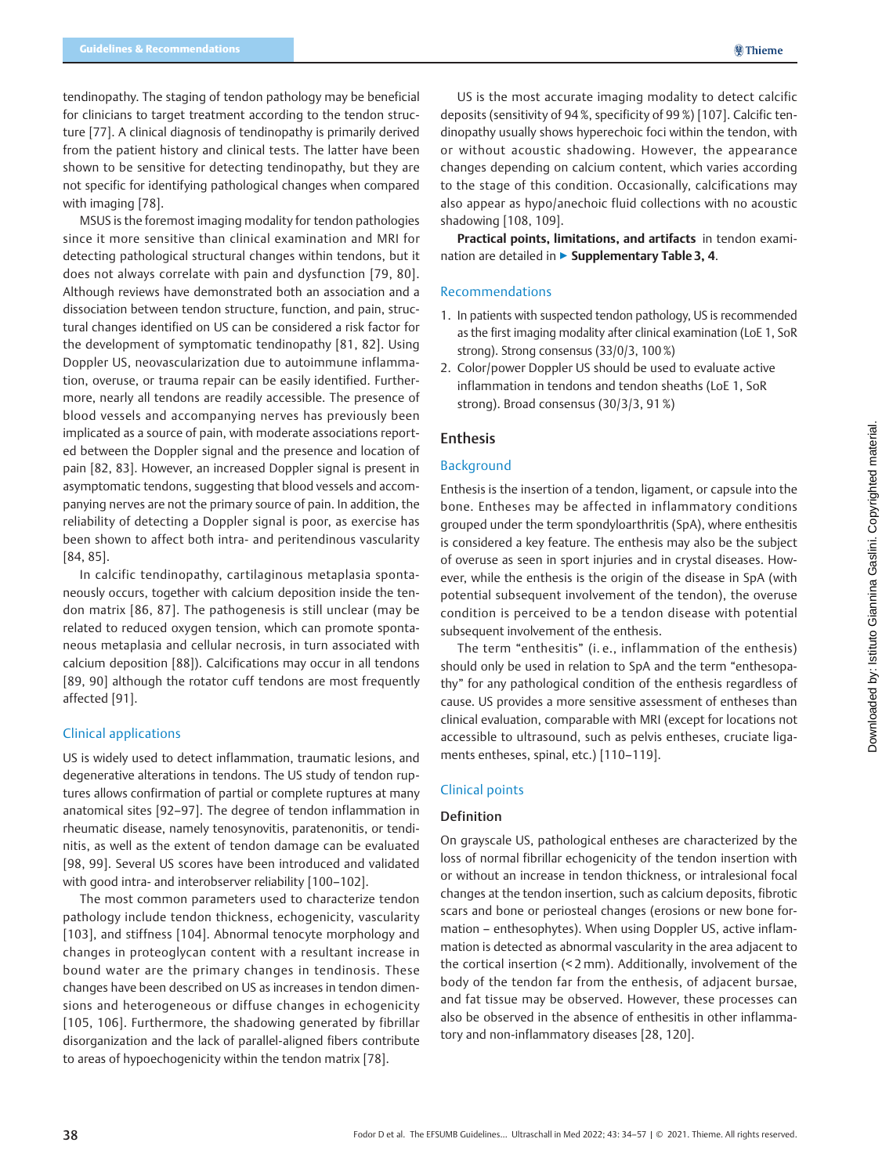tendinopathy. The staging of tendon pathology may be beneficial for clinicians to target treatment according to the tendon structure [77]. A clinical diagnosis of tendinopathy is primarily derived from the patient history and clinical tests. The latter have been shown to be sensitive for detecting tendinopathy, but they are not specific for identifying pathological changes when compared with imaging [78].

MSUS is the foremost imaging modality for tendon pathologies since it more sensitive than clinical examination and MRI for detecting pathological structural changes within tendons, but it does not always correlate with pain and dysfunction [79, 80]. Although reviews have demonstrated both an association and a dissociation between tendon structure, function, and pain, structural changes identified on US can be considered a risk factor for the development of symptomatic tendinopathy [81, 82]. Using Doppler US, neovascularization due to autoimmune inflammation, overuse, or trauma repair can be easily identified. Furthermore, nearly all tendons are readily accessible. The presence of blood vessels and accompanying nerves has previously been implicated as a source of pain, with moderate associations reported between the Doppler signal and the presence and location of pain [82, 83]. However, an increased Doppler signal is present in asymptomatic tendons, suggesting that blood vessels and accompanying nerves are not the primary source of pain. In addition, the reliability of detecting a Doppler signal is poor, as exercise has been shown to affect both intra- and peritendinous vascularity [84, 85].

In calcific tendinopathy, cartilaginous metaplasia spontaneously occurs, together with calcium deposition inside the tendon matrix [86, 87]. The pathogenesis is still unclear (may be related to reduced oxygen tension, which can promote spontaneous metaplasia and cellular necrosis, in turn associated with calcium deposition [88]). Calcifications may occur in all tendons [89, 90] although the rotator cuff tendons are most frequently affected [91].

### Clinical applications

US is widely used to detect inflammation, traumatic lesions, and degenerative alterations in tendons. The US study of tendon ruptures allows confirmation of partial or complete ruptures at many anatomical sites [92–97]. The degree of tendon inflammation in rheumatic disease, namely tenosynovitis, paratenonitis, or tendinitis, as well as the extent of tendon damage can be evaluated [98, 99]. Several US scores have been introduced and validated with good intra- and interobserver reliability [100–102].

The most common parameters used to characterize tendon pathology include tendon thickness, echogenicity, vascularity [103], and stiffness [104]. Abnormal tenocyte morphology and changes in proteoglycan content with a resultant increase in bound water are the primary changes in tendinosis. These changes have been described on US as increases in tendon dimensions and heterogeneous or diffuse changes in echogenicity [105, 106]. Furthermore, the shadowing generated by fibrillar disorganization and the lack of parallel-aligned fibers contribute to areas of hypoechogenicity within the tendon matrix [78].

US is the most accurate imaging modality to detect calcific deposits (sensitivity of 94 %, specificity of 99 %) [107]. Calcific tendinopathy usually shows hyperechoic foci within the tendon, with or without acoustic shadowing. However, the appearance changes depending on calcium content, which varies according to the stage of this condition. Occasionally, calcifications may also appear as hypo/anechoic fluid collections with no acoustic shadowing [108, 109].

Practical points, limitations, and artifacts in tendon examination are detailed in ▶ Supplementary Table 3, 4.

# Recommendations

- 1. In patients with suspected tendon pathology, US is recommended as the first imaging modality after clinical examination (LoE 1, SoR strong). Strong consensus (33/0/3, 100 %)
- 2. Color/power Doppler US should be used to evaluate active inflammation in tendons and tendon sheaths (LoE 1, SoR strong). Broad consensus (30/3/3, 91 %)

### Enthesis

### Background

Enthesis is the insertion of a tendon, ligament, or capsule into the bone. Entheses may be affected in inflammatory conditions grouped under the term spondyloarthritis (SpA), where enthesitis is considered a key feature. The enthesis may also be the subject of overuse as seen in sport injuries and in crystal diseases. However, while the enthesis is the origin of the disease in SpA (with potential subsequent involvement of the tendon), the overuse condition is perceived to be a tendon disease with potential subsequent involvement of the enthesis.

The term "enthesitis" (i. e., inflammation of the enthesis) should only be used in relation to SpA and the term "enthesopathy" for any pathological condition of the enthesis regardless of cause. US provides a more sensitive assessment of entheses than clinical evaluation, comparable with MRI (except for locations not accessible to ultrasound, such as pelvis entheses, cruciate ligaments entheses, spinal, etc.) [110–119].

### Clinical points

### Definition

On grayscale US, pathological entheses are characterized by the loss of normal fibrillar echogenicity of the tendon insertion with or without an increase in tendon thickness, or intralesional focal changes at the tendon insertion, such as calcium deposits, fibrotic scars and bone or periosteal changes (erosions or new bone formation – enthesophytes). When using Doppler US, active inflammation is detected as abnormal vascularity in the area adjacent to the cortical insertion (< 2 mm). Additionally, involvement of the body of the tendon far from the enthesis, of adjacent bursae, and fat tissue may be observed. However, these processes can also be observed in the absence of enthesitis in other inflammatory and non-inflammatory diseases [28, 120].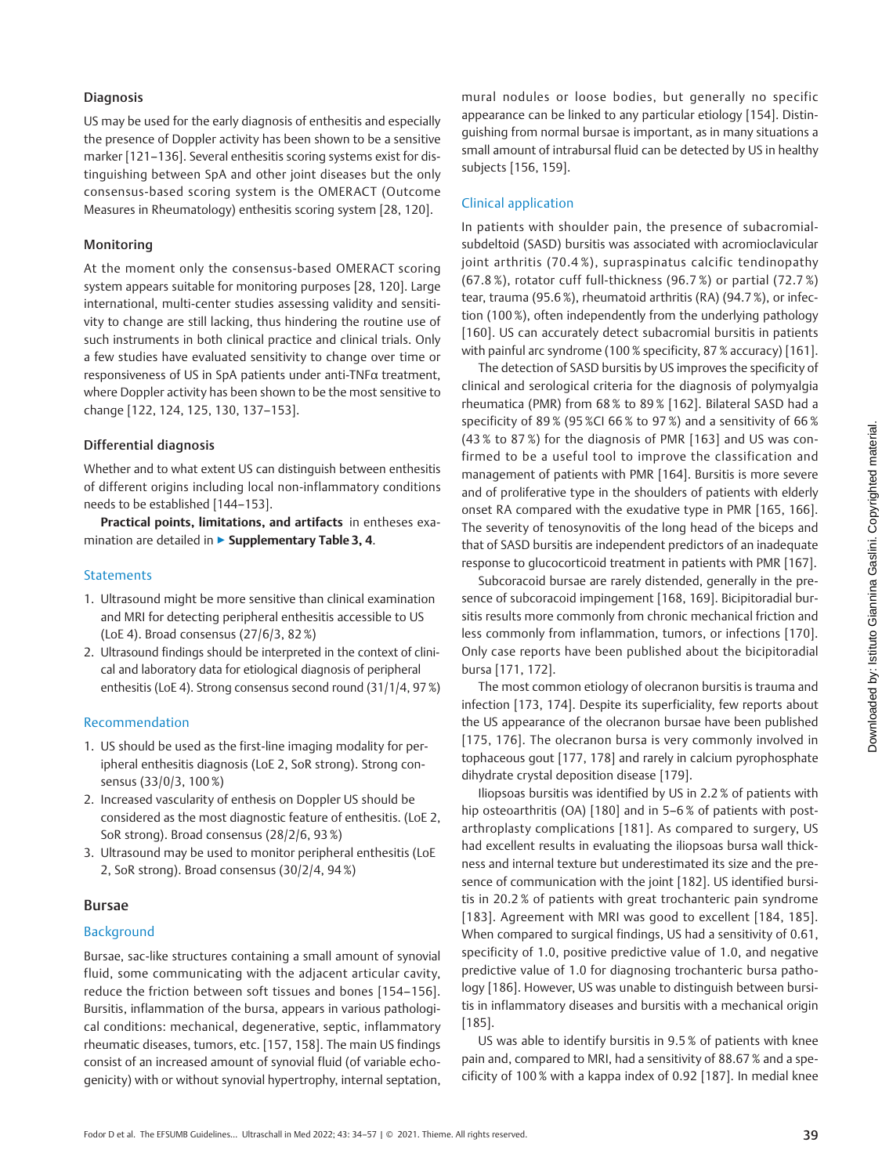# Diagnosis

US may be used for the early diagnosis of enthesitis and especially the presence of Doppler activity has been shown to be a sensitive marker [121–136]. Several enthesitis scoring systems exist for distinguishing between SpA and other joint diseases but the only consensus-based scoring system is the OMERACT (Outcome Measures in Rheumatology) enthesitis scoring system [28, 120].

# Monitoring

At the moment only the consensus-based OMERACT scoring system appears suitable for monitoring purposes [28, 120]. Large international, multi-center studies assessing validity and sensitivity to change are still lacking, thus hindering the routine use of such instruments in both clinical practice and clinical trials. Only a few studies have evaluated sensitivity to change over time or responsiveness of US in SpA patients under anti-TNFα treatment, where Doppler activity has been shown to be the most sensitive to change [122, 124, 125, 130, 137–153].

# Differential diagnosis

Whether and to what extent US can distinguish between enthesitis of different origins including local non-inflammatory conditions needs to be established [144–153].

Practical points, limitations, and artifacts in entheses examination are detailed in ▶ Supplementary Table 3, 4.

# **Statements**

- 1. Ultrasound might be more sensitive than clinical examination and MRI for detecting peripheral enthesitis accessible to US (LoE 4). Broad consensus (27/6/3, 82 %)
- 2. Ultrasound findings should be interpreted in the context of clinical and laboratory data for etiological diagnosis of peripheral enthesitis (LoE 4). Strong consensus second round (31/1/4, 97 %)

# Recommendation

- 1. US should be used as the first-line imaging modality for peripheral enthesitis diagnosis (LoE 2, SoR strong). Strong consensus (33/0/3, 100 %)
- 2. Increased vascularity of enthesis on Doppler US should be considered as the most diagnostic feature of enthesitis. (LoE 2, SoR strong). Broad consensus (28/2/6, 93 %)
- 3. Ultrasound may be used to monitor peripheral enthesitis (LoE 2, SoR strong). Broad consensus (30/2/4, 94 %)

# Bursae

# Background

Bursae, sac-like structures containing a small amount of synovial fluid, some communicating with the adjacent articular cavity, reduce the friction between soft tissues and bones [154–156]. Bursitis, inflammation of the bursa, appears in various pathological conditions: mechanical, degenerative, septic, inflammatory rheumatic diseases, tumors, etc. [157, 158]. The main US findings consist of an increased amount of synovial fluid (of variable echogenicity) with or without synovial hypertrophy, internal septation,

mural nodules or loose bodies, but generally no specific appearance can be linked to any particular etiology [154]. Distinguishing from normal bursae is important, as in many situations a small amount of intrabursal fluid can be detected by US in healthy subjects [156, 159].

# Clinical application

In patients with shoulder pain, the presence of subacromialsubdeltoid (SASD) bursitis was associated with acromioclavicular joint arthritis (70.4 %), supraspinatus calcific tendinopathy (67.8 %), rotator cuff full-thickness (96.7 %) or partial (72.7 %) tear, trauma (95.6 %), rheumatoid arthritis (RA) (94.7 %), or infection (100 %), often independently from the underlying pathology [160]. US can accurately detect subacromial bursitis in patients with painful arc syndrome (100 % specificity, 87 % accuracy) [161].

The detection of SASD bursitis by US improves the specificity of clinical and serological criteria for the diagnosis of polymyalgia rheumatica (PMR) from 68 % to 89 % [162]. Bilateral SASD had a specificity of 89 % (95 %CI 66 % to 97 %) and a sensitivity of 66 % (43 % to 87 %) for the diagnosis of PMR [163] and US was confirmed to be a useful tool to improve the classification and management of patients with PMR [164]. Bursitis is more severe and of proliferative type in the shoulders of patients with elderly onset RA compared with the exudative type in PMR [165, 166]. The severity of tenosynovitis of the long head of the biceps and that of SASD bursitis are independent predictors of an inadequate response to glucocorticoid treatment in patients with PMR [167].

Subcoracoid bursae are rarely distended, generally in the presence of subcoracoid impingement [168, 169]. Bicipitoradial bursitis results more commonly from chronic mechanical friction and less commonly from inflammation, tumors, or infections [170]. Only case reports have been published about the bicipitoradial bursa [171, 172].

The most common etiology of olecranon bursitis is trauma and infection [173, 174]. Despite its superficiality, few reports about the US appearance of the olecranon bursae have been published [175, 176]. The olecranon bursa is very commonly involved in tophaceous gout [177, 178] and rarely in calcium pyrophosphate dihydrate crystal deposition disease [179].

Iliopsoas bursitis was identified by US in 2.2 % of patients with hip osteoarthritis (OA) [180] and in 5–6% of patients with postarthroplasty complications [181]. As compared to surgery, US had excellent results in evaluating the iliopsoas bursa wall thickness and internal texture but underestimated its size and the presence of communication with the joint [182]. US identified bursitis in 20.2 % of patients with great trochanteric pain syndrome [183]. Agreement with MRI was good to excellent [184, 185]. When compared to surgical findings, US had a sensitivity of 0.61, specificity of 1.0, positive predictive value of 1.0, and negative predictive value of 1.0 for diagnosing trochanteric bursa pathology [186]. However, US was unable to distinguish between bursitis in inflammatory diseases and bursitis with a mechanical origin [185].

US was able to identify bursitis in 9.5 % of patients with knee pain and, compared to MRI, had a sensitivity of 88.67 % and a specificity of 100 % with a kappa index of 0.92 [187]. In medial knee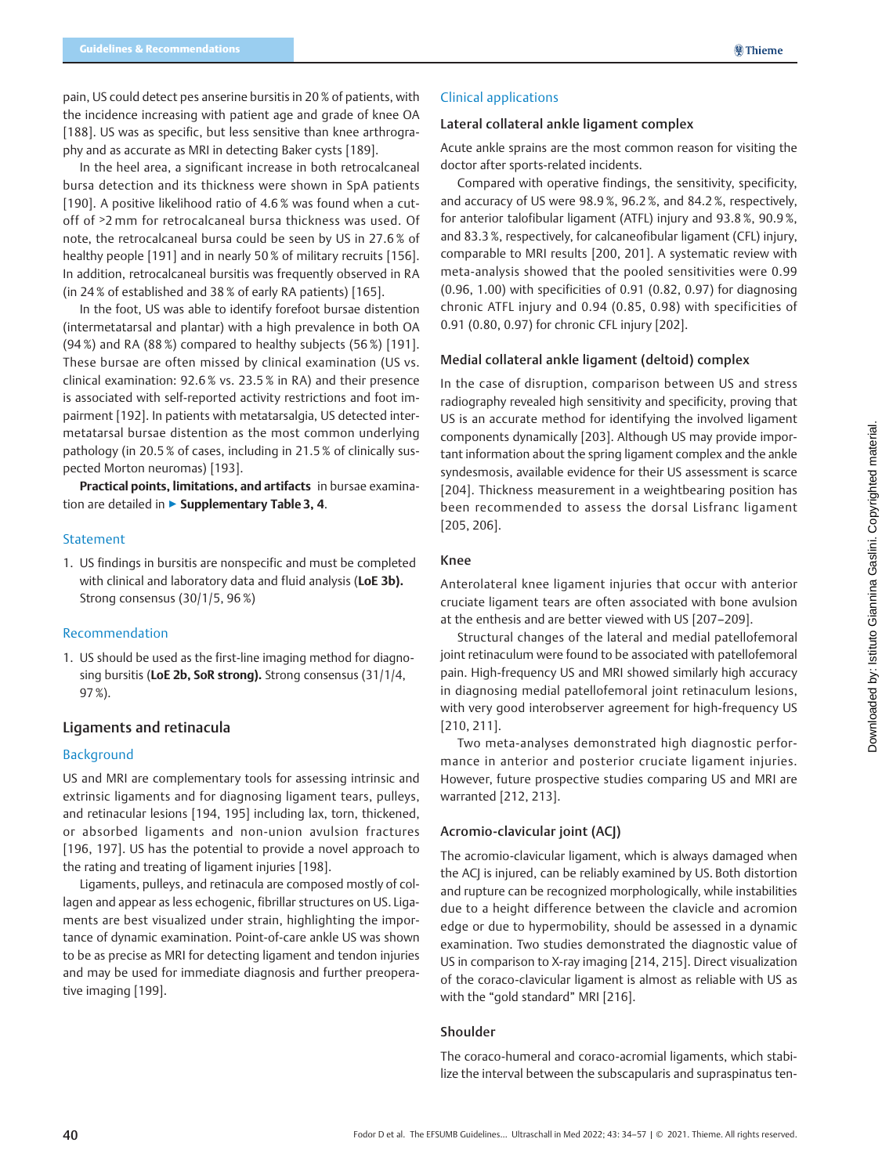pain, US could detect pes anserine bursitis in 20 % of patients, with the incidence increasing with patient age and grade of knee OA [188]. US was as specific, but less sensitive than knee arthrography and as accurate as MRI in detecting Baker cysts [189].

In the heel area, a significant increase in both retrocalcaneal bursa detection and its thickness were shown in SpA patients [190]. A positive likelihood ratio of 4.6% was found when a cutoff of ˃2 mm for retrocalcaneal bursa thickness was used. Of note, the retrocalcaneal bursa could be seen by US in 27.6 % of healthy people [191] and in nearly 50 % of military recruits [156]. In addition, retrocalcaneal bursitis was frequently observed in RA (in 24 % of established and 38 % of early RA patients) [165].

In the foot, US was able to identify forefoot bursae distention (intermetatarsal and plantar) with a high prevalence in both OA (94 %) and RA (88 %) compared to healthy subjects (56 %) [191]. These bursae are often missed by clinical examination (US vs. clinical examination: 92.6 % vs. 23.5 % in RA) and their presence is associated with self-reported activity restrictions and foot impairment [192]. In patients with metatarsalgia, US detected intermetatarsal bursae distention as the most common underlying pathology (in 20.5 % of cases, including in 21.5 % of clinically suspected Morton neuromas) [193].

Practical points, limitations, and artifacts in bursae examination are detailed in ▶ Supplementary Table 3, 4.

### Statement

1. US findings in bursitis are nonspecific and must be completed with clinical and laboratory data and fluid analysis (LoE 3b). Strong consensus (30/1/5, 96 %)

### Recommendation

1. US should be used as the first-line imaging method for diagnosing bursitis (LoE 2b, SoR strong). Strong consensus (31/1/4, 97 %).

### Ligaments and retinacula

#### Background

US and MRI are complementary tools for assessing intrinsic and extrinsic ligaments and for diagnosing ligament tears, pulleys, and retinacular lesions [194, 195] including lax, torn, thickened, or absorbed ligaments and non-union avulsion fractures [196, 197]. US has the potential to provide a novel approach to the rating and treating of ligament injuries [198].

Ligaments, pulleys, and retinacula are composed mostly of collagen and appear as less echogenic, fibrillar structures on US. Ligaments are best visualized under strain, highlighting the importance of dynamic examination. Point-of-care ankle US was shown to be as precise as MRI for detecting ligament and tendon injuries and may be used for immediate diagnosis and further preoperative imaging [199].

### Clinical applications

### Lateral collateral ankle ligament complex

Acute ankle sprains are the most common reason for visiting the doctor after sports-related incidents.

Compared with operative findings, the sensitivity, specificity, and accuracy of US were 98.9 %, 96.2 %, and 84.2 %, respectively, for anterior talofibular ligament (ATFL) injury and 93.8 %, 90.9 %, and 83.3 %, respectively, for calcaneofibular ligament (CFL) injury, comparable to MRI results [200, 201]. A systematic review with meta-analysis showed that the pooled sensitivities were 0.99 (0.96, 1.00) with specificities of 0.91 (0.82, 0.97) for diagnosing chronic ATFL injury and 0.94 (0.85, 0.98) with specificities of 0.91 (0.80, 0.97) for chronic CFL injury [202].

### Medial collateral ankle ligament (deltoid) complex

In the case of disruption, comparison between US and stress radiography revealed high sensitivity and specificity, proving that US is an accurate method for identifying the involved ligament components dynamically [203]. Although US may provide important information about the spring ligament complex and the ankle syndesmosis, available evidence for their US assessment is scarce [204]. Thickness measurement in a weightbearing position has been recommended to assess the dorsal Lisfranc ligament [205, 206].

### Knee

Anterolateral knee ligament injuries that occur with anterior cruciate ligament tears are often associated with bone avulsion at the enthesis and are better viewed with US [207–209].

Structural changes of the lateral and medial patellofemoral joint retinaculum were found to be associated with patellofemoral pain. High-frequency US and MRI showed similarly high accuracy in diagnosing medial patellofemoral joint retinaculum lesions, with very good interobserver agreement for high-frequency US [210, 211].

Two meta-analyses demonstrated high diagnostic performance in anterior and posterior cruciate ligament injuries. However, future prospective studies comparing US and MRI are warranted [212, 213].

# Acromio-clavicular joint (ACJ)

The acromio-clavicular ligament, which is always damaged when the ACJ is injured, can be reliably examined by US. Both distortion and rupture can be recognized morphologically, while instabilities due to a height difference between the clavicle and acromion edge or due to hypermobility, should be assessed in a dynamic examination. Two studies demonstrated the diagnostic value of US in comparison to X-ray imaging [214, 215]. Direct visualization of the coraco-clavicular ligament is almost as reliable with US as with the "gold standard" MRI [216].

# Shoulder

The coraco-humeral and coraco-acromial ligaments, which stabilize the interval between the subscapularis and supraspinatus ten-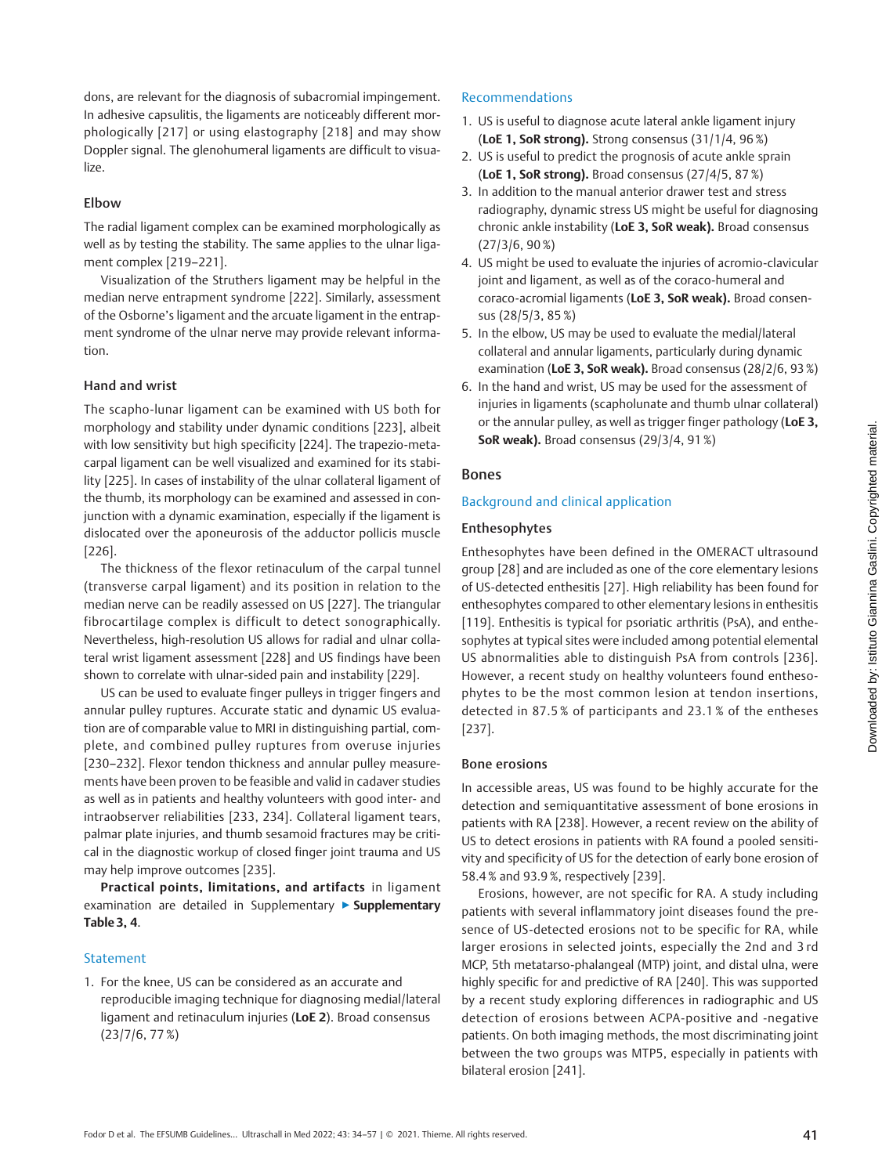dons, are relevant for the diagnosis of subacromial impingement. In adhesive capsulitis, the ligaments are noticeably different morphologically [217] or using elastography [218] and may show Doppler signal. The glenohumeral ligaments are difficult to visualize.

# Elbow

The radial ligament complex can be examined morphologically as well as by testing the stability. The same applies to the ulnar ligament complex [219–221].

Visualization of the Struthers ligament may be helpful in the median nerve entrapment syndrome [222]. Similarly, assessment of the Osborne's ligament and the arcuate ligament in the entrapment syndrome of the ulnar nerve may provide relevant information.

# Hand and wrist

The scapho-lunar ligament can be examined with US both for morphology and stability under dynamic conditions [223], albeit with low sensitivity but high specificity [224]. The trapezio-metacarpal ligament can be well visualized and examined for its stability [225]. In cases of instability of the ulnar collateral ligament of the thumb, its morphology can be examined and assessed in conjunction with a dynamic examination, especially if the ligament is dislocated over the aponeurosis of the adductor pollicis muscle [226].

The thickness of the flexor retinaculum of the carpal tunnel (transverse carpal ligament) and its position in relation to the median nerve can be readily assessed on US [227]. The triangular fibrocartilage complex is difficult to detect sonographically. Nevertheless, high-resolution US allows for radial and ulnar collateral wrist ligament assessment [228] and US findings have been shown to correlate with ulnar-sided pain and instability [229].

US can be used to evaluate finger pulleys in trigger fingers and annular pulley ruptures. Accurate static and dynamic US evaluation are of comparable value to MRI in distinguishing partial, complete, and combined pulley ruptures from overuse injuries [230–232]. Flexor tendon thickness and annular pulley measurements have been proven to be feasible and valid in cadaver studies as well as in patients and healthy volunteers with good inter- and intraobserver reliabilities [233, 234]. Collateral ligament tears, palmar plate injuries, and thumb sesamoid fractures may be critical in the diagnostic workup of closed finger joint trauma and US may help improve outcomes [235].

Practical points, limitations, and artifacts in ligament examination are detailed in Supplementary ▶ Supplementary Table 3, 4.

# **Statement**

1. For the knee, US can be considered as an accurate and reproducible imaging technique for diagnosing medial/lateral ligament and retinaculum injuries (LoE 2). Broad consensus (23/7/6, 77 %)

# Recommendations

- 1. US is useful to diagnose acute lateral ankle ligament injury (LoE 1, SoR strong). Strong consensus (31/1/4, 96 %)
- 2. US is useful to predict the prognosis of acute ankle sprain (LoE 1, SoR strong). Broad consensus (27/4/5, 87 %)
- 3. In addition to the manual anterior drawer test and stress radiography, dynamic stress US might be useful for diagnosing chronic ankle instability (LoE 3, SoR weak). Broad consensus (27/3/6, 90 %)
- 4. US might be used to evaluate the injuries of acromio-clavicular joint and ligament, as well as of the coraco-humeral and coraco-acromial ligaments (LoE 3, SoR weak). Broad consensus (28/5/3, 85 %)
- 5. In the elbow, US may be used to evaluate the medial/lateral collateral and annular ligaments, particularly during dynamic examination (LoE 3, SoR weak). Broad consensus (28/2/6, 93%)
- 6. In the hand and wrist, US may be used for the assessment of injuries in ligaments (scapholunate and thumb ulnar collateral) or the annular pulley, as well as trigger finger pathology (LoE 3, SoR weak). Broad consensus (29/3/4, 91%)

# Bones

# Background and clinical application

# Enthesophytes

Enthesophytes have been defined in the OMERACT ultrasound group [28] and are included as one of the core elementary lesions of US-detected enthesitis [27]. High reliability has been found for enthesophytes compared to other elementary lesions in enthesitis [119]. Enthesitis is typical for psoriatic arthritis (PsA), and enthesophytes at typical sites were included among potential elemental US abnormalities able to distinguish PsA from controls [236]. However, a recent study on healthy volunteers found enthesophytes to be the most common lesion at tendon insertions, detected in 87.5 % of participants and 23.1 % of the entheses [237].

# Bone erosions

In accessible areas, US was found to be highly accurate for the detection and semiquantitative assessment of bone erosions in patients with RA [238]. However, a recent review on the ability of US to detect erosions in patients with RA found a pooled sensitivity and specificity of US for the detection of early bone erosion of 58.4 % and 93.9 %, respectively [239].

Erosions, however, are not specific for RA. A study including patients with several inflammatory joint diseases found the presence of US-detected erosions not to be specific for RA, while larger erosions in selected joints, especially the 2nd and 3 rd MCP, 5th metatarso-phalangeal (MTP) joint, and distal ulna, were highly specific for and predictive of RA [240]. This was supported by a recent study exploring differences in radiographic and US detection of erosions between ACPA-positive and -negative patients. On both imaging methods, the most discriminating joint between the two groups was MTP5, especially in patients with bilateral erosion [241].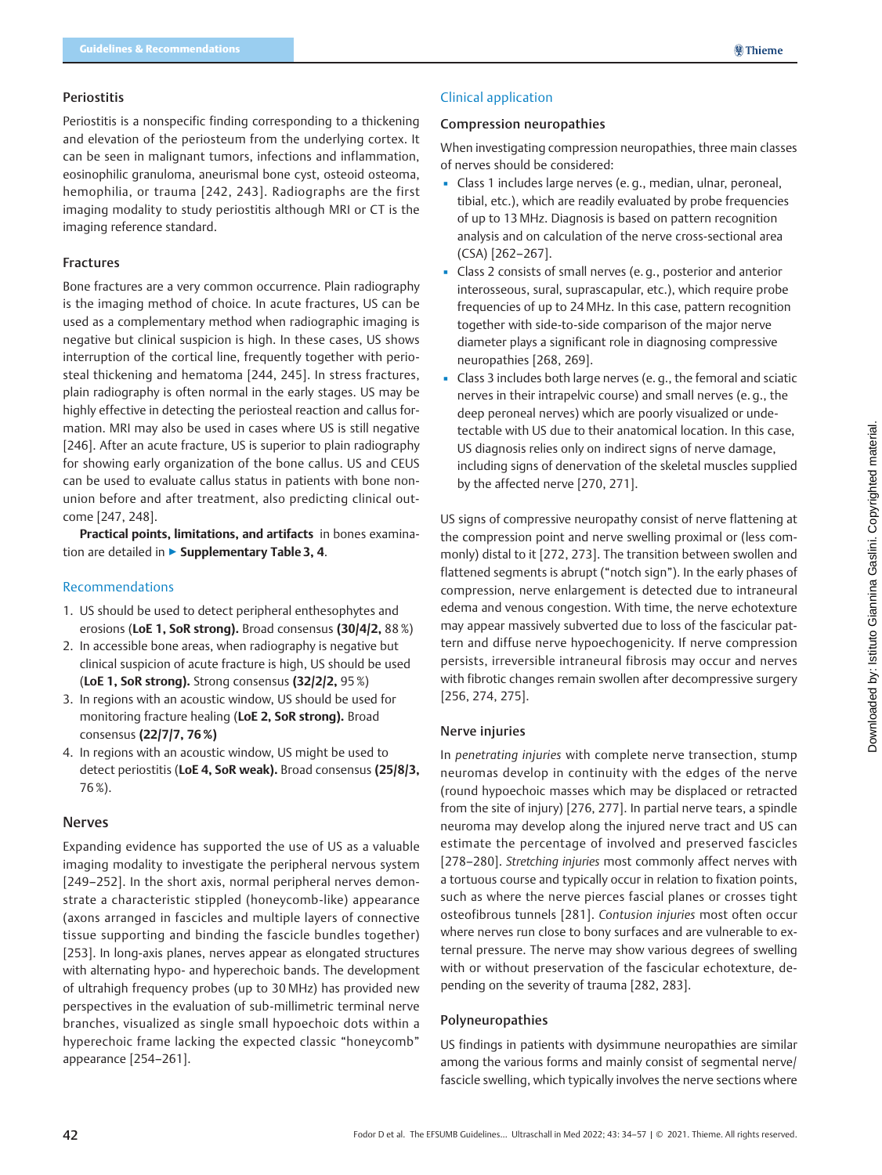### Periostitis

Periostitis is a nonspecific finding corresponding to a thickening and elevation of the periosteum from the underlying cortex. It can be seen in malignant tumors, infections and inflammation, eosinophilic granuloma, aneurismal bone cyst, osteoid osteoma, hemophilia, or trauma [242, 243]. Radiographs are the first imaging modality to study periostitis although MRI or CT is the imaging reference standard.

### Fractures

Bone fractures are a very common occurrence. Plain radiography is the imaging method of choice. In acute fractures, US can be used as a complementary method when radiographic imaging is negative but clinical suspicion is high. In these cases, US shows interruption of the cortical line, frequently together with periosteal thickening and hematoma [244, 245]. In stress fractures, plain radiography is often normal in the early stages. US may be highly effective in detecting the periosteal reaction and callus formation. MRI may also be used in cases where US is still negative [246]. After an acute fracture, US is superior to plain radiography for showing early organization of the bone callus. US and CEUS can be used to evaluate callus status in patients with bone nonunion before and after treatment, also predicting clinical outcome [247, 248].

Practical points, limitations, and artifacts in bones examination are detailed in ▶ Supplementary Table 3, 4.

### Recommendations

- 1. US should be used to detect peripheral enthesophytes and erosions (LoE 1, SoR strong). Broad consensus (30/4/2, 88 %)
- 2. In accessible bone areas, when radiography is negative but clinical suspicion of acute fracture is high, US should be used (LoE 1, SoR strong). Strong consensus (32/2/2, 95 %)
- 3. In regions with an acoustic window, US should be used for monitoring fracture healing (LoE 2, SoR strong). Broad consensus (22/7/7, 76 %)
- 4. In regions with an acoustic window, US might be used to detect periostitis (LoE 4, SoR weak). Broad consensus (25/8/3, 76 %).

### Nerves

Expanding evidence has supported the use of US as a valuable imaging modality to investigate the peripheral nervous system [249–252]. In the short axis, normal peripheral nerves demonstrate a characteristic stippled (honeycomb-like) appearance (axons arranged in fascicles and multiple layers of connective tissue supporting and binding the fascicle bundles together) [253]. In long-axis planes, nerves appear as elongated structures with alternating hypo- and hyperechoic bands. The development of ultrahigh frequency probes (up to 30 MHz) has provided new perspectives in the evaluation of sub-millimetric terminal nerve branches, visualized as single small hypoechoic dots within a hyperechoic frame lacking the expected classic "honeycomb" appearance [254–261].

### Clinical application

### Compression neuropathies

When investigating compression neuropathies, three main classes of nerves should be considered:

- Class 1 includes large nerves (e. g., median, ulnar, peroneal, tibial, etc.), which are readily evaluated by probe frequencies of up to 13 MHz. Diagnosis is based on pattern recognition analysis and on calculation of the nerve cross-sectional area (CSA) [262–267].
- Class 2 consists of small nerves (e.g., posterior and anterior interosseous, sural, suprascapular, etc.), which require probe frequencies of up to 24 MHz. In this case, pattern recognition together with side-to-side comparison of the major nerve diameter plays a significant role in diagnosing compressive neuropathies [268, 269].
- Class 3 includes both large nerves (e. g., the femoral and sciatic nerves in their intrapelvic course) and small nerves (e. g., the deep peroneal nerves) which are poorly visualized or undetectable with US due to their anatomical location. In this case, US diagnosis relies only on indirect signs of nerve damage, including signs of denervation of the skeletal muscles supplied by the affected nerve [270, 271].

US signs of compressive neuropathy consist of nerve flattening at the compression point and nerve swelling proximal or (less commonly) distal to it [272, 273]. The transition between swollen and flattened segments is abrupt ("notch sign"). In the early phases of compression, nerve enlargement is detected due to intraneural edema and venous congestion. With time, the nerve echotexture may appear massively subverted due to loss of the fascicular pattern and diffuse nerve hypoechogenicity. If nerve compression persists, irreversible intraneural fibrosis may occur and nerves with fibrotic changes remain swollen after decompressive surgery [256, 274, 275].

# Nerve injuries

In penetrating injuries with complete nerve transection, stump neuromas develop in continuity with the edges of the nerve (round hypoechoic masses which may be displaced or retracted from the site of injury) [276, 277]. In partial nerve tears, a spindle neuroma may develop along the injured nerve tract and US can estimate the percentage of involved and preserved fascicles [278–280]. Stretching injuries most commonly affect nerves with a tortuous course and typically occur in relation to fixation points, such as where the nerve pierces fascial planes or crosses tight osteofibrous tunnels [281]. Contusion injuries most often occur where nerves run close to bony surfaces and are vulnerable to external pressure. The nerve may show various degrees of swelling with or without preservation of the fascicular echotexture, depending on the severity of trauma [282, 283].

### Polyneuropathies

US findings in patients with dysimmune neuropathies are similar among the various forms and mainly consist of segmental nerve/ fascicle swelling, which typically involves the nerve sections where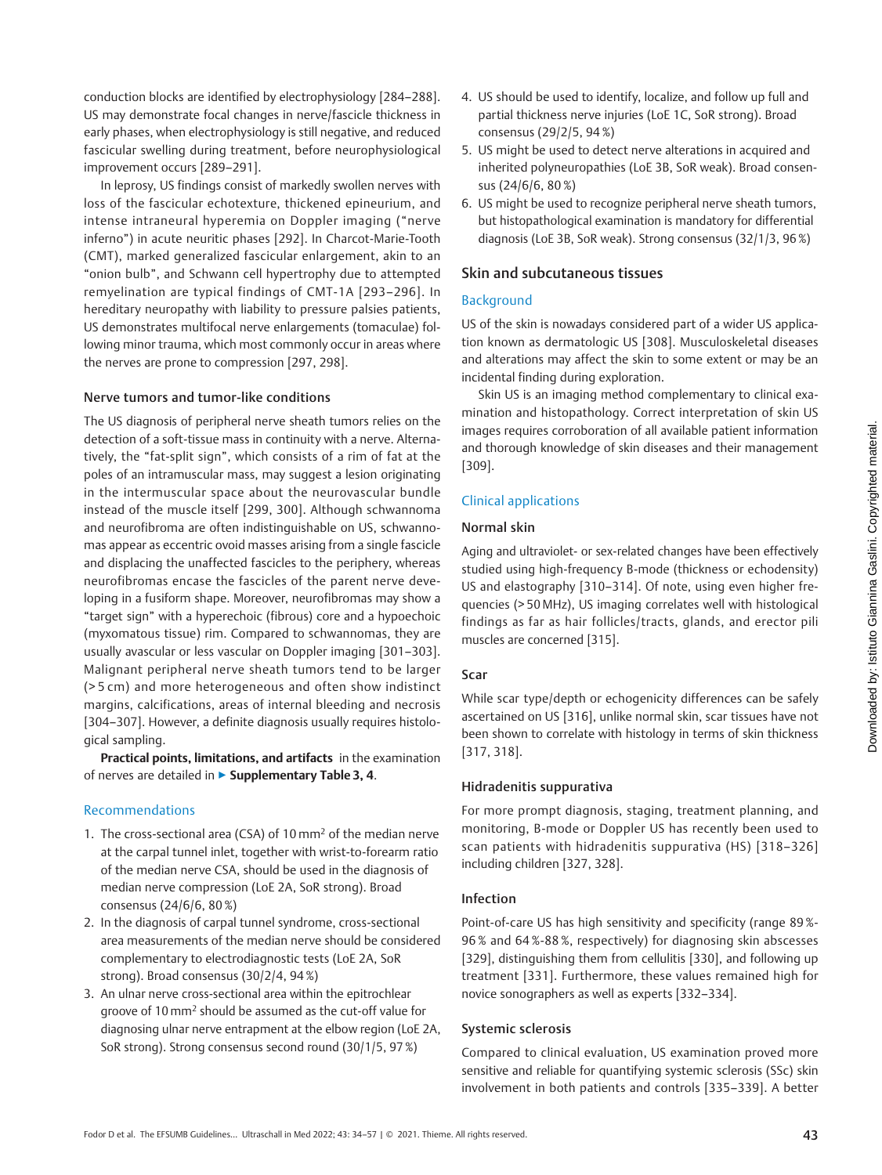conduction blocks are identified by electrophysiology [284–288]. US may demonstrate focal changes in nerve/fascicle thickness in early phases, when electrophysiology is still negative, and reduced fascicular swelling during treatment, before neurophysiological improvement occurs [289–291].

In leprosy, US findings consist of markedly swollen nerves with loss of the fascicular echotexture, thickened epineurium, and intense intraneural hyperemia on Doppler imaging ("nerve inferno") in acute neuritic phases [292]. In Charcot-Marie-Tooth (CMT), marked generalized fascicular enlargement, akin to an "onion bulb", and Schwann cell hypertrophy due to attempted remyelination are typical findings of CMT-1A [293–296]. In hereditary neuropathy with liability to pressure palsies patients, US demonstrates multifocal nerve enlargements (tomaculae) following minor trauma, which most commonly occur in areas where the nerves are prone to compression [297, 298].

### Nerve tumors and tumor-like conditions

The US diagnosis of peripheral nerve sheath tumors relies on the detection of a soft-tissue mass in continuity with a nerve. Alternatively, the "fat-split sign", which consists of a rim of fat at the poles of an intramuscular mass, may suggest a lesion originating in the intermuscular space about the neurovascular bundle instead of the muscle itself [299, 300]. Although schwannoma and neurofibroma are often indistinguishable on US, schwannomas appear as eccentric ovoid masses arising from a single fascicle and displacing the unaffected fascicles to the periphery, whereas neurofibromas encase the fascicles of the parent nerve developing in a fusiform shape. Moreover, neurofibromas may show a "target sign" with a hyperechoic (fibrous) core and a hypoechoic (myxomatous tissue) rim. Compared to schwannomas, they are usually avascular or less vascular on Doppler imaging [301–303]. Malignant peripheral nerve sheath tumors tend to be larger (> 5 cm) and more heterogeneous and often show indistinct margins, calcifications, areas of internal bleeding and necrosis [304–307]. However, a definite diagnosis usually requires histological sampling.

Practical points, limitations, and artifacts in the examination of nerves are detailed in ► Supplementary Table 3, 4.

### Recommendations

- 1. The cross-sectional area (CSA) of 10 mm2 of the median nerve at the carpal tunnel inlet, together with wrist-to-forearm ratio of the median nerve CSA, should be used in the diagnosis of median nerve compression (LoE 2A, SoR strong). Broad consensus (24/6/6, 80 %)
- 2. In the diagnosis of carpal tunnel syndrome, cross-sectional area measurements of the median nerve should be considered complementary to electrodiagnostic tests (LoE 2A, SoR strong). Broad consensus (30/2/4, 94 %)
- 3. An ulnar nerve cross-sectional area within the epitrochlear groove of 10 mm2 should be assumed as the cut-off value for diagnosing ulnar nerve entrapment at the elbow region (LoE 2A, SoR strong). Strong consensus second round (30/1/5, 97 %)
- 4. US should be used to identify, localize, and follow up full and partial thickness nerve injuries (LoE 1C, SoR strong). Broad consensus (29/2/5, 94 %)
- 5. US might be used to detect nerve alterations in acquired and inherited polyneuropathies (LoE 3B, SoR weak). Broad consensus (24/6/6, 80 %)
- 6. US might be used to recognize peripheral nerve sheath tumors, but histopathological examination is mandatory for differential diagnosis (LoE 3B, SoR weak). Strong consensus (32/1/3, 96 %)

# Skin and subcutaneous tissues

### Background

US of the skin is nowadays considered part of a wider US application known as dermatologic US [308]. Musculoskeletal diseases and alterations may affect the skin to some extent or may be an incidental finding during exploration.

Skin US is an imaging method complementary to clinical examination and histopathology. Correct interpretation of skin US images requires corroboration of all available patient information and thorough knowledge of skin diseases and their management [309].

# Clinical applications

### Normal skin

Aging and ultraviolet- or sex-related changes have been effectively studied using high-frequency B-mode (thickness or echodensity) US and elastography [310–314]. Of note, using even higher frequencies (> 50 MHz), US imaging correlates well with histological findings as far as hair follicles/tracts, glands, and erector pili muscles are concerned [315].

# Scar

While scar type/depth or echogenicity differences can be safely ascertained on US [316], unlike normal skin, scar tissues have not been shown to correlate with histology in terms of skin thickness [317, 318].

# Hidradenitis suppurativa

For more prompt diagnosis, staging, treatment planning, and monitoring, B-mode or Doppler US has recently been used to scan patients with hidradenitis suppurativa (HS) [318–326] including children [327, 328].

### Infection

Point-of-care US has high sensitivity and specificity (range 89 %- 96 % and 64 %-88 %, respectively) for diagnosing skin abscesses [329], distinguishing them from cellulitis [330], and following up treatment [331]. Furthermore, these values remained high for novice sonographers as well as experts [332–334].

### Systemic sclerosis

Compared to clinical evaluation, US examination proved more sensitive and reliable for quantifying systemic sclerosis (SSc) skin involvement in both patients and controls [335–339]. A better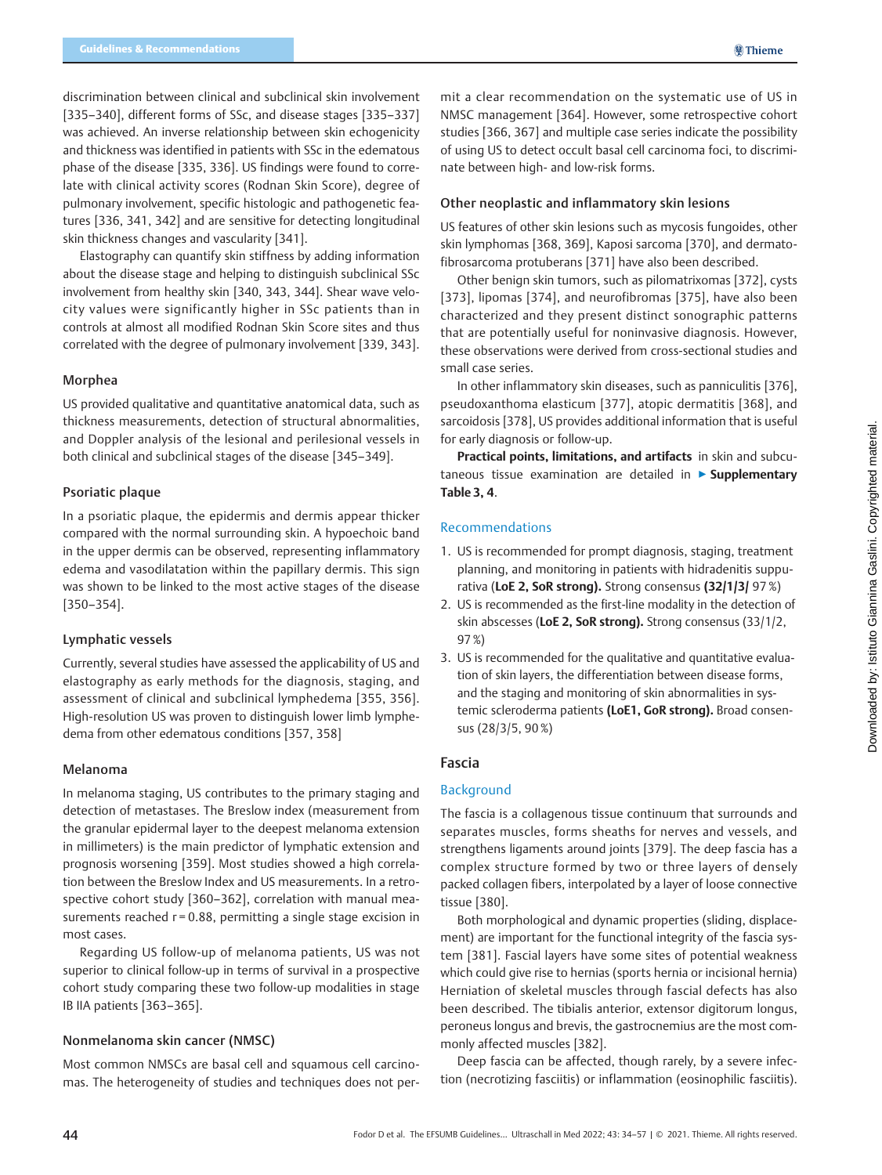discrimination between clinical and subclinical skin involvement [335–340], different forms of SSc, and disease stages [335–337] was achieved. An inverse relationship between skin echogenicity and thickness was identified in patients with SSc in the edematous phase of the disease [335, 336]. US findings were found to correlate with clinical activity scores (Rodnan Skin Score), degree of pulmonary involvement, specific histologic and pathogenetic features [336, 341, 342] and are sensitive for detecting longitudinal skin thickness changes and vascularity [341].

Elastography can quantify skin stiffness by adding information about the disease stage and helping to distinguish subclinical SSc involvement from healthy skin [340, 343, 344]. Shear wave velocity values were significantly higher in SSc patients than in controls at almost all modified Rodnan Skin Score sites and thus correlated with the degree of pulmonary involvement [339, 343].

# Morphea

US provided qualitative and quantitative anatomical data, such as thickness measurements, detection of structural abnormalities, and Doppler analysis of the lesional and perilesional vessels in both clinical and subclinical stages of the disease [345–349].

### Psoriatic plaque

In a psoriatic plaque, the epidermis and dermis appear thicker compared with the normal surrounding skin. A hypoechoic band in the upper dermis can be observed, representing inflammatory edema and vasodilatation within the papillary dermis. This sign was shown to be linked to the most active stages of the disease [350–354].

### Lymphatic vessels

Currently, several studies have assessed the applicability of US and elastography as early methods for the diagnosis, staging, and assessment of clinical and subclinical lymphedema [355, 356]. High-resolution US was proven to distinguish lower limb lymphedema from other edematous conditions [357, 358]

#### Melanoma

In melanoma staging, US contributes to the primary staging and detection of metastases. The Breslow index (measurement from the granular epidermal layer to the deepest melanoma extension in millimeters) is the main predictor of lymphatic extension and prognosis worsening [359]. Most studies showed a high correlation between the Breslow Index and US measurements. In a retrospective cohort study [360–362], correlation with manual measurements reached  $r = 0.88$ , permitting a single stage excision in most cases.

Regarding US follow-up of melanoma patients, US was not superior to clinical follow-up in terms of survival in a prospective cohort study comparing these two follow-up modalities in stage IB IIA patients [363–365].

### Nonmelanoma skin cancer (NMSC)

Most common NMSCs are basal cell and squamous cell carcinomas. The heterogeneity of studies and techniques does not permit a clear recommendation on the systematic use of US in NMSC management [364]. However, some retrospective cohort studies [366, 367] and multiple case series indicate the possibility of using US to detect occult basal cell carcinoma foci, to discriminate between high- and low-risk forms.

### Other neoplastic and inflammatory skin lesions

US features of other skin lesions such as mycosis fungoides, other skin lymphomas [368, 369], Kaposi sarcoma [370], and dermatofibrosarcoma protuberans [371] have also been described.

Other benign skin tumors, such as pilomatrixomas [372], cysts [373], lipomas [374], and neurofibromas [375], have also been characterized and they present distinct sonographic patterns that are potentially useful for noninvasive diagnosis. However, these observations were derived from cross-sectional studies and small case series.

In other inflammatory skin diseases, such as panniculitis [376], pseudoxanthoma elasticum [377], atopic dermatitis [368], and sarcoidosis [378], US provides additional information that is useful for early diagnosis or follow-up.

Practical points, limitations, and artifacts in skin and subcutaneous tissue examination are detailed in ▶ Supplementary Table 3, 4.

#### Recommendations

- 1. US is recommended for prompt diagnosis, staging, treatment planning, and monitoring in patients with hidradenitis suppurativa (LoE 2, SoR strong). Strong consensus (32/1/3/ 97 %)
- 2. US is recommended as the first-line modality in the detection of skin abscesses (LoE 2, SoR strong). Strong consensus (33/1/2, 97 %)
- 3. US is recommended for the qualitative and quantitative evaluation of skin layers, the differentiation between disease forms, and the staging and monitoring of skin abnormalities in systemic scleroderma patients (LoE1, GoR strong). Broad consensus (28/3/5, 90 %)

### Fascia

### Background

The fascia is a collagenous tissue continuum that surrounds and separates muscles, forms sheaths for nerves and vessels, and strengthens ligaments around joints [379]. The deep fascia has a complex structure formed by two or three layers of densely packed collagen fibers, interpolated by a layer of loose connective tissue [380].

Both morphological and dynamic properties (sliding, displacement) are important for the functional integrity of the fascia system [381]. Fascial layers have some sites of potential weakness which could give rise to hernias (sports hernia or incisional hernia) Herniation of skeletal muscles through fascial defects has also been described. The tibialis anterior, extensor digitorum longus, peroneus longus and brevis, the gastrocnemius are the most commonly affected muscles [382].

Deep fascia can be affected, though rarely, by a severe infection (necrotizing fasciitis) or inflammation (eosinophilic fasciitis).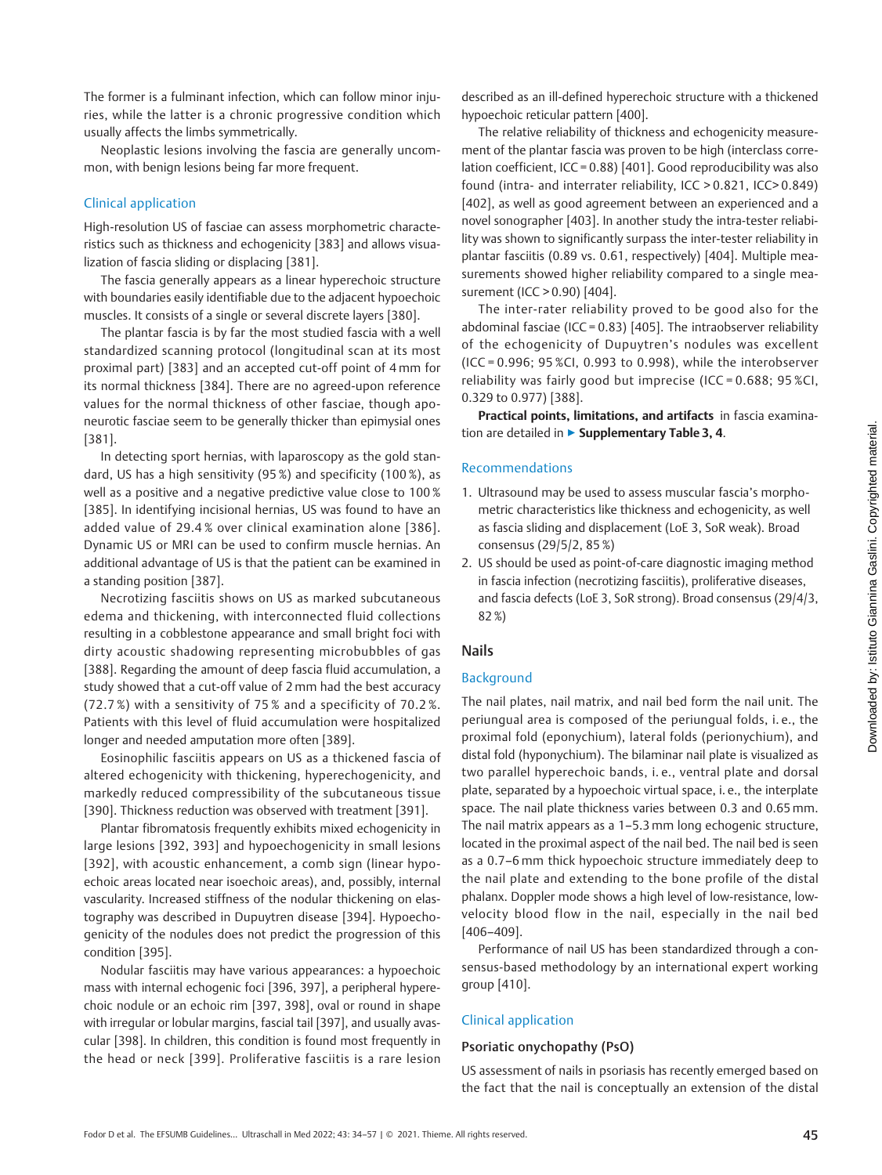The former is a fulminant infection, which can follow minor injuries, while the latter is a chronic progressive condition which usually affects the limbs symmetrically.

Neoplastic lesions involving the fascia are generally uncommon, with benign lesions being far more frequent.

### Clinical application

High-resolution US of fasciae can assess morphometric characteristics such as thickness and echogenicity [383] and allows visualization of fascia sliding or displacing [381].

The fascia generally appears as a linear hyperechoic structure with boundaries easily identifiable due to the adjacent hypoechoic muscles. It consists of a single or several discrete layers [380].

The plantar fascia is by far the most studied fascia with a well standardized scanning protocol (longitudinal scan at its most proximal part) [383] and an accepted cut-off point of 4 mm for its normal thickness [384]. There are no agreed-upon reference values for the normal thickness of other fasciae, though aponeurotic fasciae seem to be generally thicker than epimysial ones [381].

In detecting sport hernias, with laparoscopy as the gold standard, US has a high sensitivity (95 %) and specificity (100 %), as well as a positive and a negative predictive value close to 100 % [385]. In identifying incisional hernias, US was found to have an added value of 29.4 % over clinical examination alone [386]. Dynamic US or MRI can be used to confirm muscle hernias. An additional advantage of US is that the patient can be examined in a standing position [387].

Necrotizing fasciitis shows on US as marked subcutaneous edema and thickening, with interconnected fluid collections resulting in a cobblestone appearance and small bright foci with dirty acoustic shadowing representing microbubbles of gas [388]. Regarding the amount of deep fascia fluid accumulation, a study showed that a cut-off value of 2 mm had the best accuracy (72.7 %) with a sensitivity of 75 % and a specificity of 70.2 %. Patients with this level of fluid accumulation were hospitalized longer and needed amputation more often [389].

Eosinophilic fasciitis appears on US as a thickened fascia of altered echogenicity with thickening, hyperechogenicity, and markedly reduced compressibility of the subcutaneous tissue [390]. Thickness reduction was observed with treatment [391].

Plantar fibromatosis frequently exhibits mixed echogenicity in large lesions [392, 393] and hypoechogenicity in small lesions [392], with acoustic enhancement, a comb sign (linear hypoechoic areas located near isoechoic areas), and, possibly, internal vascularity. Increased stiffness of the nodular thickening on elastography was described in Dupuytren disease [394]. Hypoechogenicity of the nodules does not predict the progression of this condition [395].

Nodular fasciitis may have various appearances: a hypoechoic mass with internal echogenic foci [396, 397], a peripheral hyperechoic nodule or an echoic rim [397, 398], oval or round in shape with irregular or lobular margins, fascial tail [397], and usually avascular [398]. In children, this condition is found most frequently in the head or neck [399]. Proliferative fasciitis is a rare lesion described as an ill-defined hyperechoic structure with a thickened hypoechoic reticular pattern [400].

The relative reliability of thickness and echogenicity measurement of the plantar fascia was proven to be high (interclass correlation coefficient, ICC = 0.88) [401]. Good reproducibility was also found (intra- and interrater reliability, ICC > 0.821, ICC> 0.849) [402], as well as good agreement between an experienced and a novel sonographer [403]. In another study the intra-tester reliability was shown to significantly surpass the inter-tester reliability in plantar fasciitis (0.89 vs. 0.61, respectively) [404]. Multiple measurements showed higher reliability compared to a single measurement (ICC > 0.90) [404].

The inter-rater reliability proved to be good also for the abdominal fasciae (ICC =  $0.83$ ) [405]. The intraobserver reliability of the echogenicity of Dupuytren's nodules was excellent (ICC = 0.996; 95 %CI, 0.993 to 0.998), while the interobserver reliability was fairly good but imprecise (ICC = 0.688; 95 %CI, 0.329 to 0.977) [388].

Practical points, limitations, and artifacts in fascia examination are detailed in ▶ Supplementary Table 3, 4.

### Recommendations

- 1. Ultrasound may be used to assess muscular fascia's morphometric characteristics like thickness and echogenicity, as well as fascia sliding and displacement (LoE 3, SoR weak). Broad consensus (29/5/2, 85 %)
- 2. US should be used as point-of-care diagnostic imaging method in fascia infection (necrotizing fasciitis), proliferative diseases, and fascia defects (LoE 3, SoR strong). Broad consensus (29/4/3, 82 %)

# Nails

### Background

The nail plates, nail matrix, and nail bed form the nail unit. The periungual area is composed of the periungual folds, i. e., the proximal fold (eponychium), lateral folds (perionychium), and distal fold (hyponychium). The bilaminar nail plate is visualized as two parallel hyperechoic bands, i. e., ventral plate and dorsal plate, separated by a hypoechoic virtual space, i. e., the interplate space. The nail plate thickness varies between 0.3 and 0.65 mm. The nail matrix appears as a 1–5.3 mm long echogenic structure, located in the proximal aspect of the nail bed. The nail bed is seen as a 0.7–6 mm thick hypoechoic structure immediately deep to the nail plate and extending to the bone profile of the distal phalanx. Doppler mode shows a high level of low-resistance, lowvelocity blood flow in the nail, especially in the nail bed [406–409].

Performance of nail US has been standardized through a consensus-based methodology by an international expert working group [410].

### Clinical application

### Psoriatic onychopathy (PsO)

US assessment of nails in psoriasis has recently emerged based on the fact that the nail is conceptually an extension of the distal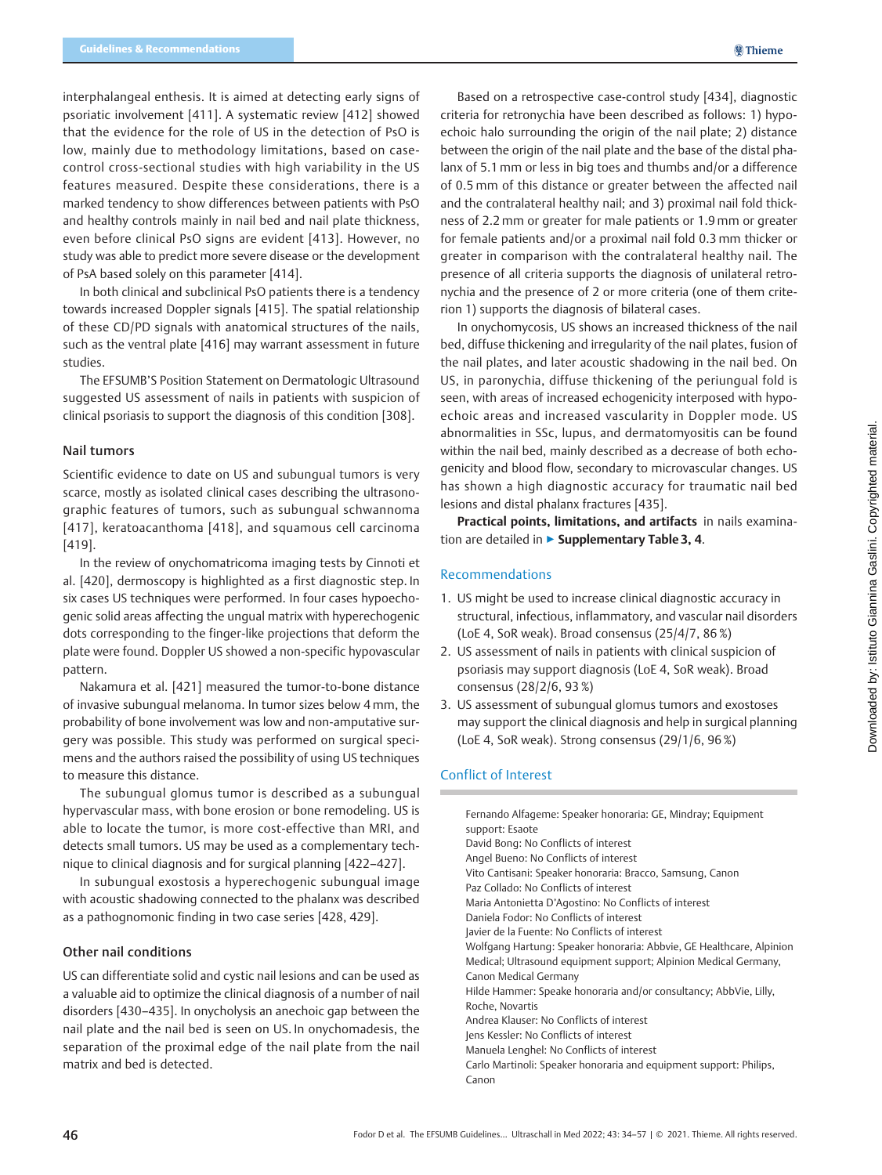interphalangeal enthesis. It is aimed at detecting early signs of psoriatic involvement [411]. A systematic review [412] showed that the evidence for the role of US in the detection of PsO is low, mainly due to methodology limitations, based on casecontrol cross-sectional studies with high variability in the US features measured. Despite these considerations, there is a marked tendency to show differences between patients with PsO and healthy controls mainly in nail bed and nail plate thickness, even before clinical PsO signs are evident [413]. However, no study was able to predict more severe disease or the development of PsA based solely on this parameter [414].

In both clinical and subclinical PsO patients there is a tendency towards increased Doppler signals [415]. The spatial relationship of these CD/PD signals with anatomical structures of the nails, such as the ventral plate [416] may warrant assessment in future studies.

The EFSUMB'S Position Statement on Dermatologic Ultrasound suggested US assessment of nails in patients with suspicion of clinical psoriasis to support the diagnosis of this condition [308].

### Nail tumors

Scientific evidence to date on US and subungual tumors is very scarce, mostly as isolated clinical cases describing the ultrasonographic features of tumors, such as subungual schwannoma [417], keratoacanthoma [418], and squamous cell carcinoma [419].

In the review of onychomatricoma imaging tests by Cinnoti et al. [420], dermoscopy is highlighted as a first diagnostic step. In six cases US techniques were performed. In four cases hypoechogenic solid areas affecting the ungual matrix with hyperechogenic dots corresponding to the finger-like projections that deform the plate were found. Doppler US showed a non-specific hypovascular pattern.

Nakamura et al. [421] measured the tumor-to-bone distance of invasive subungual melanoma. In tumor sizes below 4 mm, the probability of bone involvement was low and non-amputative surgery was possible. This study was performed on surgical specimens and the authors raised the possibility of using US techniques to measure this distance.

The subungual glomus tumor is described as a subungual hypervascular mass, with bone erosion or bone remodeling. US is able to locate the tumor, is more cost-effective than MRI, and detects small tumors. US may be used as a complementary technique to clinical diagnosis and for surgical planning [422–427].

In subungual exostosis a hyperechogenic subungual image with acoustic shadowing connected to the phalanx was described as a pathognomonic finding in two case series [428, 429].

### Other nail conditions

US can differentiate solid and cystic nail lesions and can be used as a valuable aid to optimize the clinical diagnosis of a number of nail disorders [430–435]. In onycholysis an anechoic gap between the nail plate and the nail bed is seen on US. In onychomadesis, the separation of the proximal edge of the nail plate from the nail matrix and bed is detected.

Based on a retrospective case-control study [434], diagnostic criteria for retronychia have been described as follows: 1) hypoechoic halo surrounding the origin of the nail plate; 2) distance between the origin of the nail plate and the base of the distal phalanx of 5.1 mm or less in big toes and thumbs and/or a difference of 0.5 mm of this distance or greater between the affected nail and the contralateral healthy nail; and 3) proximal nail fold thickness of 2.2 mm or greater for male patients or 1.9 mm or greater for female patients and/or a proximal nail fold 0.3 mm thicker or greater in comparison with the contralateral healthy nail. The presence of all criteria supports the diagnosis of unilateral retronychia and the presence of 2 or more criteria (one of them criterion 1) supports the diagnosis of bilateral cases.

In onychomycosis, US shows an increased thickness of the nail bed, diffuse thickening and irregularity of the nail plates, fusion of the nail plates, and later acoustic shadowing in the nail bed. On US, in paronychia, diffuse thickening of the periungual fold is seen, with areas of increased echogenicity interposed with hypoechoic areas and increased vascularity in Doppler mode. US abnormalities in SSc, lupus, and dermatomyositis can be found within the nail bed, mainly described as a decrease of both echogenicity and blood flow, secondary to microvascular changes. US has shown a high diagnostic accuracy for traumatic nail bed lesions and distal phalanx fractures [435].

Practical points, limitations, and artifacts in nails examination are detailed in ▶ Supplementary Table 3, 4.

### Recommendations

- 1. US might be used to increase clinical diagnostic accuracy in structural, infectious, inflammatory, and vascular nail disorders (LoE 4, SoR weak). Broad consensus (25/4/7, 86 %)
- 2. US assessment of nails in patients with clinical suspicion of psoriasis may support diagnosis (LoE 4, SoR weak). Broad consensus (28/2/6, 93 %)
- 3. US assessment of subungual glomus tumors and exostoses may support the clinical diagnosis and help in surgical planning (LoE 4, SoR weak). Strong consensus (29/1/6, 96 %)

# Conflict of Interest

| Fernando Alfageme: Speaker honoraria: GE, Mindray; Equipment<br>support: Esaote |
|---------------------------------------------------------------------------------|
| David Bong: No Conflicts of interest                                            |
| Angel Bueno: No Conflicts of interest                                           |
| Vito Cantisani: Speaker honoraria: Bracco, Samsung, Canon                       |
| Paz Collado: No Conflicts of interest                                           |
| Maria Antonietta D'Agostino: No Conflicts of interest                           |
| Daniela Fodor: No Conflicts of interest                                         |
| Javier de la Fuente: No Conflicts of interest                                   |
| Wolfgang Hartung: Speaker honoraria: Abbvie, GE Healthcare, Alpinion            |
| Medical; Ultrasound equipment support; Alpinion Medical Germany,                |
| Canon Medical Germany                                                           |
| Hilde Hammer: Speake honoraria and/or consultancy; AbbVie, Lilly,               |
| Roche, Novartis                                                                 |
| Andrea Klauser: No Conflicts of interest                                        |
| Jens Kessler: No Conflicts of interest                                          |
| Manuela Lenghel: No Conflicts of interest                                       |
| Carlo Martinoli: Speaker honoraria and equipment support: Philips,              |
| Canon                                                                           |
|                                                                                 |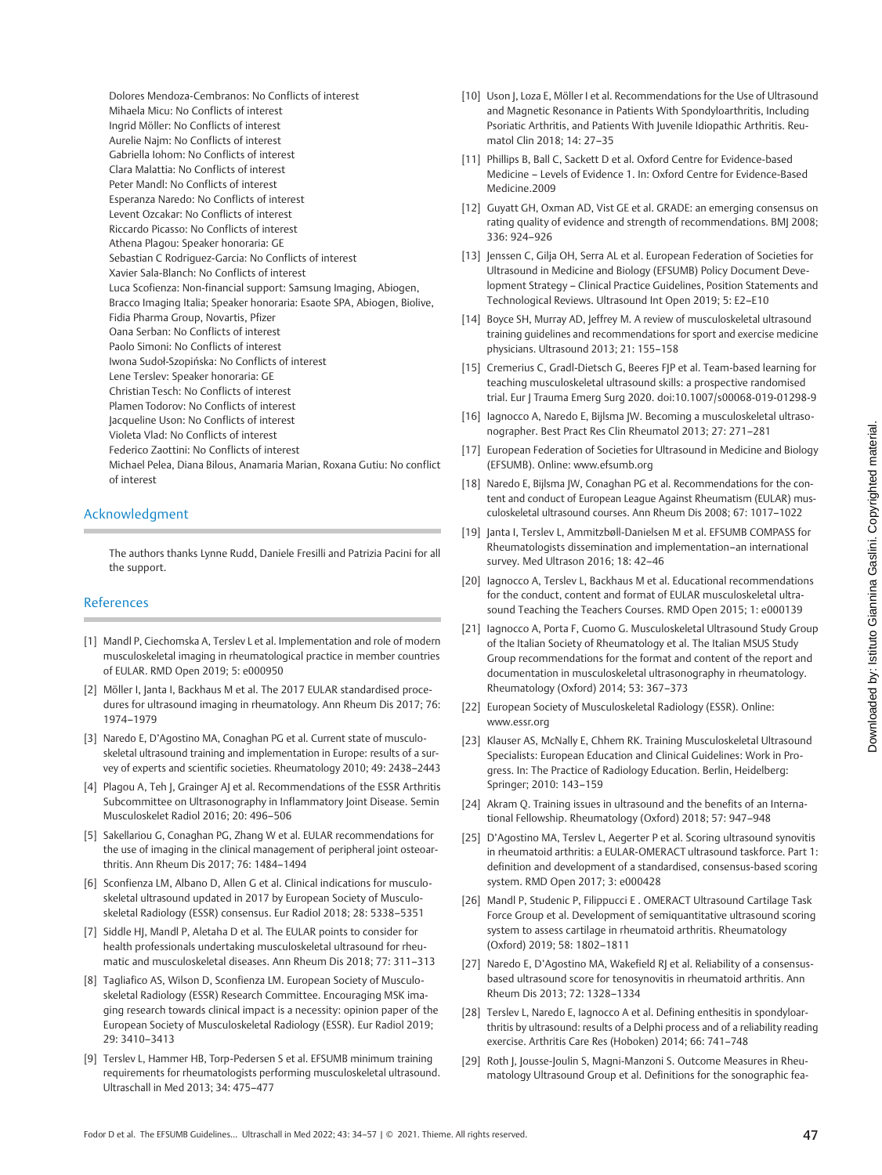Dolores Mendoza-Cembranos: No Conflicts of interest Mihaela Micu: No Conflicts of interest Ingrid Möller: No Conflicts of interest Aurelie Najm: No Conflicts of interest Gabriella Iohom: No Conflicts of interest Clara Malattia: No Conflicts of interest Peter Mandl: No Conflicts of interest Esperanza Naredo: No Conflicts of interest Levent Ozcakar: No Conflicts of interest Riccardo Picasso: No Conflicts of interest Athena Plagou: Speaker honoraria: GE Sebastian C Rodriguez-Garcia: No Conflicts of interest Xavier Sala-Blanch: No Conflicts of interest Luca Scofienza: Non-financial support: Samsung Imaging, Abiogen, Bracco Imaging Italia; Speaker honoraria: Esaote SPA, Abiogen, Biolive, Fidia Pharma Group, Novartis, Pfizer Oana Serban: No Conflicts of interest Paolo Simoni: No Conflicts of interest Iwona Sudoł-Szopińska: No Conflicts of interest Lene Terslev: Speaker honoraria: GE Christian Tesch: No Conflicts of interest Plamen Todorov: No Conflicts of interest Jacqueline Uson: No Conflicts of interest Violeta Vlad: No Conflicts of interest Federico Zaottini: No Conflicts of interest Michael Pelea, Diana Bilous, Anamaria Marian, Roxana Gutiu: No conflict of interest

### Acknowledgment

The authors thanks Lynne Rudd, Daniele Fresilli and Patrizia Pacini for all the support.

#### References

- [1] Mandl P, Ciechomska A, Terslev L et al. Implementation and role of modern musculoskeletal imaging in rheumatological practice in member countries of EULAR. RMD Open 2019; 5: e000950
- [2] Möller I, Janta I, Backhaus M et al. The 2017 EULAR standardised procedures for ultrasound imaging in rheumatology. Ann Rheum Dis 2017; 76: 1974–1979
- [3] Naredo E, D'Agostino MA, Conaghan PG et al. Current state of musculoskeletal ultrasound training and implementation in Europe: results of a survey of experts and scientific societies. Rheumatology 2010; 49: 2438–2443
- [4] Plagou A, Teh J, Grainger AJ et al. Recommendations of the ESSR Arthritis Subcommittee on Ultrasonography in Inflammatory Joint Disease. Semin Musculoskelet Radiol 2016; 20: 496–506
- [5] Sakellariou G, Conaghan PG, Zhang W et al. EULAR recommendations for the use of imaging in the clinical management of peripheral joint osteoarthritis. Ann Rheum Dis 2017; 76: 1484–1494
- [6] Sconfienza LM, Albano D, Allen G et al. Clinical indications for musculoskeletal ultrasound updated in 2017 by European Society of Musculoskeletal Radiology (ESSR) consensus. Eur Radiol 2018; 28: 5338–5351
- [7] Siddle HJ, Mandl P, Aletaha D et al. The EULAR points to consider for health professionals undertaking musculoskeletal ultrasound for rheumatic and musculoskeletal diseases. Ann Rheum Dis 2018; 77: 311–313
- [8] Tagliafico AS, Wilson D, Sconfienza LM. European Society of Musculoskeletal Radiology (ESSR) Research Committee. Encouraging MSK imaging research towards clinical impact is a necessity: opinion paper of the European Society of Musculoskeletal Radiology (ESSR). Eur Radiol 2019; 29: 3410–3413
- [9] Terslev L, Hammer HB, Torp-Pedersen S et al. EFSUMB minimum training requirements for rheumatologists performing musculoskeletal ultrasound. Ultraschall in Med 2013; 34: 475–477
- [10] Uson J, Loza E, Möller I et al. Recommendations for the Use of Ultrasound and Magnetic Resonance in Patients With Spondyloarthritis, Including Psoriatic Arthritis, and Patients With Juvenile Idiopathic Arthritis. Reumatol Clin 2018; 14: 27–35
- [11] Phillips B, Ball C, Sackett D et al. Oxford Centre for Evidence-based Medicine – Levels of Evidence 1. In: Oxford Centre for Evidence-Based Medicine.2009
- [12] Guyatt GH, Oxman AD, Vist GE et al. GRADE: an emerging consensus on rating quality of evidence and strength of recommendations. BMJ 2008; 336: 924–926
- [13] Jenssen C, Gilja OH, Serra AL et al. European Federation of Societies for Ultrasound in Medicine and Biology (EFSUMB) Policy Document Development Strategy – Clinical Practice Guidelines, Position Statements and Technological Reviews. Ultrasound Int Open 2019; 5: E2–E10
- [14] Boyce SH, Murray AD, Jeffrey M. A review of musculoskeletal ultrasound training guidelines and recommendations for sport and exercise medicine physicians. Ultrasound 2013; 21: 155–158
- [15] Cremerius C, Gradl-Dietsch G, Beeres FJP et al. Team-based learning for teaching musculoskeletal ultrasound skills: a prospective randomised trial. Eur J Trauma Emerg Surg 2020. doi:10.1007/s00068-019-01298-9
- [16] Iagnocco A, Naredo E, Bijlsma JW. Becoming a musculoskeletal ultrasonographer. Best Pract Res Clin Rheumatol 2013; 27: 271–281
- [17] European Federation of Societies for Ultrasound in Medicine and Biology (EFSUMB). Online: [www.efsumb.org](http://www.efsumb.org)
- [18] Naredo E, Bijlsma JW, Conaghan PG et al. Recommendations for the content and conduct of European League Against Rheumatism (EULAR) musculoskeletal ultrasound courses. Ann Rheum Dis 2008; 67: 1017–1022
- [19] Janta I, Terslev L, Ammitzbøll-Danielsen M et al. EFSUMB COMPASS for Rheumatologists dissemination and implementation–an international survey. Med Ultrason 2016; 18: 42–46
- [20] Iagnocco A, Terslev L, Backhaus M et al. Educational recommendations for the conduct, content and format of EULAR musculoskeletal ultrasound Teaching the Teachers Courses. RMD Open 2015; 1: e000139
- [21] Iagnocco A, Porta F, Cuomo G. Musculoskeletal Ultrasound Study Group of the Italian Society of Rheumatology et al. The Italian MSUS Study Group recommendations for the format and content of the report and documentation in musculoskeletal ultrasonography in rheumatology. Rheumatology (Oxford) 2014; 53: 367–373
- [22] European Society of Musculoskeletal Radiology (ESSR). Online: [www.essr.org](http://www.essr.org)
- [23] Klauser AS, McNally E, Chhem RK. Training Musculoskeletal Ultrasound Specialists: European Education and Clinical Guidelines: Work in Progress. In: The Practice of Radiology Education. Berlin, Heidelberg: Springer; 2010: 143–159
- [24] Akram O. Training issues in ultrasound and the benefits of an International Fellowship. Rheumatology (Oxford) 2018; 57: 947–948
- [25] D'Agostino MA, Terslev L, Aegerter P et al. Scoring ultrasound synovitis in rheumatoid arthritis: a EULAR-OMERACT ultrasound taskforce. Part 1: definition and development of a standardised, consensus-based scoring system. RMD Open 2017; 3: e000428
- [26] Mandl P, Studenic P, Filippucci E . OMERACT Ultrasound Cartilage Task Force Group et al. Development of semiquantitative ultrasound scoring system to assess cartilage in rheumatoid arthritis. Rheumatology (Oxford) 2019; 58: 1802–1811
- [27] Naredo E, D'Agostino MA, Wakefield RJ et al. Reliability of a consensusbased ultrasound score for tenosynovitis in rheumatoid arthritis. Ann Rheum Dis 2013; 72: 1328–1334
- [28] Terslev L, Naredo E, Iagnocco A et al. Defining enthesitis in spondyloarthritis by ultrasound: results of a Delphi process and of a reliability reading exercise. Arthritis Care Res (Hoboken) 2014; 66: 741–748
- [29] Roth J, Jousse-Joulin S, Magni-Manzoni S. Outcome Measures in Rheumatology Ultrasound Group et al. Definitions for the sonographic fea-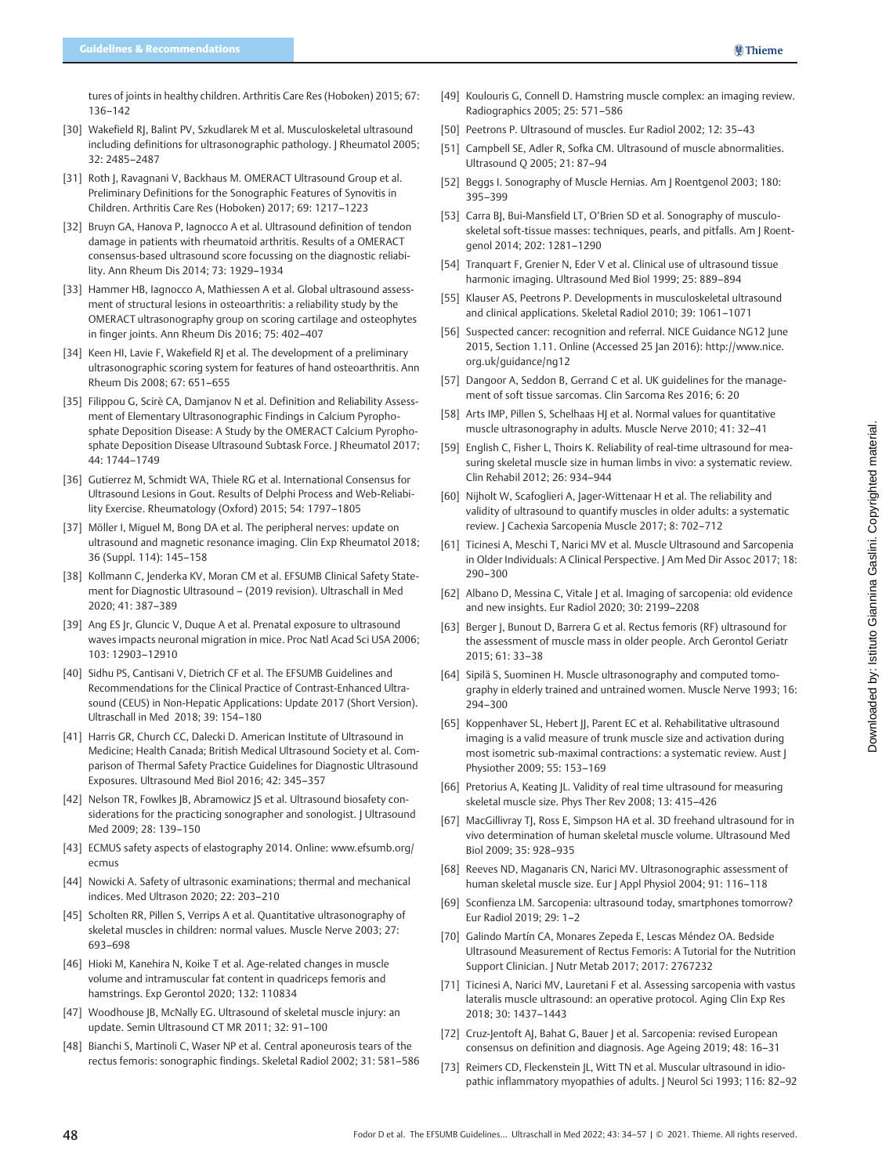tures of joints in healthy children. Arthritis Care Res (Hoboken) 2015; 67: 136–142

- [30] Wakefield RJ, Balint PV, Szkudlarek M et al. Musculoskeletal ultrasound including definitions for ultrasonographic pathology. | Rheumatol 2005; 32: 2485–2487
- [31] Roth J, Ravagnani V, Backhaus M. OMERACT Ultrasound Group et al. Preliminary Definitions for the Sonographic Features of Synovitis in Children. Arthritis Care Res (Hoboken) 2017; 69: 1217–1223
- [32] Bruyn GA, Hanova P, Iagnocco A et al. Ultrasound definition of tendon damage in patients with rheumatoid arthritis. Results of a OMERACT consensus-based ultrasound score focussing on the diagnostic reliability. Ann Rheum Dis 2014; 73: 1929–1934
- [33] Hammer HB, Iagnocco A, Mathiessen A et al. Global ultrasound assessment of structural lesions in osteoarthritis: a reliability study by the OMERACT ultrasonography group on scoring cartilage and osteophytes in finger joints. Ann Rheum Dis 2016; 75: 402–407
- [34] Keen HI, Lavie F, Wakefield RJ et al. The development of a preliminary ultrasonographic scoring system for features of hand osteoarthritis. Ann Rheum Dis 2008; 67: 651–655
- [35] Filippou G, Scirè CA, Damjanov N et al. Definition and Reliability Assessment of Elementary Ultrasonographic Findings in Calcium Pyrophosphate Deposition Disease: A Study by the OMERACT Calcium Pyrophosphate Deposition Disease Ultrasound Subtask Force. J Rheumatol 2017; 44: 1744–1749
- [36] Gutierrez M, Schmidt WA, Thiele RG et al. International Consensus for Ultrasound Lesions in Gout. Results of Delphi Process and Web-Reliability Exercise. Rheumatology (Oxford) 2015; 54: 1797–1805
- [37] Möller I, Miguel M, Bong DA et al. The peripheral nerves: update on ultrasound and magnetic resonance imaging. Clin Exp Rheumatol 2018; 36 (Suppl. 114): 145–158
- [38] Kollmann C, Jenderka KV, Moran CM et al. EFSUMB Clinical Safety Statement for Diagnostic Ultrasound – (2019 revision). Ultraschall in Med 2020; 41: 387–389
- [39] Ang ES Jr, Gluncic V, Duque A et al. Prenatal exposure to ultrasound waves impacts neuronal migration in mice. Proc Natl Acad Sci USA 2006; 103: 12903–12910
- [40] Sidhu PS, Cantisani V, Dietrich CF et al. The EFSUMB Guidelines and Recommendations for the Clinical Practice of Contrast-Enhanced Ultrasound (CEUS) in Non-Hepatic Applications: Update 2017 (Short Version). Ultraschall in Med 2018; 39: 154–180
- [41] Harris GR, Church CC, Dalecki D. American Institute of Ultrasound in Medicine; Health Canada; British Medical Ultrasound Society et al. Comparison of Thermal Safety Practice Guidelines for Diagnostic Ultrasound Exposures. Ultrasound Med Biol 2016; 42: 345–357
- [42] Nelson TR, Fowlkes JB, Abramowicz JS et al. Ultrasound biosafety considerations for the practicing sonographer and sonologist. J Ultrasound Med 2009; 28: 139–150
- [43] ECMUS safety aspects of elastography 2014. Online: [www.efsumb.org/](http://www.efsumb.org/ecmus) [ecmus](http://www.efsumb.org/ecmus)
- [44] Nowicki A. Safety of ultrasonic examinations; thermal and mechanical indices. Med Ultrason 2020; 22: 203–210
- [45] Scholten RR, Pillen S, Verrips A et al. Quantitative ultrasonography of skeletal muscles in children: normal values. Muscle Nerve 2003; 27: 693–698
- [46] Hioki M, Kanehira N, Koike T et al. Age-related changes in muscle volume and intramuscular fat content in quadriceps femoris and hamstrings. Exp Gerontol 2020; 132: 110834
- [47] Woodhouse JB, McNally EG. Ultrasound of skeletal muscle injury: an update. Semin Ultrasound CT MR 2011; 32: 91–100
- [48] Bianchi S, Martinoli C, Waser NP et al. Central aponeurosis tears of the rectus femoris: sonographic findings. Skeletal Radiol 2002; 31: 581–586
- [49] Koulouris G, Connell D. Hamstring muscle complex: an imaging review. Radiographics 2005; 25: 571–586
- [50] Peetrons P. Ultrasound of muscles. Eur Radiol 2002; 12: 35–43
- [51] Campbell SE, Adler R, Sofka CM. Ultrasound of muscle abnormalities. Ultrasound Q 2005; 21: 87–94
- [52] Beggs I. Sonography of Muscle Hernias. Am J Roentgenol 2003; 180: 395–399
- [53] Carra BJ, Bui-Mansfield LT, O'Brien SD et al. Sonography of musculoskeletal soft-tissue masses: techniques, pearls, and pitfalls. Am | Roentgenol 2014; 202: 1281–1290
- [54] Tranquart F, Grenier N, Eder V et al. Clinical use of ultrasound tissue harmonic imaging. Ultrasound Med Biol 1999; 25: 889–894
- [55] Klauser AS, Peetrons P. Developments in musculoskeletal ultrasound and clinical applications. Skeletal Radiol 2010; 39: 1061–1071
- [56] Suspected cancer: recognition and referral. NICE Guidance NG12 June 2015, Section 1.11. Online (Accessed 25 Jan 2016): [http://www.nice.](http://www.nice.org.uk/guidance/ng12) [org.uk/guidance/ng12](http://www.nice.org.uk/guidance/ng12)
- [57] Dangoor A, Seddon B, Gerrand C et al. UK quidelines for the management of soft tissue sarcomas. Clin Sarcoma Res 2016; 6: 20
- [58] Arts IMP, Pillen S, Schelhaas HJ et al. Normal values for quantitative muscle ultrasonography in adults. Muscle Nerve 2010; 41: 32–41
- [59] English C, Fisher L, Thoirs K. Reliability of real-time ultrasound for measuring skeletal muscle size in human limbs in vivo: a systematic review. Clin Rehabil 2012; 26: 934–944
- [60] Nijholt W, Scafoglieri A, Jager-Wittenaar H et al. The reliability and validity of ultrasound to quantify muscles in older adults: a systematic review. J Cachexia Sarcopenia Muscle 2017; 8: 702–712
- [61] Ticinesi A, Meschi T, Narici MV et al. Muscle Ultrasound and Sarcopenia in Older Individuals: A Clinical Perspective. J Am Med Dir Assoc 2017; 18: 290–300
- [62] Albano D, Messina C, Vitale | et al. Imaging of sarcopenia: old evidence and new insights. Eur Radiol 2020; 30: 2199–2208
- [63] Berger J, Bunout D, Barrera G et al. Rectus femoris (RF) ultrasound for the assessment of muscle mass in older people. Arch Gerontol Geriatr 2015; 61: 33–38
- [64] Sipilä S, Suominen H. Muscle ultrasonography and computed tomography in elderly trained and untrained women. Muscle Nerve 1993; 16: 294–300
- [65] Koppenhaver SL, Hebert JJ, Parent EC et al. Rehabilitative ultrasound imaging is a valid measure of trunk muscle size and activation during most isometric sub-maximal contractions: a systematic review. Aust J Physiother 2009; 55: 153–169
- [66] Pretorius A, Keating | L. Validity of real time ultrasound for measuring skeletal muscle size. Phys Ther Rev 2008; 13: 415–426
- [67] MacGillivray TJ, Ross E, Simpson HA et al. 3D freehand ultrasound for in vivo determination of human skeletal muscle volume. Ultrasound Med Biol 2009; 35: 928–935
- [68] Reeves ND, Maganaris CN, Narici MV. Ultrasonographic assessment of human skeletal muscle size. Eur J Appl Physiol 2004; 91: 116–118
- [69] Sconfienza LM. Sarcopenia: ultrasound today, smartphones tomorrow? Eur Radiol 2019; 29: 1–2
- [70] Galindo Martín CA, Monares Zepeda E, Lescas Méndez OA. Bedside Ultrasound Measurement of Rectus Femoris: A Tutorial for the Nutrition Support Clinician. J Nutr Metab 2017; 2017: 2767232
- [71] Ticinesi A, Narici MV, Lauretani F et al. Assessing sarcopenia with vastus lateralis muscle ultrasound: an operative protocol. Aging Clin Exp Res 2018; 30: 1437–1443
- [72] Cruz-Jentoft AJ, Bahat G, Bauer J et al. Sarcopenia: revised European consensus on definition and diagnosis. Age Ageing 2019; 48: 16–31
- [73] Reimers CD, Fleckenstein JL, Witt TN et al. Muscular ultrasound in idiopathic inflammatory myopathies of adults. J Neurol Sci 1993; 116: 82–92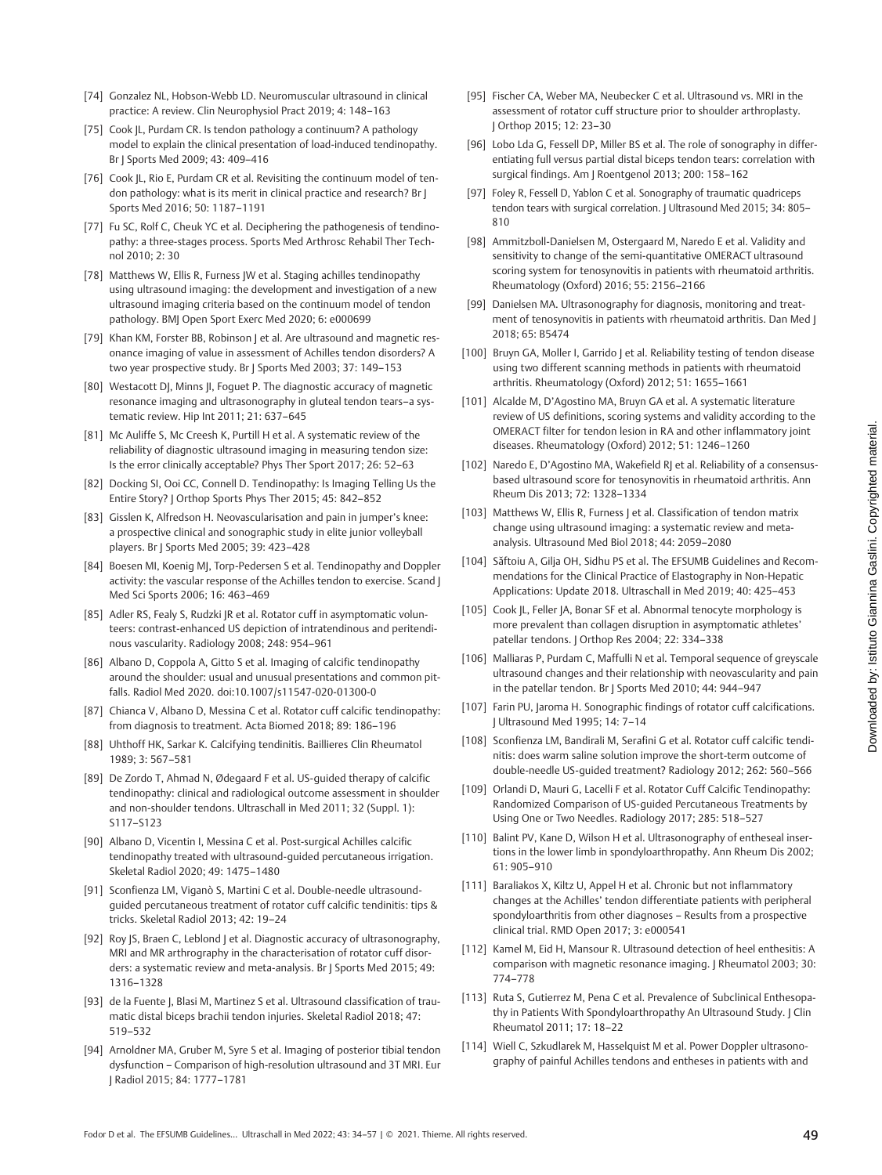- entiating full versus partial distal biceps tendon tears: correlation with [97] Foley R, Fessell D, Yablon C et al. Sonography of traumatic quadriceps tendon tears with surgical correlation. | Ultrasound Med 2015; 34: 805-[98] Ammitzboll-Danielsen M, Ostergaard M, Naredo E et al. Validity and sensitivity to change of the semi-quantitative OMERACT ultrasound scoring system for tenosynovitis in patients with rheumatoid arthritis. [99] Danielsen MA. Ultrasonography for diagnosis, monitoring and treatment of tenosynovitis in patients with rheumatoid arthritis. Dan Med J [100] Bruyn GA, Moller I, Garrido J et al. Reliability testing of tendon disease using two different scanning methods in patients with rheumatoid
- arthritis. Rheumatology (Oxford) 2012; 51: 1655–1661 [101] Alcalde M, D'Agostino MA, Bruyn GA et al. A systematic literature review of US definitions, scoring systems and validity according to the OMERACT filter for tendon lesion in RA and other inflammatory joint diseases. Rheumatology (Oxford) 2012; 51: 1246–1260

[95] Fischer CA, Weber MA, Neubecker C et al. Ultrasound vs. MRI in the assessment of rotator cuff structure prior to shoulder arthroplasty.

[96] Lobo Lda G, Fessell DP, Miller BS et al. The role of sonography in differ-

surgical findings. Am J Roentgenol 2013; 200: 158–162

Rheumatology (Oxford) 2016; 55: 2156–2166

J Orthop 2015; 12: 23–30

810

2018; 65: B5474

- [102] Naredo E, D'Agostino MA, Wakefield RJ et al. Reliability of a consensusbased ultrasound score for tenosynovitis in rheumatoid arthritis. Ann Rheum Dis 2013; 72: 1328–1334
- [103] Matthews W, Ellis R, Furness | et al. Classification of tendon matrix change using ultrasound imaging: a systematic review and metaanalysis. Ultrasound Med Biol 2018; 44: 2059–2080
- [104] Sǎftoiu A, Gilja OH, Sidhu PS et al. The EFSUMB Guidelines and Recommendations for the Clinical Practice of Elastography in Non-Hepatic Applications: Update 2018. Ultraschall in Med 2019; 40: 425–453
- [105] Cook JL, Feller JA, Bonar SF et al. Abnormal tenocyte morphology is more prevalent than collagen disruption in asymptomatic athletes' patellar tendons. J Orthop Res 2004; 22: 334–338
- [106] Malliaras P, Purdam C, Maffulli N et al. Temporal sequence of greyscale ultrasound changes and their relationship with neovascularity and pain in the patellar tendon. Br J Sports Med 2010; 44: 944–947
- [107] Farin PU, Jaroma H. Sonographic findings of rotator cuff calcifications. J Ultrasound Med 1995; 14: 7–14
- [108] Sconfienza LM, Bandirali M, Serafini G et al. Rotator cuff calcific tendinitis: does warm saline solution improve the short-term outcome of double-needle US-guided treatment? Radiology 2012; 262: 560–566
- [109] Orlandi D, Mauri G, Lacelli F et al. Rotator Cuff Calcific Tendinopathy: Randomized Comparison of US-guided Percutaneous Treatments by Using One or Two Needles. Radiology 2017; 285: 518–527
- [110] Balint PV, Kane D, Wilson H et al. Ultrasonography of entheseal insertions in the lower limb in spondyloarthropathy. Ann Rheum Dis 2002; 61: 905–910
- [111] Baraliakos X, Kiltz U, Appel H et al. Chronic but not inflammatory changes at the Achilles' tendon differentiate patients with peripheral spondyloarthritis from other diagnoses – Results from a prospective clinical trial. RMD Open 2017; 3: e000541
- [112] Kamel M, Eid H, Mansour R. Ultrasound detection of heel enthesitis: A comparison with magnetic resonance imaging. J Rheumatol 2003; 30: 774–778
- [113] Ruta S, Gutierrez M, Pena C et al. Prevalence of Subclinical Enthesopathy in Patients With Spondyloarthropathy An Ultrasound Study. J Clin Rheumatol 2011; 17: 18–22
- [114] Wiell C, Szkudlarek M, Hasselquist M et al. Power Doppler ultrasonography of painful Achilles tendons and entheses in patients with and
- [74] Gonzalez NL, Hobson-Webb LD. Neuromuscular ultrasound in clinical practice: A review. Clin Neurophysiol Pract 2019; 4: 148–163
- [75] Cook JL, Purdam CR. Is tendon pathology a continuum? A pathology model to explain the clinical presentation of load-induced tendinopathy. Br J Sports Med 2009; 43: 409–416
- [76] Cook JL, Rio E, Purdam CR et al. Revisiting the continuum model of tendon pathology: what is its merit in clinical practice and research? Br J Sports Med 2016; 50: 1187–1191
- [77] Fu SC, Rolf C, Cheuk YC et al. Deciphering the pathogenesis of tendinopathy: a three-stages process. Sports Med Arthrosc Rehabil Ther Technol 2010; 2: 30
- [78] Matthews W, Ellis R, Furness JW et al. Staging achilles tendinopathy using ultrasound imaging: the development and investigation of a new ultrasound imaging criteria based on the continuum model of tendon pathology. BMJ Open Sport Exerc Med 2020; 6: e000699
- [79] Khan KM, Forster BB, Robinson | et al. Are ultrasound and magnetic resonance imaging of value in assessment of Achilles tendon disorders? A two year prospective study. Br J Sports Med 2003; 37: 149–153
- [80] Westacott DJ, Minns JI, Foguet P. The diagnostic accuracy of magnetic resonance imaging and ultrasonography in gluteal tendon tears–a systematic review. Hip Int 2011; 21: 637–645
- [81] Mc Auliffe S, Mc Creesh K, Purtill H et al. A systematic review of the reliability of diagnostic ultrasound imaging in measuring tendon size: Is the error clinically acceptable? Phys Ther Sport 2017; 26: 52–63
- [82] Docking SI, Ooi CC, Connell D. Tendinopathy: Is Imaging Telling Us the Entire Story? J Orthop Sports Phys Ther 2015; 45: 842–852
- [83] Gisslen K, Alfredson H. Neovascularisation and pain in jumper's knee: a prospective clinical and sonographic study in elite junior volleyball players. Br J Sports Med 2005; 39: 423–428
- [84] Boesen MI, Koenig MJ, Torp-Pedersen S et al. Tendinopathy and Doppler activity: the vascular response of the Achilles tendon to exercise. Scand J Med Sci Sports 2006; 16: 463–469
- [85] Adler RS, Fealy S, Rudzki JR et al. Rotator cuff in asymptomatic volunteers: contrast-enhanced US depiction of intratendinous and peritendinous vascularity. Radiology 2008; 248: 954–961
- [86] Albano D, Coppola A, Gitto S et al. Imaging of calcific tendinopathy around the shoulder: usual and unusual presentations and common pitfalls. Radiol Med 2020. doi:10.1007/s11547-020-01300-0
- [87] Chianca V, Albano D, Messina C et al. Rotator cuff calcific tendinopathy: from diagnosis to treatment. Acta Biomed 2018; 89: 186–196
- [88] Uhthoff HK, Sarkar K. Calcifying tendinitis. Baillieres Clin Rheumatol 1989; 3: 567–581
- [89] De Zordo T, Ahmad N, Ødegaard F et al. US-guided therapy of calcific tendinopathy: clinical and radiological outcome assessment in shoulder and non-shoulder tendons. Ultraschall in Med 2011; 32 (Suppl. 1): S117–S123
- [90] Albano D, Vicentin I, Messina C et al. Post-surgical Achilles calcific tendinopathy treated with ultrasound-guided percutaneous irrigation. Skeletal Radiol 2020; 49: 1475–1480
- [91] Sconfienza LM, Viganò S, Martini C et al. Double-needle ultrasoundguided percutaneous treatment of rotator cuff calcific tendinitis: tips & tricks. Skeletal Radiol 2013; 42: 19–24
- [92] Roy JS, Braen C, Leblond J et al. Diagnostic accuracy of ultrasonography, MRI and MR arthrography in the characterisation of rotator cuff disorders: a systematic review and meta-analysis. Br J Sports Med 2015; 49: 1316–1328
- [93] de la Fuente J, Blasi M, Martinez S et al. Ultrasound classification of traumatic distal biceps brachii tendon injuries. Skeletal Radiol 2018; 47: 519–532
- [94] Arnoldner MA, Gruber M, Syre S et al. Imaging of posterior tibial tendon dysfunction – Comparison of high-resolution ultrasound and 3T MRI. Eur J Radiol 2015; 84: 1777–1781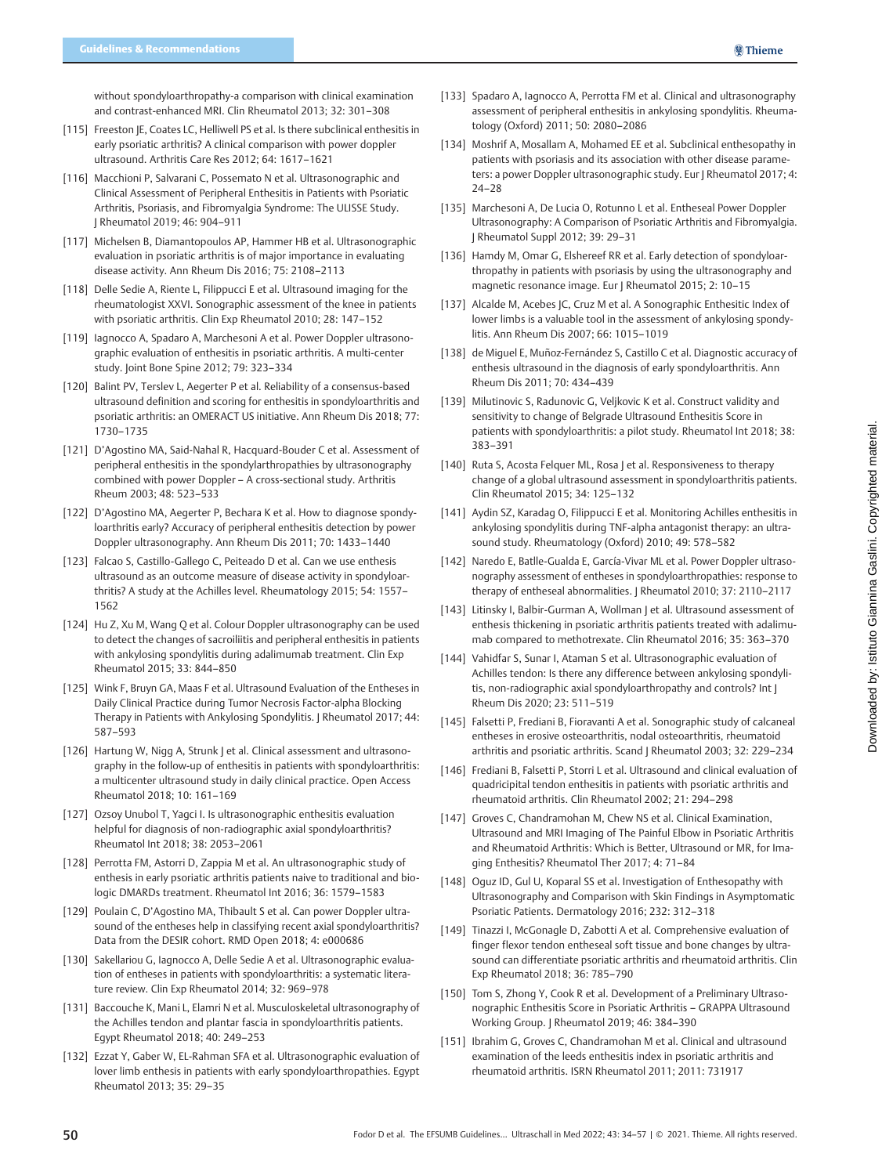without spondyloarthropathy-a comparison with clinical examination and contrast-enhanced MRI. Clin Rheumatol 2013; 32: 301–308

- [115] Freeston JE, Coates LC, Helliwell PS et al. Is there subclinical enthesitis in early psoriatic arthritis? A clinical comparison with power doppler ultrasound. Arthritis Care Res 2012; 64: 1617–1621
- [116] Macchioni P, Salvarani C, Possemato N et al. Ultrasonographic and Clinical Assessment of Peripheral Enthesitis in Patients with Psoriatic Arthritis, Psoriasis, and Fibromyalgia Syndrome: The ULISSE Study. J Rheumatol 2019; 46: 904–911
- [117] Michelsen B, Diamantopoulos AP, Hammer HB et al. Ultrasonographic evaluation in psoriatic arthritis is of major importance in evaluating disease activity. Ann Rheum Dis 2016; 75: 2108–2113
- [118] Delle Sedie A, Riente L, Filippucci E et al. Ultrasound imaging for the rheumatologist XXVI. Sonographic assessment of the knee in patients with psoriatic arthritis. Clin Exp Rheumatol 2010; 28: 147–152
- [119] Iagnocco A, Spadaro A, Marchesoni A et al. Power Doppler ultrasonographic evaluation of enthesitis in psoriatic arthritis. A multi-center study. Joint Bone Spine 2012; 79: 323–334
- [120] Balint PV, Terslev L, Aegerter P et al. Reliability of a consensus-based ultrasound definition and scoring for enthesitis in spondyloarthritis and psoriatic arthritis: an OMERACT US initiative. Ann Rheum Dis 2018; 77: 1730–1735
- [121] D'Agostino MA, Said-Nahal R, Hacquard-Bouder C et al. Assessment of peripheral enthesitis in the spondylarthropathies by ultrasonography combined with power Doppler – A cross-sectional study. Arthritis Rheum 2003; 48: 523–533
- [122] D'Agostino MA, Aegerter P, Bechara K et al. How to diagnose spondyloarthritis early? Accuracy of peripheral enthesitis detection by power Doppler ultrasonography. Ann Rheum Dis 2011; 70: 1433–1440
- [123] Falcao S, Castillo-Gallego C, Peiteado D et al. Can we use enthesis ultrasound as an outcome measure of disease activity in spondyloarthritis? A study at the Achilles level. Rheumatology 2015; 54: 1557– 1562
- [124] Hu Z, Xu M, Wang Q et al. Colour Doppler ultrasonography can be used to detect the changes of sacroiliitis and peripheral enthesitis in patients with ankylosing spondylitis during adalimumab treatment. Clin Exp Rheumatol 2015; 33: 844–850
- [125] Wink F, Bruyn GA, Maas F et al. Ultrasound Evaluation of the Entheses in Daily Clinical Practice during Tumor Necrosis Factor-alpha Blocking Therapy in Patients with Ankylosing Spondylitis. J Rheumatol 2017; 44: 587–593
- [126] Hartung W, Nigg A, Strunk J et al. Clinical assessment and ultrasonography in the follow-up of enthesitis in patients with spondyloarthritis: a multicenter ultrasound study in daily clinical practice. Open Access Rheumatol 2018; 10: 161–169
- [127] Ozsoy Unubol T, Yagci I. Is ultrasonographic enthesitis evaluation helpful for diagnosis of non-radiographic axial spondyloarthritis? Rheumatol Int 2018; 38: 2053–2061
- [128] Perrotta FM, Astorri D, Zappia M et al. An ultrasonographic study of enthesis in early psoriatic arthritis patients naive to traditional and biologic DMARDs treatment. Rheumatol Int 2016; 36: 1579–1583
- [129] Poulain C, D'Agostino MA, Thibault S et al. Can power Doppler ultrasound of the entheses help in classifying recent axial spondyloarthritis? Data from the DESIR cohort. RMD Open 2018; 4: e000686
- [130] Sakellariou G, lagnocco A, Delle Sedie A et al. Ultrasonographic evaluation of entheses in patients with spondyloarthritis: a systematic literature review. Clin Exp Rheumatol 2014; 32: 969–978
- [131] Baccouche K, Mani L, Elamri N et al. Musculoskeletal ultrasonography of the Achilles tendon and plantar fascia in spondyloarthritis patients. Egypt Rheumatol 2018; 40: 249–253
- [132] Ezzat Y, Gaber W, EL-Rahman SFA et al. Ultrasonographic evaluation of lover limb enthesis in patients with early spondyloarthropathies. Egypt Rheumatol 2013; 35: 29–35
- [133] Spadaro A, Iagnocco A, Perrotta FM et al. Clinical and ultrasonography assessment of peripheral enthesitis in ankylosing spondylitis. Rheumatology (Oxford) 2011; 50: 2080–2086
- [134] Moshrif A, Mosallam A, Mohamed EE et al. Subclinical enthesopathy in patients with psoriasis and its association with other disease parameters: a power Doppler ultrasonographic study. Eur | Rheumatol 2017; 4: 24–28
- [135] Marchesoni A, De Lucia O, Rotunno L et al. Entheseal Power Doppler Ultrasonography: A Comparison of Psoriatic Arthritis and Fibromyalgia. J Rheumatol Suppl 2012; 39: 29–31
- [136] Hamdy M, Omar G, Elshereef RR et al. Early detection of spondyloarthropathy in patients with psoriasis by using the ultrasonography and magnetic resonance image. Eur J Rheumatol 2015; 2: 10–15
- [137] Alcalde M, Acebes JC, Cruz M et al. A Sonographic Enthesitic Index of lower limbs is a valuable tool in the assessment of ankylosing spondylitis. Ann Rheum Dis 2007; 66: 1015–1019
- [138] de Miguel E, Muñoz-Fernández S, Castillo C et al. Diagnostic accuracy of enthesis ultrasound in the diagnosis of early spondyloarthritis. Ann Rheum Dis 2011; 70: 434–439
- [139] Milutinovic S, Radunovic G, Veljkovic K et al. Construct validity and sensitivity to change of Belgrade Ultrasound Enthesitis Score in patients with spondyloarthritis: a pilot study. Rheumatol Int 2018; 38: 383–391
- [140] Ruta S, Acosta Felquer ML, Rosa J et al. Responsiveness to therapy change of a global ultrasound assessment in spondyloarthritis patients. Clin Rheumatol 2015; 34: 125–132
- [141] Aydin SZ, Karadag O, Filippucci E et al. Monitoring Achilles enthesitis in ankylosing spondylitis during TNF-alpha antagonist therapy: an ultrasound study. Rheumatology (Oxford) 2010; 49: 578–582
- [142] Naredo E, Batlle-Gualda E, García-Vivar ML et al. Power Doppler ultrasonography assessment of entheses in spondyloarthropathies: response to therapy of entheseal abnormalities. J Rheumatol 2010; 37: 2110–2117
- [143] Litinsky I, Balbir-Gurman A, Wollman J et al. Ultrasound assessment of enthesis thickening in psoriatic arthritis patients treated with adalimumab compared to methotrexate. Clin Rheumatol 2016; 35: 363–370
- [144] Vahidfar S, Sunar I, Ataman S et al. Ultrasonographic evaluation of Achilles tendon: Is there any difference between ankylosing spondylitis, non-radiographic axial spondyloarthropathy and controls? Int J Rheum Dis 2020; 23: 511–519
- [145] Falsetti P, Frediani B, Fioravanti A et al. Sonographic study of calcaneal entheses in erosive osteoarthritis, nodal osteoarthritis, rheumatoid arthritis and psoriatic arthritis. Scand | Rheumatol 2003; 32: 229-234
- [146] Frediani B, Falsetti P, Storri L et al. Ultrasound and clinical evaluation of quadricipital tendon enthesitis in patients with psoriatic arthritis and rheumatoid arthritis. Clin Rheumatol 2002; 21: 294–298
- [147] Groves C, Chandramohan M, Chew NS et al. Clinical Examination, Ultrasound and MRI Imaging of The Painful Elbow in Psoriatic Arthritis and Rheumatoid Arthritis: Which is Better, Ultrasound or MR, for Imaging Enthesitis? Rheumatol Ther 2017; 4: 71–84
- [148] Oguz ID, Gul U, Koparal SS et al. Investigation of Enthesopathy with Ultrasonography and Comparison with Skin Findings in Asymptomatic Psoriatic Patients. Dermatology 2016; 232: 312–318
- [149] Tinazzi I, McGonagle D, Zabotti A et al. Comprehensive evaluation of finger flexor tendon entheseal soft tissue and bone changes by ultrasound can differentiate psoriatic arthritis and rheumatoid arthritis. Clin Exp Rheumatol 2018; 36: 785–790
- [150] Tom S, Zhong Y, Cook R et al. Development of a Preliminary Ultrasonographic Enthesitis Score in Psoriatic Arthritis – GRAPPA Ultrasound Working Group. J Rheumatol 2019; 46: 384–390
- [151] Ibrahim G, Groves C, Chandramohan M et al. Clinical and ultrasound examination of the leeds enthesitis index in psoriatic arthritis and rheumatoid arthritis. ISRN Rheumatol 2011; 2011: 731917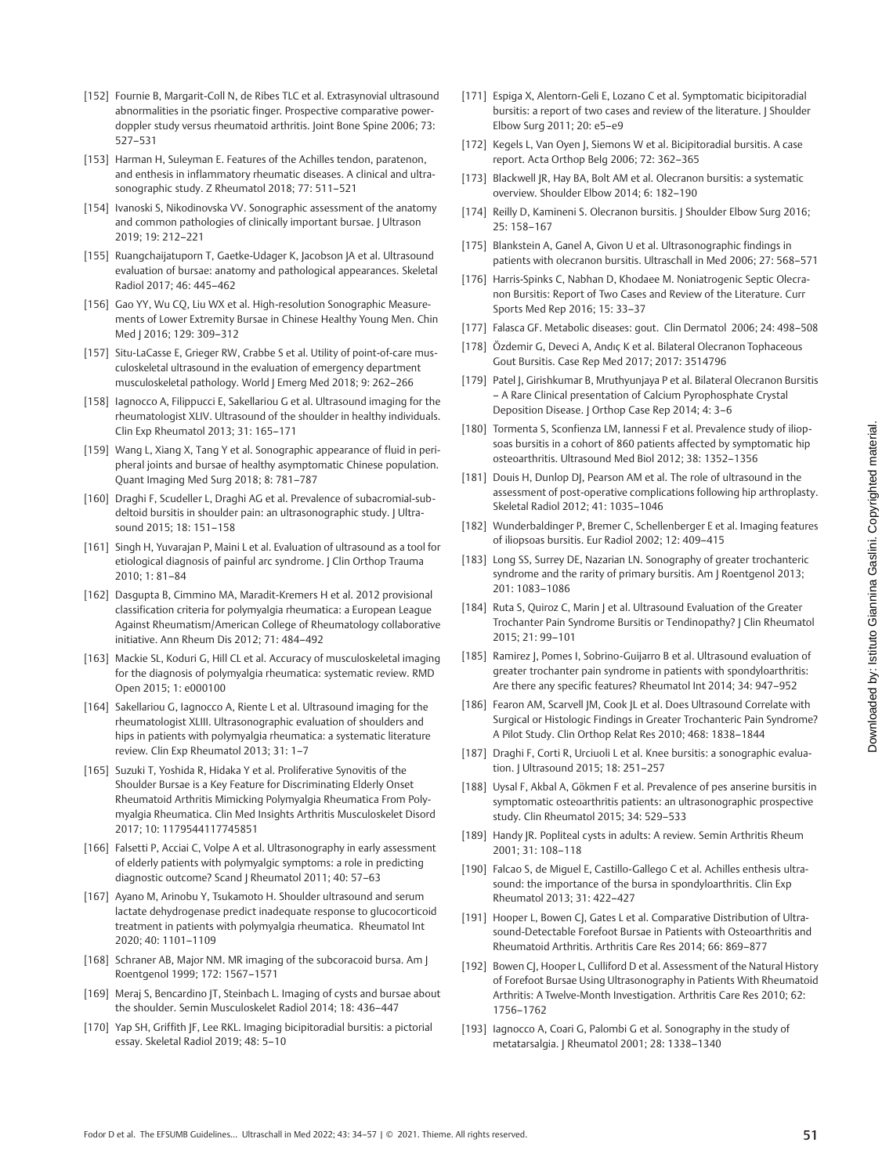- [152] Fournie B, Margarit-Coll N, de Ribes TLC et al. Extrasynovial ultrasound abnormalities in the psoriatic finger. Prospective comparative powerdoppler study versus rheumatoid arthritis. Joint Bone Spine 2006; 73: 527–531
- [153] Harman H, Suleyman E. Features of the Achilles tendon, paratenon, and enthesis in inflammatory rheumatic diseases. A clinical and ultrasonographic study. Z Rheumatol 2018; 77: 511–521
- [154] Ivanoski S, Nikodinovska VV. Sonographic assessment of the anatomy and common pathologies of clinically important bursae. J Ultrason 2019; 19: 212–221
- [155] Ruangchaijatuporn T, Gaetke-Udager K, Jacobson JA et al. Ultrasound evaluation of bursae: anatomy and pathological appearances. Skeletal Radiol 2017; 46: 445–462
- [156] Gao YY, Wu CQ, Liu WX et al. High-resolution Sonographic Measurements of Lower Extremity Bursae in Chinese Healthy Young Men. Chin Med J 2016; 129: 309–312
- [157] Situ-LaCasse E, Grieger RW, Crabbe S et al. Utility of point-of-care musculoskeletal ultrasound in the evaluation of emergency department musculoskeletal pathology. World J Emerg Med 2018; 9: 262–266
- [158] Iagnocco A, Filippucci E, Sakellariou G et al. Ultrasound imaging for the rheumatologist XLIV. Ultrasound of the shoulder in healthy individuals. Clin Exp Rheumatol 2013; 31: 165–171
- [159] Wang L, Xiang X, Tang Y et al. Sonographic appearance of fluid in peripheral joints and bursae of healthy asymptomatic Chinese population. Quant Imaging Med Surg 2018; 8: 781–787
- [160] Draghi F, Scudeller L, Draghi AG et al. Prevalence of subacromial-subdeltoid bursitis in shoulder pain: an ultrasonographic study. | Ultrasound 2015; 18: 151–158
- [161] Singh H, Yuvarajan P, Maini L et al. Evaluation of ultrasound as a tool for etiological diagnosis of painful arc syndrome. J Clin Orthop Trauma 2010; 1: 81–84
- [162] Dasgupta B, Cimmino MA, Maradit-Kremers H et al. 2012 provisional classification criteria for polymyalgia rheumatica: a European League Against Rheumatism/American College of Rheumatology collaborative initiative. Ann Rheum Dis 2012; 71: 484–492
- [163] Mackie SL, Koduri G, Hill CL et al. Accuracy of musculoskeletal imaging for the diagnosis of polymyalgia rheumatica: systematic review. RMD Open 2015; 1: e000100
- [164] Sakellariou G, Iagnocco A, Riente L et al. Ultrasound imaging for the rheumatologist XLIII. Ultrasonographic evaluation of shoulders and hips in patients with polymyalgia rheumatica: a systematic literature review. Clin Exp Rheumatol 2013; 31: 1–7
- [165] Suzuki T, Yoshida R, Hidaka Y et al. Proliferative Synovitis of the Shoulder Bursae is a Key Feature for Discriminating Elderly Onset Rheumatoid Arthritis Mimicking Polymyalgia Rheumatica From Polymyalgia Rheumatica. Clin Med Insights Arthritis Musculoskelet Disord 2017; 10: 1179544117745851
- [166] Falsetti P, Acciai C, Volpe A et al. Ultrasonography in early assessment of elderly patients with polymyalgic symptoms: a role in predicting diagnostic outcome? Scand J Rheumatol 2011; 40: 57–63
- [167] Ayano M, Arinobu Y, Tsukamoto H. Shoulder ultrasound and serum lactate dehydrogenase predict inadequate response to glucocorticoid treatment in patients with polymyalgia rheumatica. Rheumatol Int 2020; 40: 1101–1109
- [168] Schraner AB, Major NM. MR imaging of the subcoracoid bursa. Am ] Roentgenol 1999; 172: 1567–1571
- [169] Meraj S, Bencardino JT, Steinbach L. Imaging of cysts and bursae about the shoulder. Semin Musculoskelet Radiol 2014; 18: 436–447
- [170] Yap SH, Griffith JF, Lee RKL. Imaging bicipitoradial bursitis: a pictorial essay. Skeletal Radiol 2019; 48: 5–10
- [171] Espiga X, Alentorn-Geli E, Lozano C et al. Symptomatic bicipitoradial bursitis: a report of two cases and review of the literature. | Shoulder Elbow Surg 2011; 20: e5–e9
- [172] Kegels L, Van Oyen J, Siemons W et al. Bicipitoradial bursitis. A case report. Acta Orthop Belg 2006; 72: 362–365
- [173] Blackwell JR, Hay BA, Bolt AM et al. Olecranon bursitis: a systematic overview. Shoulder Elbow 2014; 6: 182–190
- [174] Reilly D, Kamineni S, Olecranon bursitis. J Shoulder Elbow Surg 2016: 25: 158–167
- [175] Blankstein A, Ganel A, Givon U et al. Ultrasonographic findings in patients with olecranon bursitis. Ultraschall in Med 2006; 27: 568–571
- [176] Harris-Spinks C, Nabhan D, Khodaee M. Noniatrogenic Septic Olecranon Bursitis: Report of Two Cases and Review of the Literature. Curr Sports Med Rep 2016; 15: 33–37
- [177] Falasca GF. Metabolic diseases: gout. Clin Dermatol 2006; 24: 498-508
- [178] Özdemir G, Deveci A, Andıç K et al. Bilateral Olecranon Tophaceous Gout Bursitis. Case Rep Med 2017; 2017: 3514796
- [179] Patel J, Girishkumar B, Mruthyunjaya P et al. Bilateral Olecranon Bursitis – A Rare Clinical presentation of Calcium Pyrophosphate Crystal Deposition Disease. J Orthop Case Rep 2014; 4: 3–6
- [180] Tormenta S, Sconfienza LM, Iannessi F et al. Prevalence study of iliopsoas bursitis in a cohort of 860 patients affected by symptomatic hip osteoarthritis. Ultrasound Med Biol 2012; 38: 1352–1356
- [181] Douis H, Dunlop DJ, Pearson AM et al. The role of ultrasound in the assessment of post-operative complications following hip arthroplasty. Skeletal Radiol 2012; 41: 1035–1046
- [182] Wunderbaldinger P, Bremer C, Schellenberger E et al. Imaging features of iliopsoas bursitis. Eur Radiol 2002; 12: 409–415
- [183] Long SS, Surrey DE, Nazarian LN. Sonography of greater trochanteric syndrome and the rarity of primary bursitis. Am J Roentgenol 2013; 201: 1083–1086
- [184] Ruta S, Quiroz C, Marin J et al. Ultrasound Evaluation of the Greater Trochanter Pain Syndrome Bursitis or Tendinopathy? | Clin Rheumatol 2015; 21: 99–101
- [185] Ramirez J, Pomes I, Sobrino-Guijarro B et al. Ultrasound evaluation of greater trochanter pain syndrome in patients with spondyloarthritis: Are there any specific features? Rheumatol Int 2014; 34: 947–952
- [186] Fearon AM, Scarvell JM, Cook JL et al. Does Ultrasound Correlate with Surgical or Histologic Findings in Greater Trochanteric Pain Syndrome? A Pilot Study. Clin Orthop Relat Res 2010; 468: 1838–1844
- [187] Draghi F, Corti R, Urciuoli L et al. Knee bursitis: a sonographic evaluation. J Ultrasound 2015; 18: 251–257
- [188] Uysal F, Akbal A, Gökmen F et al. Prevalence of pes anserine bursitis in symptomatic osteoarthritis patients: an ultrasonographic prospective study. Clin Rheumatol 2015; 34: 529–533
- [189] Handy JR. Popliteal cysts in adults: A review. Semin Arthritis Rheum 2001; 31: 108–118
- [190] Falcao S, de Miquel E, Castillo-Gallego C et al. Achilles enthesis ultrasound: the importance of the bursa in spondyloarthritis. Clin Exp Rheumatol 2013; 31: 422–427
- [191] Hooper L, Bowen CJ, Gates L et al. Comparative Distribution of Ultrasound-Detectable Forefoot Bursae in Patients with Osteoarthritis and Rheumatoid Arthritis. Arthritis Care Res 2014; 66: 869–877
- [192] Bowen CJ, Hooper L, Culliford D et al. Assessment of the Natural History of Forefoot Bursae Using Ultrasonography in Patients With Rheumatoid Arthritis: A Twelve-Month Investigation. Arthritis Care Res 2010; 62: 1756–1762
- [193] Iagnocco A, Coari G, Palombi G et al. Sonography in the study of metatarsalgia. J Rheumatol 2001; 28: 1338–1340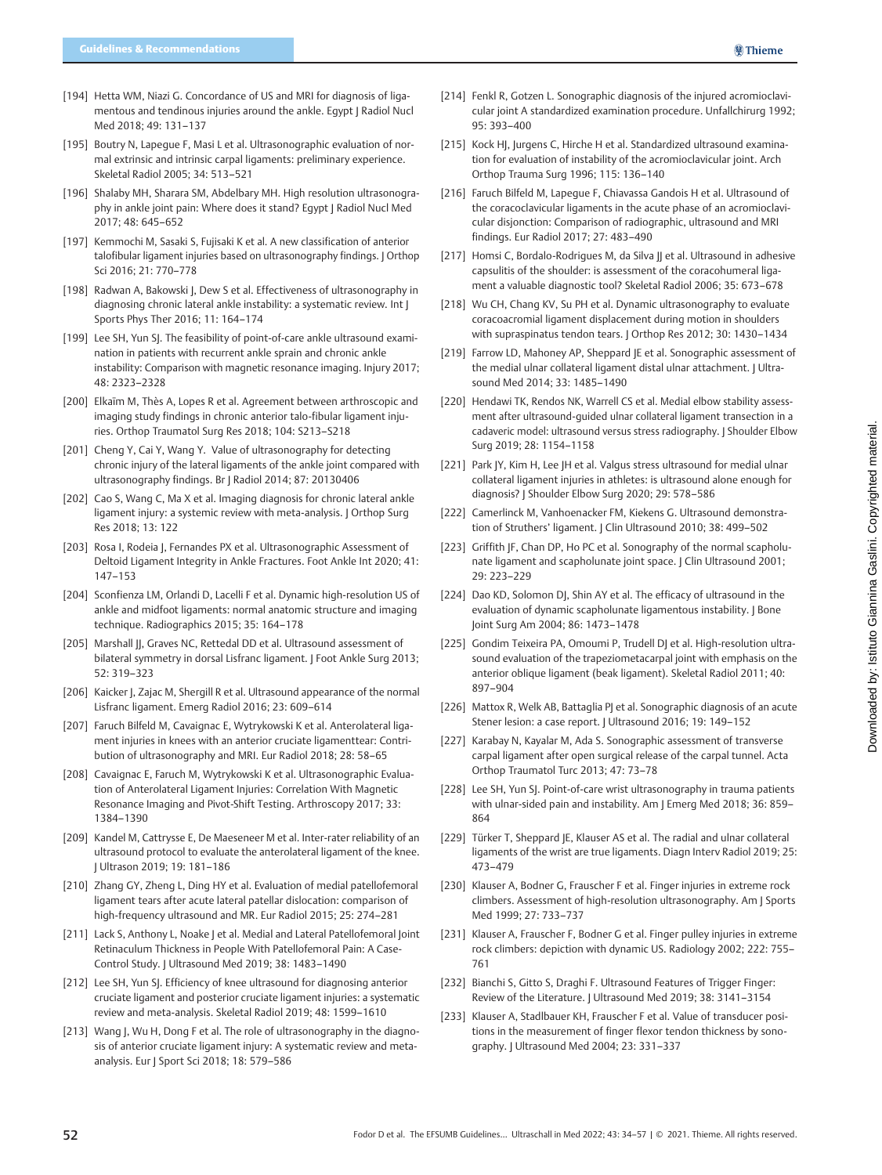- [194] Hetta WM, Niazi G. Concordance of US and MRI for diagnosis of ligamentous and tendinous injuries around the ankle. Egypt | Radiol Nucl Med 2018; 49: 131–137
- [195] Boutry N, Lapegue F, Masi L et al. Ultrasonographic evaluation of normal extrinsic and intrinsic carpal ligaments: preliminary experience. Skeletal Radiol 2005; 34: 513–521
- [196] Shalaby MH, Sharara SM, Abdelbary MH. High resolution ultrasonography in ankle joint pain: Where does it stand? Egypt J Radiol Nucl Med 2017; 48: 645–652
- [197] Kemmochi M, Sasaki S, Fujisaki K et al. A new classification of anterior talofibular ligament injuries based on ultrasonography findings. J Orthop Sci 2016; 21: 770–778
- [198] Radwan A, Bakowski J, Dew S et al. Effectiveness of ultrasonography in diagnosing chronic lateral ankle instability: a systematic review. Int J Sports Phys Ther 2016; 11: 164–174
- [199] Lee SH, Yun SJ. The feasibility of point-of-care ankle ultrasound examination in patients with recurrent ankle sprain and chronic ankle instability: Comparison with magnetic resonance imaging. Injury 2017; 48: 2323–2328
- [200] Elkaïm M, Thès A, Lopes R et al. Agreement between arthroscopic and imaging study findings in chronic anterior talo-fibular ligament injuries. Orthop Traumatol Surg Res 2018; 104: S213–S218
- [201] Cheng Y, Cai Y, Wang Y. Value of ultrasonography for detecting chronic injury of the lateral ligaments of the ankle joint compared with ultrasonography findings. Br J Radiol 2014; 87: 20130406
- [202] Cao S, Wang C, Ma X et al. Imaging diagnosis for chronic lateral ankle ligament injury: a systemic review with meta-analysis. J Orthop Surg Res 2018; 13: 122
- [203] Rosa I, Rodeia J, Fernandes PX et al. Ultrasonographic Assessment of Deltoid Ligament Integrity in Ankle Fractures. Foot Ankle Int 2020; 41: 147–153
- [204] Sconfienza LM, Orlandi D, Lacelli F et al. Dynamic high-resolution US of ankle and midfoot ligaments: normal anatomic structure and imaging technique. Radiographics 2015; 35: 164–178
- [205] Marshall JJ, Graves NC, Rettedal DD et al. Ultrasound assessment of bilateral symmetry in dorsal Lisfranc ligament. J Foot Ankle Surg 2013; 52: 319–323
- [206] Kaicker J, Zajac M, Shergill R et al. Ultrasound appearance of the normal Lisfranc ligament. Emerg Radiol 2016; 23: 609–614
- [207] Faruch Bilfeld M, Cavaignac E, Wytrykowski K et al. Anterolateral ligament injuries in knees with an anterior cruciate ligamenttear: Contribution of ultrasonography and MRI. Eur Radiol 2018; 28: 58–65
- [208] Cavaignac E, Faruch M, Wytrykowski K et al. Ultrasonographic Evaluation of Anterolateral Ligament Injuries: Correlation With Magnetic Resonance Imaging and Pivot-Shift Testing. Arthroscopy 2017; 33: 1384–1390
- [209] Kandel M, Cattrysse E, De Maeseneer M et al. Inter-rater reliability of an ultrasound protocol to evaluate the anterolateral ligament of the knee. J Ultrason 2019; 19: 181–186
- [210] Zhang GY, Zheng L, Ding HY et al. Evaluation of medial patellofemoral ligament tears after acute lateral patellar dislocation: comparison of high-frequency ultrasound and MR. Eur Radiol 2015; 25: 274–281
- [211] Lack S, Anthony L, Noake J et al. Medial and Lateral Patellofemoral Joint Retinaculum Thickness in People With Patellofemoral Pain: A Case-Control Study. J Ultrasound Med 2019; 38: 1483–1490
- [212] Lee SH, Yun SJ. Efficiency of knee ultrasound for diagnosing anterior cruciate ligament and posterior cruciate ligament injuries: a systematic review and meta-analysis. Skeletal Radiol 2019; 48: 1599–1610
- [213] Wang J, Wu H, Dong F et al. The role of ultrasonography in the diagnosis of anterior cruciate ligament injury: A systematic review and metaanalysis. Eur | Sport Sci 2018; 18: 579-586
- [214] Fenkl R, Gotzen L. Sonographic diagnosis of the injured acromioclavicular joint A standardized examination procedure. Unfallchirurg 1992; 95: 393–400
- [215] Kock HJ, Jurgens C, Hirche H et al. Standardized ultrasound examination for evaluation of instability of the acromioclavicular joint. Arch Orthop Trauma Surg 1996; 115: 136–140
- [216] Faruch Bilfeld M, Lapegue F, Chiavassa Gandois H et al. Ultrasound of the coracoclavicular ligaments in the acute phase of an acromioclavicular disjonction: Comparison of radiographic, ultrasound and MRI findings. Eur Radiol 2017; 27: 483–490
- [217] Homsi C, Bordalo-Rodrigues M, da Silva JJ et al. Ultrasound in adhesive capsulitis of the shoulder: is assessment of the coracohumeral ligament a valuable diagnostic tool? Skeletal Radiol 2006; 35: 673–678
- [218] Wu CH, Chang KV, Su PH et al. Dynamic ultrasonography to evaluate coracoacromial ligament displacement during motion in shoulders with supraspinatus tendon tears. J Orthop Res 2012; 30: 1430–1434
- [219] Farrow LD, Mahoney AP, Sheppard |E et al. Sonographic assessment of the medial ulnar collateral ligament distal ulnar attachment. J Ultrasound Med 2014; 33: 1485–1490
- [220] Hendawi TK, Rendos NK, Warrell CS et al. Medial elbow stability assessment after ultrasound-guided ulnar collateral ligament transection in a cadaveric model: ultrasound versus stress radiography. J Shoulder Elbow Surg 2019; 28: 1154–1158
- [221] Park JY, Kim H, Lee JH et al. Valgus stress ultrasound for medial ulnar collateral ligament injuries in athletes: is ultrasound alone enough for diagnosis? J Shoulder Elbow Surg 2020; 29: 578–586
- [222] Camerlinck M, Vanhoenacker FM, Kiekens G. Ultrasound demonstration of Struthers' ligament. J Clin Ultrasound 2010; 38: 499-502
- [223] Griffith JF, Chan DP, Ho PC et al. Sonography of the normal scapholunate ligament and scapholunate joint space. J Clin Ultrasound 2001; 29: 223–229
- [224] Dao KD, Solomon DJ, Shin AY et al. The efficacy of ultrasound in the evaluation of dynamic scapholunate ligamentous instability. J Bone Joint Surg Am 2004; 86: 1473–1478
- [225] Gondim Teixeira PA, Omoumi P, Trudell DJ et al. High-resolution ultrasound evaluation of the trapeziometacarpal joint with emphasis on the anterior oblique ligament (beak ligament). Skeletal Radiol 2011; 40: 897–904
- [226] Mattox R, Welk AB, Battaglia PJ et al. Sonographic diagnosis of an acute Stener lesion: a case report. J Ultrasound 2016; 19: 149–152
- [227] Karabay N, Kayalar M, Ada S. Sonographic assessment of transverse carpal ligament after open surgical release of the carpal tunnel. Acta Orthop Traumatol Turc 2013; 47: 73–78
- [228] Lee SH, Yun SJ. Point-of-care wrist ultrasonography in trauma patients with ulnar-sided pain and instability. Am | Emerg Med 2018; 36: 859-864
- [229] Türker T, Sheppard JE, Klauser AS et al. The radial and ulnar collateral ligaments of the wrist are true ligaments. Diagn Interv Radiol 2019; 25: 473–479
- [230] Klauser A, Bodner G, Frauscher F et al. Finger injuries in extreme rock climbers. Assessment of high-resolution ultrasonography. Am J Sports Med 1999; 27: 733–737
- [231] Klauser A, Frauscher F, Bodner G et al. Finger pulley injuries in extreme rock climbers: depiction with dynamic US. Radiology 2002; 222: 755– 761
- [232] Bianchi S, Gitto S, Draghi F. Ultrasound Features of Trigger Finger: Review of the Literature. J Ultrasound Med 2019; 38: 3141–3154
- [233] Klauser A, Stadlbauer KH, Frauscher F et al. Value of transducer positions in the measurement of finger flexor tendon thickness by sonography. J Ultrasound Med 2004; 23: 331–337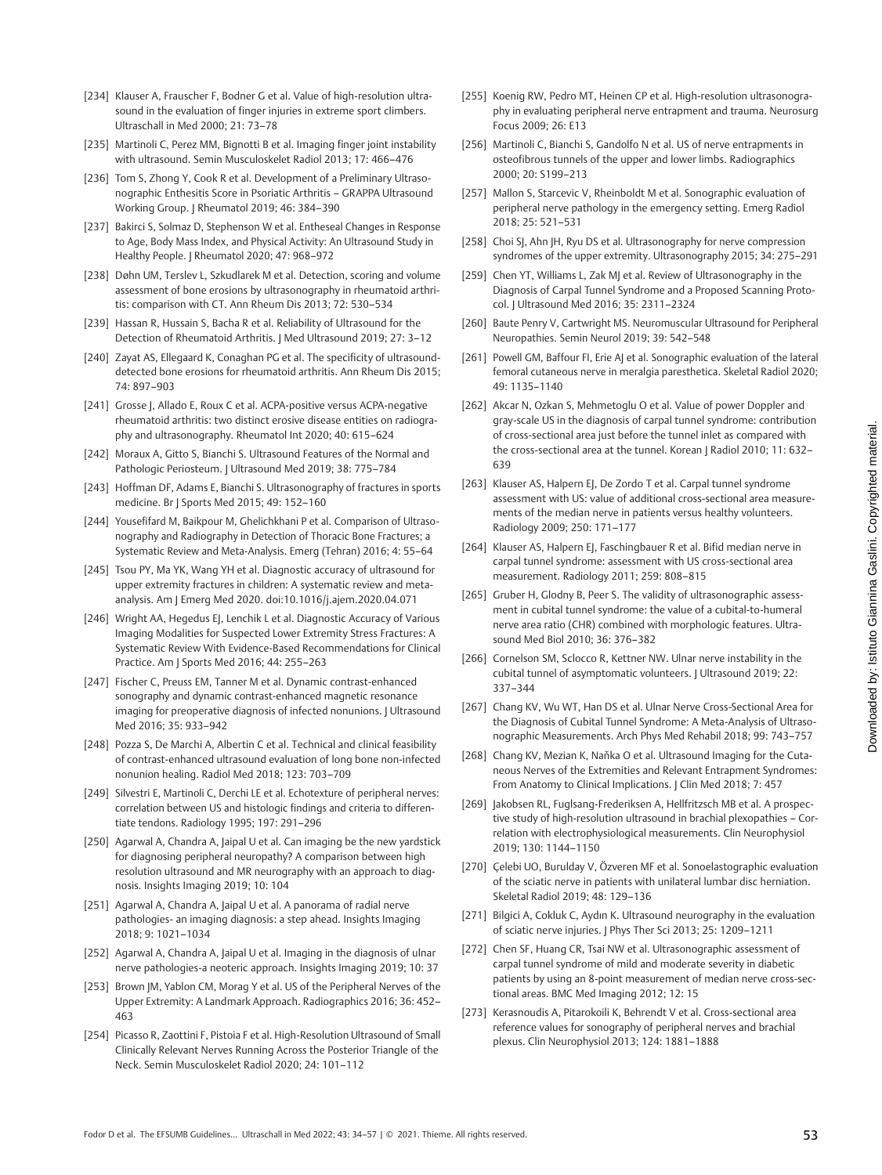- [234] Klauser A, Frauscher F, Bodner G et al. Value of high-resolution ultrasound in the evaluation of finger injuries in extreme sport climbers. Ultraschall in Med 2000; 21: 73–78
- [235] Martinoli C, Perez MM, Bignotti B et al. Imaging finger joint instability with ultrasound. Semin Musculoskelet Radiol 2013; 17: 466–476
- [236] Tom S, Zhong Y, Cook R et al. Development of a Preliminary Ultrasonographic Enthesitis Score in Psoriatic Arthritis – GRAPPA Ultrasound Working Group. J Rheumatol 2019; 46: 384–390
- [237] Bakirci S, Solmaz D, Stephenson W et al. Entheseal Changes in Response to Age, Body Mass Index, and Physical Activity: An Ultrasound Study in Healthy People. J Rheumatol 2020; 47: 968–972
- [238] Døhn UM, Terslev L, Szkudlarek M et al. Detection, scoring and volume assessment of bone erosions by ultrasonography in rheumatoid arthritis: comparison with CT. Ann Rheum Dis 2013; 72: 530–534
- [239] Hassan R, Hussain S, Bacha R et al. Reliability of Ultrasound for the Detection of Rheumatoid Arthritis. J Med Ultrasound 2019; 27: 3–12
- [240] Zayat AS, Ellegaard K, Conaghan PG et al. The specificity of ultrasounddetected bone erosions for rheumatoid arthritis. Ann Rheum Dis 2015; 74: 897–903
- [241] Grosse J, Allado E, Roux C et al. ACPA-positive versus ACPA-negative rheumatoid arthritis: two distinct erosive disease entities on radiography and ultrasonography. Rheumatol Int 2020; 40: 615–624
- [242] Moraux A, Gitto S, Bianchi S. Ultrasound Features of the Normal and Pathologic Periosteum. J Ultrasound Med 2019; 38: 775-784
- [243] Hoffman DF, Adams E, Bianchi S. Ultrasonography of fractures in sports medicine. Br J Sports Med 2015; 49: 152–160
- [244] Yousefifard M, Baikpour M, Ghelichkhani P et al. Comparison of Ultrasonography and Radiography in Detection of Thoracic Bone Fractures; a Systematic Review and Meta-Analysis. Emerg (Tehran) 2016; 4: 55–64
- [245] Tsou PY, Ma YK, Wang YH et al. Diagnostic accuracy of ultrasound for upper extremity fractures in children: A systematic review and metaanalysis. Am J Emerg Med 2020. doi:10.1016/j.ajem.2020.04.071
- [246] Wright AA, Hegedus EJ, Lenchik L et al. Diagnostic Accuracy of Various Imaging Modalities for Suspected Lower Extremity Stress Fractures: A Systematic Review With Evidence-Based Recommendations for Clinical Practice. Am J Sports Med 2016; 44: 255–263
- [247] Fischer C, Preuss EM, Tanner M et al. Dynamic contrast-enhanced sonography and dynamic contrast-enhanced magnetic resonance imaging for preoperative diagnosis of infected nonunions. J Ultrasound Med 2016; 35: 933–942
- [248] Pozza S, De Marchi A, Albertin C et al. Technical and clinical feasibility of contrast-enhanced ultrasound evaluation of long bone non-infected nonunion healing. Radiol Med 2018; 123: 703–709
- [249] Silvestri E, Martinoli C, Derchi LE et al. Echotexture of peripheral nerves: correlation between US and histologic findings and criteria to differentiate tendons. Radiology 1995; 197: 291–296
- [250] Agarwal A, Chandra A, Jaipal U et al. Can imaging be the new yardstick for diagnosing peripheral neuropathy? A comparison between high resolution ultrasound and MR neurography with an approach to diagnosis. Insights Imaging 2019; 10: 104
- [251] Agarwal A, Chandra A, Jaipal U et al. A panorama of radial nerve pathologies- an imaging diagnosis: a step ahead. Insights Imaging 2018; 9: 1021–1034
- [252] Agarwal A, Chandra A, Jaipal U et al. Imaging in the diagnosis of ulnar nerve pathologies-a neoteric approach. Insights Imaging 2019; 10: 37
- [253] Brown JM, Yablon CM, Morag Y et al. US of the Peripheral Nerves of the Upper Extremity: A Landmark Approach. Radiographics 2016; 36: 452– 463
- [254] Picasso R, Zaottini F, Pistoia F et al. High-Resolution Ultrasound of Small Clinically Relevant Nerves Running Across the Posterior Triangle of the Neck. Semin Musculoskelet Radiol 2020; 24: 101–112
- [255] Koenig RW, Pedro MT, Heinen CP et al. High-resolution ultrasonography in evaluating peripheral nerve entrapment and trauma. Neurosurg Focus 2009; 26: E13
- [256] Martinoli C, Bianchi S, Gandolfo N et al. US of nerve entrapments in osteofibrous tunnels of the upper and lower limbs. Radiographics 2000; 20: S199–213
- [257] Mallon S, Starcevic V, Rheinboldt M et al. Sonographic evaluation of peripheral nerve pathology in the emergency setting. Emerg Radiol 2018; 25: 521–531
- [258] Choi SJ, Ahn JH, Ryu DS et al. Ultrasonography for nerve compression syndromes of the upper extremity. Ultrasonography 2015; 34: 275–291
- [259] Chen YT, Williams L, Zak MI et al. Review of Ultrasonography in the Diagnosis of Carpal Tunnel Syndrome and a Proposed Scanning Protocol. J Ultrasound Med 2016; 35: 2311–2324
- [260] Baute Penry V, Cartwright MS. Neuromuscular Ultrasound for Peripheral Neuropathies. Semin Neurol 2019; 39: 542–548
- [261] Powell GM, Baffour FI, Erie AI et al. Sonographic evaluation of the lateral femoral cutaneous nerve in meralgia paresthetica. Skeletal Radiol 2020; 49: 1135–1140
- [262] Akcar N, Ozkan S, Mehmetoglu O et al. Value of power Doppler and gray-scale US in the diagnosis of carpal tunnel syndrome: contribution of cross-sectional area just before the tunnel inlet as compared with the cross-sectional area at the tunnel. Korean J Radiol 2010; 11: 632– 639
- [263] Klauser AS, Halpern EJ, De Zordo T et al. Carpal tunnel syndrome assessment with US: value of additional cross-sectional area measurements of the median nerve in patients versus healthy volunteers. Radiology 2009; 250: 171–177
- [264] Klauser AS, Halpern EJ, Faschingbauer R et al. Bifid median nerve in carpal tunnel syndrome: assessment with US cross-sectional area measurement. Radiology 2011; 259: 808–815
- [265] Gruber H, Glodny B, Peer S. The validity of ultrasonographic assessment in cubital tunnel syndrome: the value of a cubital-to-humeral nerve area ratio (CHR) combined with morphologic features. Ultrasound Med Biol 2010; 36: 376–382
- [266] Cornelson SM, Sclocco R, Kettner NW. Ulnar nerve instability in the cubital tunnel of asymptomatic volunteers. J Ultrasound 2019; 22: 337–344
- [267] Chang KV, Wu WT, Han DS et al. Ulnar Nerve Cross-Sectional Area for the Diagnosis of Cubital Tunnel Syndrome: A Meta-Analysis of Ultrasonographic Measurements. Arch Phys Med Rehabil 2018; 99: 743–757
- [268] Chang KV, Mezian K, Naňka O et al. Ultrasound Imaging for the Cutaneous Nerves of the Extremities and Relevant Entrapment Syndromes: From Anatomy to Clinical Implications. J Clin Med 2018; 7: 457
- [269] Jakobsen RL, Fuglsang-Frederiksen A, Hellfritzsch MB et al. A prospective study of high-resolution ultrasound in brachial plexopathies – Correlation with electrophysiological measurements. Clin Neurophysiol 2019; 130: 1144–1150
- [270] Çelebi UO, Burulday V, Özveren MF et al. Sonoelastographic evaluation of the sciatic nerve in patients with unilateral lumbar disc herniation. Skeletal Radiol 2019; 48: 129–136
- [271] Bilgici A, Cokluk C, Aydın K. Ultrasound neurography in the evaluation of sciatic nerve injuries. J Phys Ther Sci 2013; 25: 1209–1211
- [272] Chen SF, Huang CR, Tsai NW et al. Ultrasonographic assessment of carpal tunnel syndrome of mild and moderate severity in diabetic patients by using an 8-point measurement of median nerve cross-sectional areas. BMC Med Imaging 2012; 12: 15
- [273] Kerasnoudis A, Pitarokoili K, Behrendt V et al. Cross-sectional area reference values for sonography of peripheral nerves and brachial plexus. Clin Neurophysiol 2013; 124: 1881–1888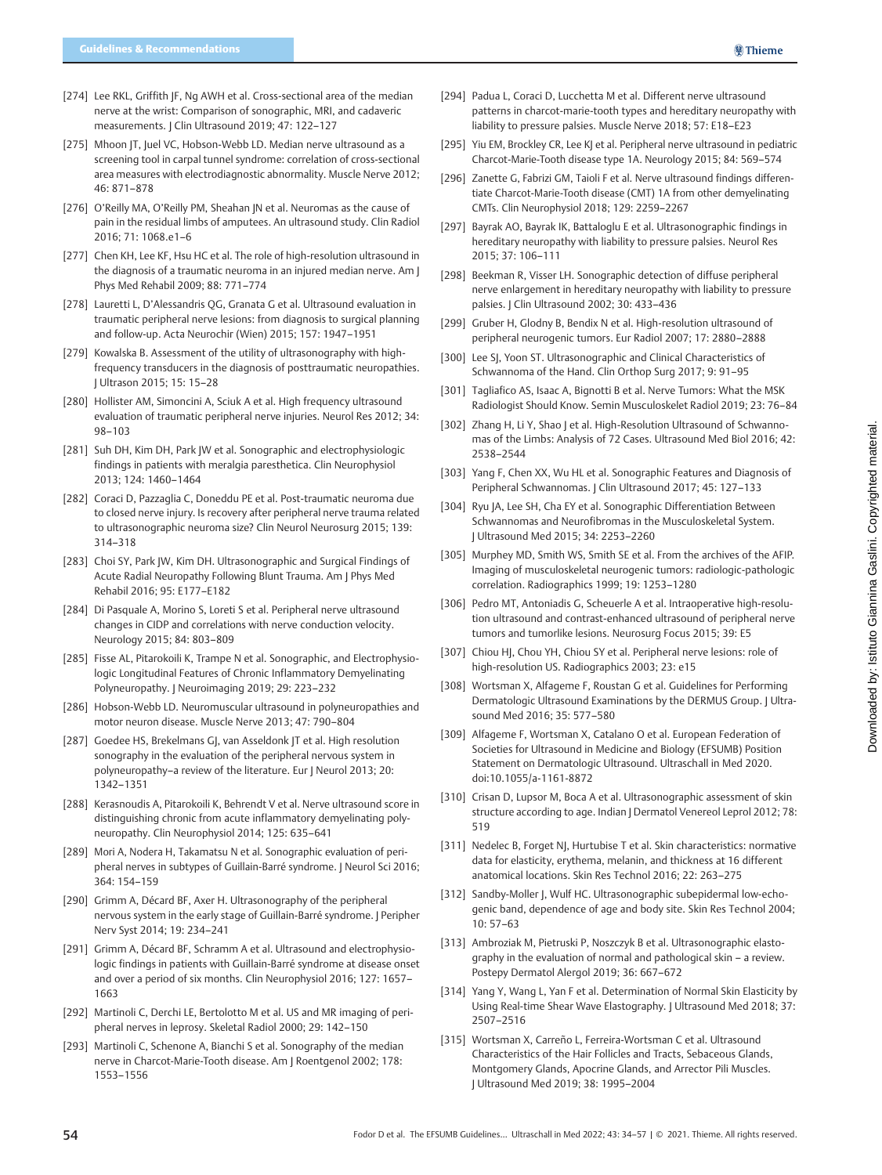- [274] Lee RKL, Griffith JF, Ng AWH et al. Cross-sectional area of the median nerve at the wrist: Comparison of sonographic, MRI, and cadaveric measurements. J Clin Ultrasound 2019; 47: 122–127
- [275] Mhoon JT, Juel VC, Hobson-Webb LD. Median nerve ultrasound as a screening tool in carpal tunnel syndrome: correlation of cross-sectional area measures with electrodiagnostic abnormality. Muscle Nerve 2012; 46: 871–878
- [276] O'Reilly MA, O'Reilly PM, Sheahan JN et al. Neuromas as the cause of pain in the residual limbs of amputees. An ultrasound study. Clin Radiol 2016; 71: 1068.e1–6
- [277] Chen KH, Lee KF, Hsu HC et al. The role of high-resolution ultrasound in the diagnosis of a traumatic neuroma in an injured median nerve. Am J Phys Med Rehabil 2009; 88: 771–774
- [278] Lauretti L, D'Alessandris QG, Granata G et al. Ultrasound evaluation in traumatic peripheral nerve lesions: from diagnosis to surgical planning and follow-up. Acta Neurochir (Wien) 2015; 157: 1947–1951
- [279] Kowalska B. Assessment of the utility of ultrasonography with highfrequency transducers in the diagnosis of posttraumatic neuropathies. J Ultrason 2015; 15: 15–28
- [280] Hollister AM, Simoncini A, Sciuk A et al. High frequency ultrasound evaluation of traumatic peripheral nerve injuries. Neurol Res 2012; 34: 98–103
- [281] Suh DH, Kim DH, Park JW et al. Sonographic and electrophysiologic findings in patients with meralgia paresthetica. Clin Neurophysiol 2013; 124: 1460–1464
- [282] Coraci D, Pazzaglia C, Doneddu PE et al. Post-traumatic neuroma due to closed nerve injury. Is recovery after peripheral nerve trauma related to ultrasonographic neuroma size? Clin Neurol Neurosurg 2015; 139: 314–318
- [283] Choi SY, Park JW, Kim DH. Ultrasonographic and Surgical Findings of Acute Radial Neuropathy Following Blunt Trauma. Am J Phys Med Rehabil 2016; 95: E177–E182
- [284] Di Pasquale A, Morino S, Loreti S et al. Peripheral nerve ultrasound changes in CIDP and correlations with nerve conduction velocity. Neurology 2015; 84: 803–809
- [285] Fisse AL, Pitarokoili K, Trampe N et al. Sonographic, and Electrophysiologic Longitudinal Features of Chronic Inflammatory Demyelinating Polyneuropathy. J Neuroimaging 2019; 29: 223–232
- [286] Hobson-Webb LD. Neuromuscular ultrasound in polyneuropathies and motor neuron disease. Muscle Nerve 2013; 47: 790–804
- [287] Goedee HS, Brekelmans GJ, van Asseldonk |T et al. High resolution sonography in the evaluation of the peripheral nervous system in polyneuropathy–a review of the literature. Eur J Neurol 2013; 20: 1342–1351
- [288] Kerasnoudis A, Pitarokoili K, Behrendt V et al. Nerve ultrasound score in distinguishing chronic from acute inflammatory demyelinating polyneuropathy. Clin Neurophysiol 2014; 125: 635–641
- [289] Mori A, Nodera H, Takamatsu N et al. Sonographic evaluation of peripheral nerves in subtypes of Guillain-Barré syndrome. J Neurol Sci 2016; 364: 154–159
- [290] Grimm A, Décard BF, Axer H. Ultrasonography of the peripheral nervous system in the early stage of Guillain-Barré syndrome. J Peripher Nerv Syst 2014; 19: 234–241
- [291] Grimm A, Décard BF, Schramm A et al. Ultrasound and electrophysiologic findings in patients with Guillain-Barré syndrome at disease onset and over a period of six months. Clin Neurophysiol 2016; 127: 1657– 1663
- [292] Martinoli C, Derchi LE, Bertolotto M et al. US and MR imaging of peripheral nerves in leprosy. Skeletal Radiol 2000; 29: 142–150
- [293] Martinoli C, Schenone A, Bianchi S et al. Sonography of the median nerve in Charcot-Marie-Tooth disease. Am J Roentgenol 2002; 178: 1553–1556
- [294] Padua L, Coraci D, Lucchetta M et al. Different nerve ultrasound patterns in charcot-marie-tooth types and hereditary neuropathy with liability to pressure palsies. Muscle Nerve 2018; 57: E18–E23
- [295] Yiu EM, Brockley CR, Lee KJ et al. Peripheral nerve ultrasound in pediatric Charcot-Marie-Tooth disease type 1A. Neurology 2015; 84: 569–574
- [296] Zanette G, Fabrizi GM, Taioli F et al. Nerve ultrasound findings differentiate Charcot-Marie-Tooth disease (CMT) 1A from other demyelinating CMTs. Clin Neurophysiol 2018; 129: 2259–2267
- [297] Bayrak AO, Bayrak IK, Battaloglu E et al. Ultrasonographic findings in hereditary neuropathy with liability to pressure palsies. Neurol Res 2015; 37: 106–111
- [298] Beekman R, Visser LH. Sonographic detection of diffuse peripheral nerve enlargement in hereditary neuropathy with liability to pressure palsies. J Clin Ultrasound 2002; 30: 433–436
- [299] Gruber H, Glodny B, Bendix N et al. High-resolution ultrasound of peripheral neurogenic tumors. Eur Radiol 2007; 17: 2880–2888
- [300] Lee SJ, Yoon ST, Ultrasonographic and Clinical Characteristics of Schwannoma of the Hand. Clin Orthop Surg 2017; 9: 91–95
- [301] Tagliafico AS, Isaac A, Bignotti B et al. Nerve Tumors: What the MSK Radiologist Should Know. Semin Musculoskelet Radiol 2019; 23: 76–84
- [302] Zhang H, Li Y, Shao J et al. High-Resolution Ultrasound of Schwannomas of the Limbs: Analysis of 72 Cases. Ultrasound Med Biol 2016; 42: 2538–2544
- [303] Yang F, Chen XX, Wu HL et al. Sonographic Features and Diagnosis of Peripheral Schwannomas. J Clin Ultrasound 2017; 45: 127-133
- [304] Ryu JA, Lee SH, Cha EY et al. Sonographic Differentiation Between Schwannomas and Neurofibromas in the Musculoskeletal System. J Ultrasound Med 2015; 34: 2253–2260
- [305] Murphey MD, Smith WS, Smith SE et al. From the archives of the AFIP. Imaging of musculoskeletal neurogenic tumors: radiologic-pathologic correlation. Radiographics 1999; 19: 1253–1280
- [306] Pedro MT, Antoniadis G, Scheuerle A et al. Intraoperative high-resolution ultrasound and contrast-enhanced ultrasound of peripheral nerve tumors and tumorlike lesions. Neurosurg Focus 2015; 39: E5
- [307] Chiou HJ, Chou YH, Chiou SY et al. Peripheral nerve lesions: role of high-resolution US. Radiographics 2003; 23: e15
- [308] Wortsman X, Alfageme F, Roustan G et al. Guidelines for Performing Dermatologic Ultrasound Examinations by the DERMUS Group. J Ultrasound Med 2016; 35: 577–580
- [309] Alfageme F, Wortsman X, Catalano O et al. European Federation of Societies for Ultrasound in Medicine and Biology (EFSUMB) Position Statement on Dermatologic Ultrasound. Ultraschall in Med 2020. doi:10.1055/a-1161-8872
- [310] Crisan D, Lupsor M, Boca A et al. Ultrasonographic assessment of skin structure according to age. Indian J Dermatol Venereol Leprol 2012; 78: 519
- [311] Nedelec B, Forget NJ, Hurtubise T et al. Skin characteristics: normative data for elasticity, erythema, melanin, and thickness at 16 different anatomical locations. Skin Res Technol 2016; 22: 263–275
- [312] Sandby-Moller J, Wulf HC. Ultrasonographic subepidermal low-echogenic band, dependence of age and body site. Skin Res Technol 2004; 10: 57–63
- [313] Ambroziak M, Pietruski P, Noszczyk B et al. Ultrasonographic elastography in the evaluation of normal and pathological skin – a review. Postepy Dermatol Alergol 2019; 36: 667–672
- [314] Yang Y, Wang L, Yan F et al. Determination of Normal Skin Elasticity by Using Real-time Shear Wave Elastography. J Ultrasound Med 2018; 37: 2507–2516
- [315] Wortsman X, Carreño L, Ferreira-Wortsman C et al. Ultrasound Characteristics of the Hair Follicles and Tracts, Sebaceous Glands, Montgomery Glands, Apocrine Glands, and Arrector Pili Muscles. J Ultrasound Med 2019; 38: 1995–2004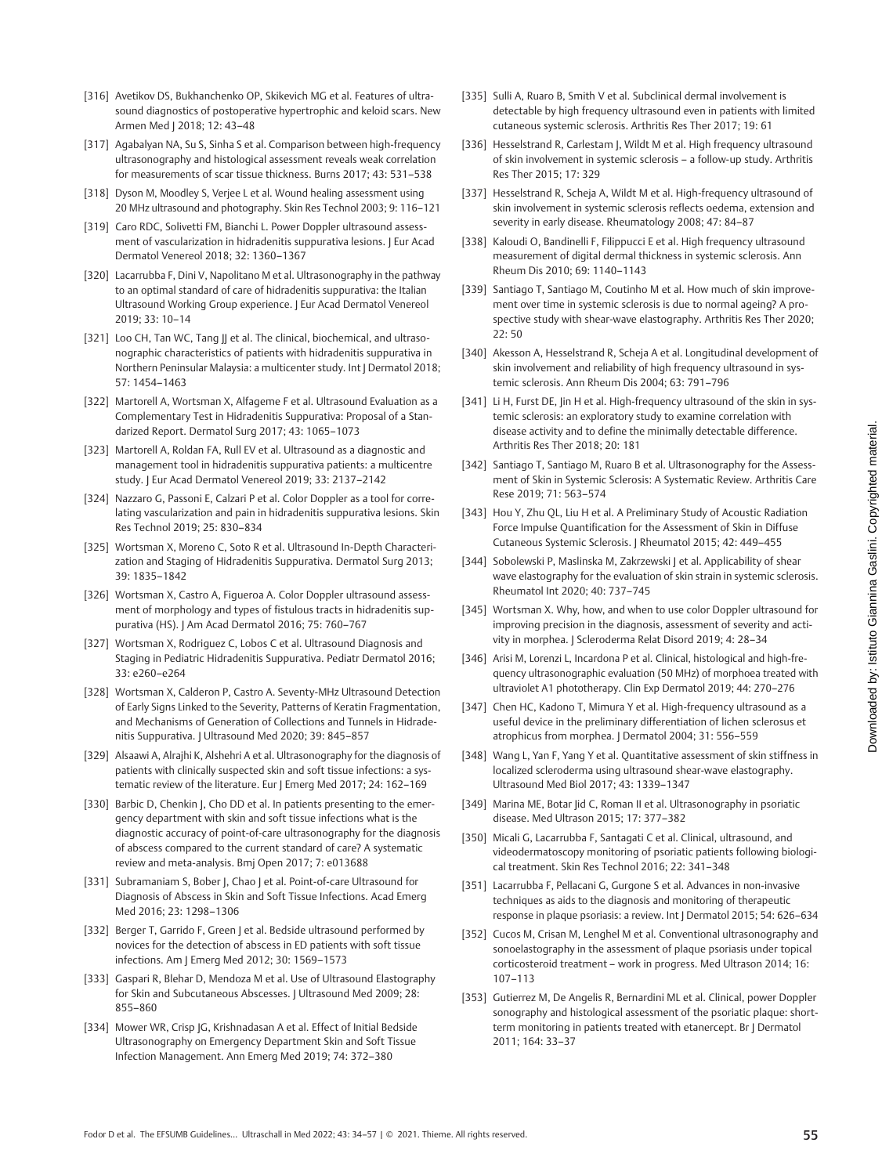Downloaded by: Istituto Giannina Gaslini. Copyrighted material.Downloaded by: Istituto Giannina Gaslini. Copyrighted material.

- [316] Avetikov DS, Bukhanchenko OP, Skikevich MG et al. Features of ultrasound diagnostics of postoperative hypertrophic and keloid scars. New Armen Med | 2018; 12: 43-48
- [317] Agabalyan NA, Su S, Sinha S et al. Comparison between high-frequency ultrasonography and histological assessment reveals weak correlation for measurements of scar tissue thickness. Burns 2017; 43: 531–538
- [318] Dyson M, Moodley S, Veriee L et al. Wound healing assessment using 20 MHz ultrasound and photography. Skin Res Technol 2003; 9: 116–121
- [319] Caro RDC, Solivetti FM, Bianchi L. Power Doppler ultrasound assessment of vascularization in hidradenitis suppurativa lesions. J Eur Acad Dermatol Venereol 2018; 32: 1360–1367
- [320] Lacarrubba F, Dini V, Napolitano M et al. Ultrasonography in the pathway to an optimal standard of care of hidradenitis suppurativa: the Italian Ultrasound Working Group experience. J Eur Acad Dermatol Venereol 2019; 33: 10–14
- [321] Loo CH, Tan WC, Tang || et al. The clinical, biochemical, and ultrasonographic characteristics of patients with hidradenitis suppurativa in Northern Peninsular Malaysia: a multicenter study. Int J Dermatol 2018; 57: 1454–1463
- [322] Martorell A, Wortsman X, Alfageme F et al. Ultrasound Evaluation as a Complementary Test in Hidradenitis Suppurativa: Proposal of a Standarized Report. Dermatol Surg 2017; 43: 1065–1073
- [323] Martorell A, Roldan FA, Rull EV et al. Ultrasound as a diagnostic and management tool in hidradenitis suppurativa patients: a multicentre study. J Eur Acad Dermatol Venereol 2019; 33: 2137–2142
- [324] Nazzaro G, Passoni E, Calzari P et al. Color Doppler as a tool for correlating vascularization and pain in hidradenitis suppurativa lesions. Skin Res Technol 2019; 25: 830–834
- [325] Wortsman X, Moreno C, Soto R et al. Ultrasound In-Depth Characterization and Staging of Hidradenitis Suppurativa. Dermatol Surg 2013; 39: 1835–1842
- [326] Wortsman X, Castro A, Figueroa A. Color Doppler ultrasound assessment of morphology and types of fistulous tracts in hidradenitis suppurativa (HS). J Am Acad Dermatol 2016; 75: 760–767
- [327] Wortsman X, Rodriguez C, Lobos C et al. Ultrasound Diagnosis and Staging in Pediatric Hidradenitis Suppurativa. Pediatr Dermatol 2016; 33: e260–e264
- [328] Wortsman X, Calderon P, Castro A. Seventy-MHz Ultrasound Detection of Early Signs Linked to the Severity, Patterns of Keratin Fragmentation, and Mechanisms of Generation of Collections and Tunnels in Hidradenitis Suppurativa. | Ultrasound Med 2020; 39: 845-857
- [329] Alsaawi A, Alrajhi K, Alshehri A et al. Ultrasonography for the diagnosis of patients with clinically suspected skin and soft tissue infections: a systematic review of the literature. Eur J Emerg Med 2017; 24: 162–169
- [330] Barbic D, Chenkin J, Cho DD et al. In patients presenting to the emergency department with skin and soft tissue infections what is the diagnostic accuracy of point-of-care ultrasonography for the diagnosis of abscess compared to the current standard of care? A systematic review and meta-analysis. Bmj Open 2017; 7: e013688
- [331] Subramaniam S, Bober J, Chao J et al. Point-of-care Ultrasound for Diagnosis of Abscess in Skin and Soft Tissue Infections. Acad Emerg Med 2016; 23: 1298–1306
- [332] Berger T, Garrido F, Green J et al. Bedside ultrasound performed by novices for the detection of abscess in ED patients with soft tissue infections. Am J Emerg Med 2012; 30: 1569–1573
- [333] Gaspari R, Blehar D, Mendoza M et al. Use of Ultrasound Elastography for Skin and Subcutaneous Abscesses. J Ultrasound Med 2009; 28: 855–860
- [334] Mower WR, Crisp JG, Krishnadasan A et al. Effect of Initial Bedside Ultrasonography on Emergency Department Skin and Soft Tissue Infection Management. Ann Emerg Med 2019; 74: 372–380
- [335] Sulli A, Ruaro B, Smith V et al. Subclinical dermal involvement is detectable by high frequency ultrasound even in patients with limited cutaneous systemic sclerosis. Arthritis Res Ther 2017; 19: 61
- [336] Hesselstrand R, Carlestam J, Wildt M et al. High frequency ultrasound of skin involvement in systemic sclerosis – a follow-up study. Arthritis Res Ther 2015; 17: 329
- [337] Hesselstrand R, Scheja A, Wildt M et al. High-frequency ultrasound of skin involvement in systemic sclerosis reflects oedema, extension and severity in early disease. Rheumatology 2008; 47: 84–87
- [338] Kaloudi O, Bandinelli F, Filippucci E et al. High frequency ultrasound measurement of digital dermal thickness in systemic sclerosis. Ann Rheum Dis 2010; 69: 1140–1143
- [339] Santiago T, Santiago M, Coutinho M et al. How much of skin improvement over time in systemic sclerosis is due to normal ageing? A prospective study with shear-wave elastography. Arthritis Res Ther 2020;  $22:50$
- [340] Akesson A, Hesselstrand R, Scheja A et al. Longitudinal development of skin involvement and reliability of high frequency ultrasound in systemic sclerosis. Ann Rheum Dis 2004; 63: 791–796
- [341] Li H, Furst DE, Jin H et al. High-frequency ultrasound of the skin in systemic sclerosis: an exploratory study to examine correlation with disease activity and to define the minimally detectable difference. Arthritis Res Ther 2018; 20: 181
- [342] Santiago T, Santiago M, Ruaro B et al. Ultrasonography for the Assessment of Skin in Systemic Sclerosis: A Systematic Review. Arthritis Care Rese 2019; 71: 563–574
- [343] Hou Y, Zhu QL, Liu H et al. A Preliminary Study of Acoustic Radiation Force Impulse Quantification for the Assessment of Skin in Diffuse Cutaneous Systemic Sclerosis. J Rheumatol 2015; 42: 449–455
- [344] Sobolewski P, Maslinska M, Zakrzewski J et al. Applicability of shear wave elastography for the evaluation of skin strain in systemic sclerosis. Rheumatol Int 2020; 40: 737–745
- [345] Wortsman X. Why, how, and when to use color Doppler ultrasound for improving precision in the diagnosis, assessment of severity and activity in morphea. J Scleroderma Relat Disord 2019; 4: 28–34
- [346] Arisi M, Lorenzi L, Incardona P et al. Clinical, histological and high-frequency ultrasonographic evaluation (50 MHz) of morphoea treated with ultraviolet A1 phototherapy. Clin Exp Dermatol 2019; 44: 270–276
- [347] Chen HC, Kadono T, Mimura Y et al. High-frequency ultrasound as a useful device in the preliminary differentiation of lichen sclerosus et atrophicus from morphea. J Dermatol 2004; 31: 556–559
- [348] Wang L, Yan F, Yang Y et al. Quantitative assessment of skin stiffness in localized scleroderma using ultrasound shear-wave elastography. Ultrasound Med Biol 2017; 43: 1339–1347
- [349] Marina ME, Botar Jid C, Roman II et al. Ultrasonography in psoriatic disease. Med Ultrason 2015; 17: 377–382
- [350] Micali G, Lacarrubba F, Santagati C et al. Clinical, ultrasound, and videodermatoscopy monitoring of psoriatic patients following biological treatment. Skin Res Technol 2016; 22: 341–348
- [351] Lacarrubba F, Pellacani G, Gurgone S et al. Advances in non-invasive techniques as aids to the diagnosis and monitoring of therapeutic response in plaque psoriasis: a review. Int J Dermatol 2015; 54: 626–634
- [352] Cucos M, Crisan M, Lenghel M et al. Conventional ultrasonography and sonoelastography in the assessment of plaque psoriasis under topical corticosteroid treatment – work in progress. Med Ultrason 2014; 16: 107–113
- [353] Gutierrez M, De Angelis R, Bernardini ML et al. Clinical, power Doppler sonography and histological assessment of the psoriatic plaque: shortterm monitoring in patients treated with etanercept. Br J Dermatol 2011; 164: 33–37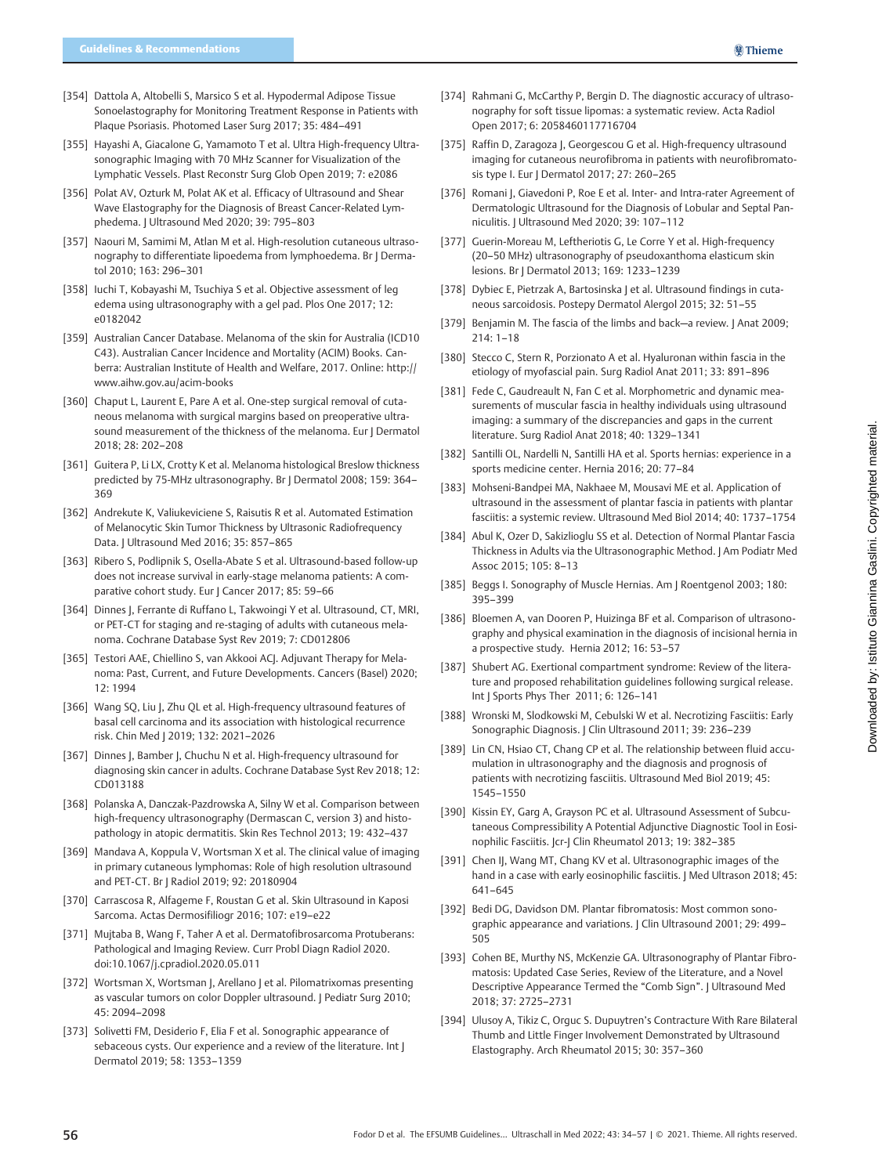- [354] Dattola A, Altobelli S, Marsico S et al. Hypodermal Adipose Tissue Sonoelastography for Monitoring Treatment Response in Patients with Plaque Psoriasis. Photomed Laser Surg 2017; 35: 484–491
- [355] Hayashi A, Giacalone G, Yamamoto T et al. Ultra High-frequency Ultrasonographic Imaging with 70 MHz Scanner for Visualization of the Lymphatic Vessels. Plast Reconstr Surg Glob Open 2019; 7: e2086
- [356] Polat AV, Ozturk M, Polat AK et al. Efficacy of Ultrasound and Shear Wave Elastography for the Diagnosis of Breast Cancer-Related Lymphedema. J Ultrasound Med 2020; 39: 795–803
- [357] Naouri M, Samimi M, Atlan M et al. High-resolution cutaneous ultrasonography to differentiate lipoedema from lymphoedema. Br J Dermatol 2010; 163: 296–301
- [358] Iuchi T, Kobayashi M, Tsuchiya S et al. Objective assessment of leg edema using ultrasonography with a gel pad. Plos One 2017; 12: e0182042
- [359] Australian Cancer Database. Melanoma of the skin for Australia (ICD10 C43). Australian Cancer Incidence and Mortality (ACIM) Books. Canberra: Australian Institute of Health and Welfare, 2017. Online: [http://](http://www.aihw.gov.au/acim-books) [www.aihw.gov.au/acim-books](http://www.aihw.gov.au/acim-books)
- [360] Chaput L, Laurent E, Pare A et al. One-step surgical removal of cutaneous melanoma with surgical margins based on preoperative ultrasound measurement of the thickness of the melanoma. Eur | Dermatol 2018; 28: 202–208
- [361] Guitera P, Li LX, Crotty K et al. Melanoma histological Breslow thickness predicted by 75-MHz ultrasonography. Br J Dermatol 2008; 159: 364– 369
- [362] Andrekute K, Valiukeviciene S, Raisutis R et al. Automated Estimation of Melanocytic Skin Tumor Thickness by Ultrasonic Radiofrequency Data. J Ultrasound Med 2016; 35: 857–865
- [363] Ribero S, Podlipnik S, Osella-Abate S et al. Ultrasound-based follow-up does not increase survival in early-stage melanoma patients: A comparative cohort study. Eur J Cancer 2017; 85: 59-66
- [364] Dinnes J, Ferrante di Ruffano L, Takwoingi Y et al. Ultrasound, CT, MRI, or PET-CT for staging and re-staging of adults with cutaneous melanoma. Cochrane Database Syst Rev 2019; 7: CD012806
- [365] Testori AAE, Chiellino S, van Akkooi ACJ. Adjuvant Therapy for Melanoma: Past, Current, and Future Developments. Cancers (Basel) 2020; 12: 1994
- [366] Wang SQ, Liu J, Zhu QL et al. High-frequency ultrasound features of basal cell carcinoma and its association with histological recurrence risk. Chin Med J 2019; 132: 2021–2026
- [367] Dinnes J, Bamber J, Chuchu N et al. High-frequency ultrasound for diagnosing skin cancer in adults. Cochrane Database Syst Rev 2018; 12: CD013188
- [368] Polanska A, Danczak-Pazdrowska A, Silny W et al. Comparison between high-frequency ultrasonography (Dermascan C, version 3) and histopathology in atopic dermatitis. Skin Res Technol 2013; 19: 432–437
- [369] Mandava A, Koppula V, Wortsman X et al. The clinical value of imaging in primary cutaneous lymphomas: Role of high resolution ultrasound and PET-CT. Br J Radiol 2019; 92: 20180904
- [370] Carrascosa R, Alfageme F, Roustan G et al. Skin Ultrasound in Kaposi Sarcoma. Actas Dermosifiliogr 2016; 107: e19–e22
- [371] Mujtaba B, Wang F, Taher A et al. Dermatofibrosarcoma Protuberans: Pathological and Imaging Review. Curr Probl Diagn Radiol 2020. doi:10.1067/j.cpradiol.2020.05.011
- [372] Wortsman X, Wortsman J, Arellano J et al. Pilomatrixomas presenting as vascular tumors on color Doppler ultrasound. J Pediatr Surg 2010; 45: 2094–2098
- [373] Solivetti FM, Desiderio F, Elia F et al. Sonographic appearance of sebaceous cysts. Our experience and a review of the literature. Int J Dermatol 2019; 58: 1353–1359
- [374] Rahmani G, McCarthy P, Bergin D. The diagnostic accuracy of ultrasonography for soft tissue lipomas: a systematic review. Acta Radiol Open 2017; 6: 2058460117716704
- [375] Raffin D, Zaragoza J, Georgescou G et al. High-frequency ultrasound imaging for cutaneous neurofibroma in patients with neurofibromatosis type I. Eur | Dermatol 2017; 27: 260-265
- [376] Romani J, Giavedoni P, Roe E et al. Inter- and Intra-rater Agreement of Dermatologic Ultrasound for the Diagnosis of Lobular and Septal Panniculitis. J Ultrasound Med 2020; 39: 107–112
- [377] Guerin-Moreau M, Leftheriotis G, Le Corre Y et al. High-frequency (20–50 MHz) ultrasonography of pseudoxanthoma elasticum skin lesions. Br J Dermatol 2013; 169: 1233–1239
- [378] Dybiec E, Pietrzak A, Bartosinska | et al. Ultrasound findings in cutaneous sarcoidosis. Postepy Dermatol Alergol 2015; 32: 51–55
- [379] Benjamin M. The fascia of the limbs and back—a review. J Anat 2009;  $714 \cdot 1 - 18$
- [380] Stecco C, Stern R, Porzionato A et al. Hyaluronan within fascia in the etiology of myofascial pain. Surg Radiol Anat 2011; 33: 891–896
- [381] Fede C, Gaudreault N, Fan C et al. Morphometric and dynamic measurements of muscular fascia in healthy individuals using ultrasound imaging: a summary of the discrepancies and gaps in the current literature. Surg Radiol Anat 2018; 40: 1329–1341
- [382] Santilli OL, Nardelli N, Santilli HA et al. Sports hernias: experience in a sports medicine center. Hernia 2016; 20: 77–84
- [383] Mohseni-Bandpei MA, Nakhaee M, Mousavi ME et al. Application of ultrasound in the assessment of plantar fascia in patients with plantar fasciitis: a systemic review. Ultrasound Med Biol 2014; 40: 1737–1754
- [384] Abul K, Ozer D, Sakizlioglu SS et al. Detection of Normal Plantar Fascia Thickness in Adults via the Ultrasonographic Method. J Am Podiatr Med Assoc 2015; 105: 8–13
- [385] Beggs I. Sonography of Muscle Hernias. Am J Roentgenol 2003; 180: 395–399
- [386] Bloemen A, van Dooren P, Huizinga BF et al. Comparison of ultrasonography and physical examination in the diagnosis of incisional hernia in a prospective study. Hernia 2012; 16: 53–57
- [387] Shubert AG. Exertional compartment syndrome: Review of the literature and proposed rehabilitation guidelines following surgical release. Int J Sports Phys Ther 2011; 6: 126–141
- [388] Wronski M, Slodkowski M, Cebulski W et al. Necrotizing Fasciitis: Early Sonographic Diagnosis. | Clin Ultrasound 2011; 39: 236-239
- [389] Lin CN, Hsiao CT, Chang CP et al. The relationship between fluid accumulation in ultrasonography and the diagnosis and prognosis of patients with necrotizing fasciitis. Ultrasound Med Biol 2019; 45: 1545–1550
- [390] Kissin EY, Garg A, Grayson PC et al. Ultrasound Assessment of Subcutaneous Compressibility A Potential Adjunctive Diagnostic Tool in Eosinophilic Fasciitis. Jcr-J Clin Rheumatol 2013; 19: 382–385
- [391] Chen IJ, Wang MT, Chang KV et al. Ultrasonographic images of the hand in a case with early eosinophilic fasciitis. J Med Ultrason 2018; 45: 641–645
- [392] Bedi DG, Davidson DM. Plantar fibromatosis: Most common sonographic appearance and variations. J Clin Ultrasound 2001; 29: 499– 505
- [393] Cohen BE, Murthy NS, McKenzie GA. Ultrasonography of Plantar Fibromatosis: Updated Case Series, Review of the Literature, and a Novel Descriptive Appearance Termed the "Comb Sign". J Ultrasound Med 2018; 37: 2725–2731
- [394] Ulusoy A, Tikiz C, Orguc S. Dupuytren's Contracture With Rare Bilateral Thumb and Little Finger Involvement Demonstrated by Ultrasound Elastography. Arch Rheumatol 2015; 30: 357–360